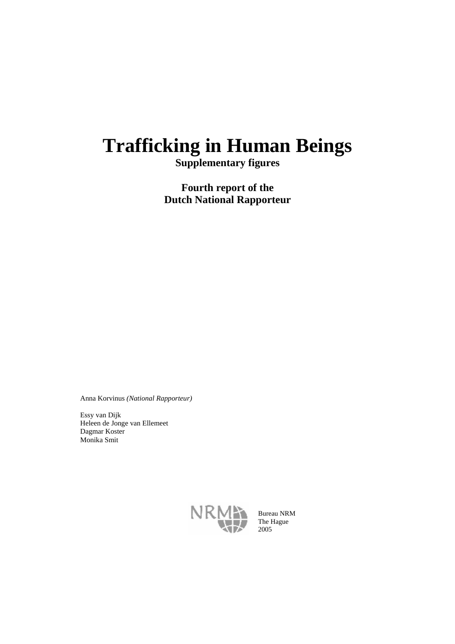# **Trafficking in Human Beings**

# **Supplementary figures**

**Fourth report of the Dutch National Rapporteur** 

Anna Korvinus *(National Rapporteur)*

Essy van Dijk Heleen de Jonge van Ellemeet Dagmar Koster Monika Smit



Bureau NRM The Hague 2005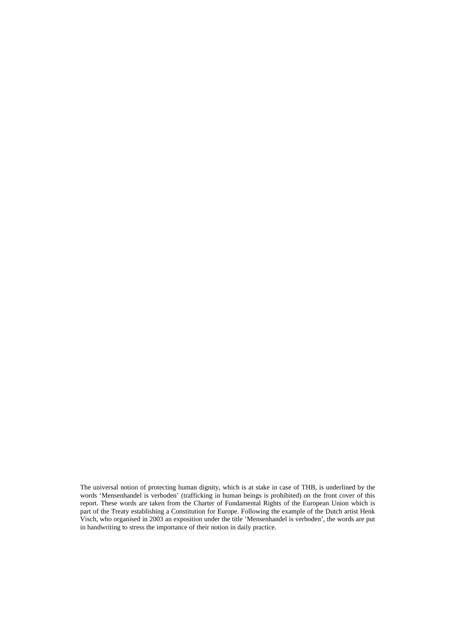The universal notion of protecting human dignity, which is at stake in case of THB, is underlined by the words 'Mensenhandel is verboden' (trafficking in human beings is prohibited) on the front cover of this report. These words are taken from the Charter of Fundamental Rights of the European Union which is part of the Treaty establishing a Constitution for Europe. Following the example of the Dutch artist Henk Visch, who organised in 2003 an exposition under the title 'Mensenhandel is verboden', the words are put in handwriting to stress the importance of their notion in daily practice.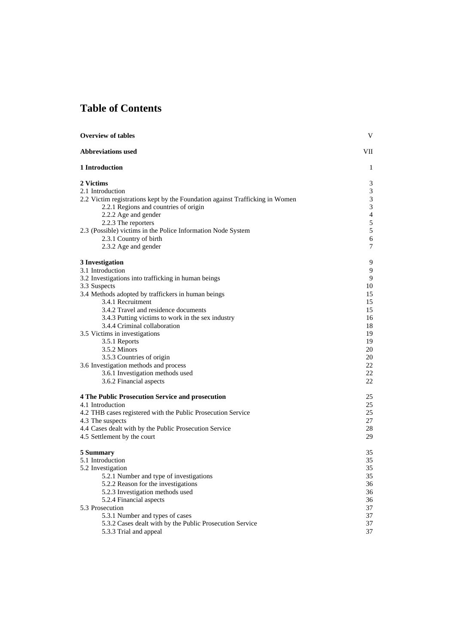# **Table of Contents**

| <b>Overview of tables</b>                                                          | V                   |
|------------------------------------------------------------------------------------|---------------------|
| <b>Abbreviations used</b>                                                          | VІІ                 |
| 1 Introduction                                                                     | 1                   |
| 2 Victims                                                                          | 3                   |
| 2.1 Introduction                                                                   | $\mathfrak z$       |
| 2.2 Victim registrations kept by the Foundation against Trafficking in Women       | 3<br>$\mathfrak{Z}$ |
| 2.2.1 Regions and countries of origin<br>2.2.2 Age and gender                      | $\overline{4}$      |
| 2.2.3 The reporters                                                                | $\sqrt{5}$          |
| 2.3 (Possible) victims in the Police Information Node System                       | $\sqrt{5}$          |
| 2.3.1 Country of birth                                                             | 6                   |
| 2.3.2 Age and gender                                                               | 7                   |
|                                                                                    |                     |
| 3 Investigation<br>3.1 Introduction                                                | 9<br>9              |
| 3.2 Investigations into trafficking in human beings                                | 9                   |
| 3.3 Suspects                                                                       | 10                  |
| 3.4 Methods adopted by traffickers in human beings                                 | 15                  |
| 3.4.1 Recruitment                                                                  | 15                  |
| 3.4.2 Travel and residence documents                                               | 15                  |
| 3.4.3 Putting victims to work in the sex industry                                  | 16                  |
| 3.4.4 Criminal collaboration                                                       | 18                  |
| 3.5 Victims in investigations                                                      | 19                  |
| 3.5.1 Reports                                                                      | 19                  |
| 3.5.2 Minors                                                                       | 20                  |
| 3.5.3 Countries of origin                                                          | 20                  |
| 3.6 Investigation methods and process                                              | 22                  |
| 3.6.1 Investigation methods used                                                   | 22                  |
| 3.6.2 Financial aspects                                                            | 22                  |
| 4 The Public Prosecution Service and prosecution                                   | 25                  |
| 4.1 Introduction                                                                   | 25                  |
| 4.2 THB cases registered with the Public Prosecution Service                       | 25                  |
| 4.3 The suspects                                                                   | 27                  |
| 4.4 Cases dealt with by the Public Prosecution Service                             | 28                  |
| 4.5 Settlement by the court                                                        | 29                  |
| 5 Summary                                                                          | 35                  |
| 5.1 Introduction                                                                   | 35                  |
| 5.2 Investigation                                                                  | 35                  |
| 5.2.1 Number and type of investigations                                            | 35                  |
| 5.2.2 Reason for the investigations                                                | 36                  |
| 5.2.3 Investigation methods used                                                   | 36                  |
| 5.2.4 Financial aspects                                                            | 36                  |
| 5.3 Prosecution                                                                    | 37                  |
| 5.3.1 Number and types of cases                                                    | 37                  |
| 5.3.2 Cases dealt with by the Public Prosecution Service<br>5.3.3 Trial and appeal | 37<br>37            |
|                                                                                    |                     |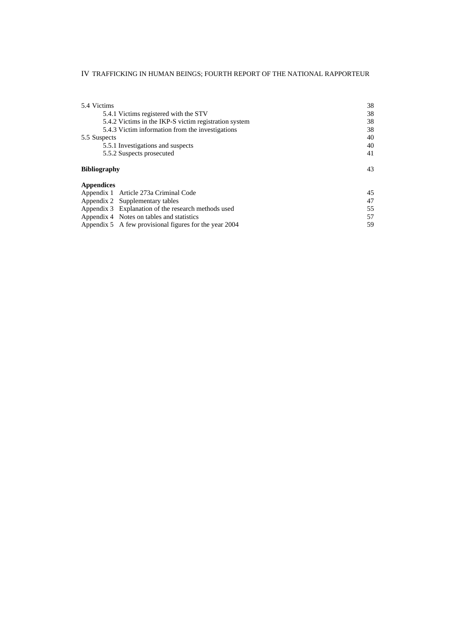| 38 |
|----|
| 38 |
| 38 |
| 38 |
| 40 |
| 40 |
| 41 |
| 43 |
|    |
| 45 |
| 47 |
| 55 |
| 57 |
| 59 |
|    |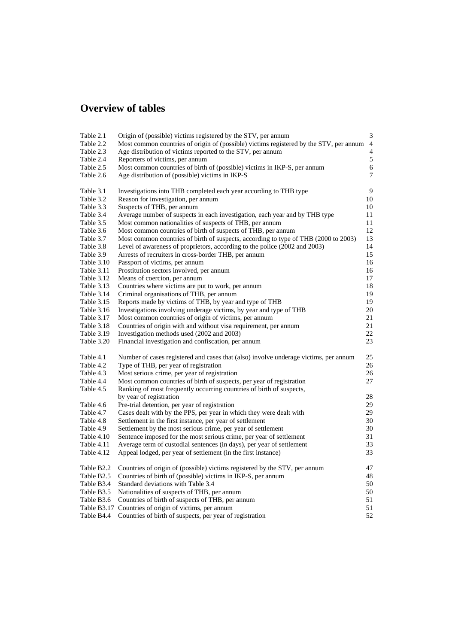# **Overview of tables**

| Table 2.1<br>Origin of (possible) victims registered by the STV, per annum                          |                | $\mathfrak{Z}$ |
|-----------------------------------------------------------------------------------------------------|----------------|----------------|
| Table 2.2<br>Most common countries of origin of (possible) victims registered by the STV, per annum | $\overline{4}$ |                |
| Age distribution of victims reported to the STV, per annum<br>Table 2.3                             | $\overline{4}$ |                |
| Table 2.4<br>Reporters of victims, per annum                                                        | $\sqrt{5}$     |                |
| Most common countries of birth of (possible) victims in IKP-S, per annum<br>Table 2.5               |                | $\sqrt{6}$     |
| Table 2.6<br>Age distribution of (possible) victims in IKP-S                                        |                | 7              |
|                                                                                                     |                |                |
| Table 3.1<br>Investigations into THB completed each year according to THB type                      | 9              |                |
| Table 3.2<br>Reason for investigation, per annum                                                    | 10             |                |
| Table 3.3<br>Suspects of THB, per annum                                                             | 10             |                |
| Table 3.4<br>Average number of suspects in each investigation, each year and by THB type            | 11             |                |
| Most common nationalities of suspects of THB, per annum<br>Table 3.5                                | 11             |                |
| Table 3.6<br>Most common countries of birth of suspects of THB, per annum                           | 12             |                |
| Most common countries of birth of suspects, according to type of THB (2000 to 2003)<br>Table 3.7    | 13             |                |
| Level of awareness of proprietors, according to the police (2002 and 2003)<br>Table 3.8             | 14             |                |
| Table 3.9<br>Arrests of recruiters in cross-border THB, per annum                                   | 15             |                |
| Passport of victims, per annum<br>Table 3.10                                                        | 16             |                |
| Prostitution sectors involved, per annum<br>Table 3.11                                              | 16             |                |
| Table 3.12<br>Means of coercion, per annum                                                          | 17             |                |
| Countries where victims are put to work, per annum<br>Table 3.13                                    | 18             |                |
| Table 3.14<br>Criminal organisations of THB, per annum                                              | 19             |                |
| Table 3.15<br>Reports made by victims of THB, by year and type of THB                               | 19             |                |
| Table 3.16<br>Investigations involving underage victims, by year and type of THB                    | 20             |                |
| Most common countries of origin of victims, per annum<br>Table 3.17                                 | 21             |                |
| Table 3.18<br>Countries of origin with and without visa requirement, per annum                      | 21             |                |
| Table 3.19<br>Investigation methods used (2002 and 2003)                                            | $22\,$         |                |
| Financial investigation and confiscation, per annum<br>Table 3.20                                   | 23             |                |
| Number of cases registered and cases that (also) involve underage victims, per annum<br>Table 4.1   | 25             |                |
| Table 4.2<br>Type of THB, per year of registration                                                  | 26             |                |
| Most serious crime, per year of registration<br>Table 4.3                                           | 26             |                |
| Table 4.4<br>Most common countries of birth of suspects, per year of registration                   | 27             |                |
| Table 4.5<br>Ranking of most frequently occurring countries of birth of suspects,                   |                |                |
| by year of registration                                                                             | 28             |                |
| Pre-trial detention, per year of registration<br>Table 4.6                                          | 29             |                |
| Table 4.7<br>Cases dealt with by the PPS, per year in which they were dealt with                    | 29             |                |
| Settlement in the first instance, per year of settlement<br>Table 4.8                               | 30             |                |
| Settlement by the most serious crime, per year of settlement<br>Table 4.9                           | 30             |                |
| Sentence imposed for the most serious crime, per year of settlement<br>Table 4.10                   | 31             |                |
| Table 4.11<br>Average term of custodial sentences (in days), per year of settlement                 | 33             |                |
| Table 4.12                                                                                          | 33             |                |
| Appeal lodged, per year of settlement (in the first instance)                                       |                |                |
| Table B2.2<br>Countries of origin of (possible) victims registered by the STV, per annum            | 47             |                |
| Table B2.5<br>Countries of birth of (possible) victims in IKP-S, per annum                          | 48             |                |
| Standard deviations with Table 3.4<br>Table B3.4                                                    | 50             |                |
| Table B3.5<br>Nationalities of suspects of THB, per annum                                           | 50             |                |
| Table B3.6<br>Countries of birth of suspects of THB, per annum                                      | 51             |                |
| Table B3.17 Countries of origin of victims, per annum                                               | 51             |                |
| Countries of birth of suspects, per year of registration<br>Table B4.4                              | 52             |                |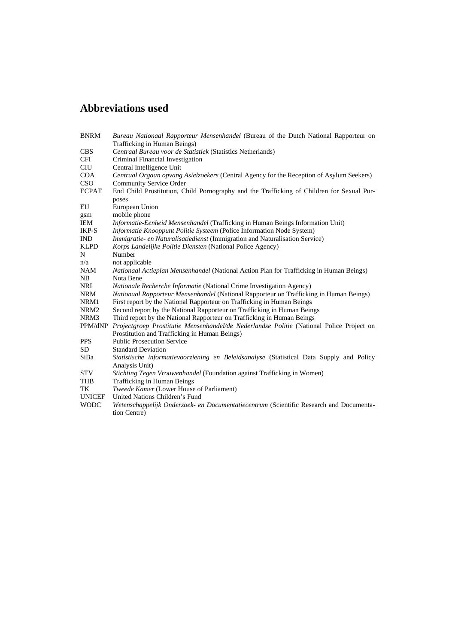# **Abbreviations used**

| <b>BNRM</b>      | Bureau Nationaal Rapporteur Mensenhandel (Bureau of the Dutch National Rapporteur on      |
|------------------|-------------------------------------------------------------------------------------------|
|                  | Trafficking in Human Beings)                                                              |
| <b>CBS</b>       | Centraal Bureau voor de Statistiek (Statistics Netherlands)                               |
| <b>CFI</b>       | Criminal Financial Investigation                                                          |
| <b>CIU</b>       | Central Intelligence Unit                                                                 |
| <b>COA</b>       | Centraal Orgaan opvang Asielzoekers (Central Agency for the Reception of Asylum Seekers)  |
| <b>CSO</b>       | <b>Community Service Order</b>                                                            |
| <b>ECPAT</b>     | End Child Prostitution, Child Pornography and the Trafficking of Children for Sexual Pur- |
|                  | poses                                                                                     |
| EU               | European Union                                                                            |
| gsm              | mobile phone                                                                              |
| <b>IEM</b>       | Informatie-Eenheid Mensenhandel (Trafficking in Human Beings Information Unit)            |
| IKP-S            | Informatie Knooppunt Politie Systeem (Police Information Node System)                     |
| <b>IND</b>       | Immigratie- en Naturalisatiedienst (Immigration and Naturalisation Service)               |
| <b>KLPD</b>      | Korps Landelijke Politie Diensten (National Police Agency)                                |
| N                | Number                                                                                    |
| n/a              | not applicable                                                                            |
| <b>NAM</b>       | Nationaal Actieplan Mensenhandel (National Action Plan for Trafficking in Human Beings)   |
| NB               | Nota Bene                                                                                 |
| NRI              | Nationale Recherche Informatie (National Crime Investigation Agency)                      |
| <b>NRM</b>       | Nationaal Rapporteur Mensenhandel (National Rapporteur on Trafficking in Human Beings)    |
| NRM1             | First report by the National Rapporteur on Trafficking in Human Beings                    |
| NRM <sub>2</sub> | Second report by the National Rapporteur on Trafficking in Human Beings                   |
| NRM3             | Third report by the National Rapporteur on Trafficking in Human Beings                    |
| PPM/dNP          | Projectgroep Prostitutie Mensenhandel/de Nederlandse Politie (National Police Project on  |
|                  | Prostitution and Trafficking in Human Beings)                                             |
| <b>PPS</b>       | <b>Public Prosecution Service</b>                                                         |
| <b>SD</b>        | <b>Standard Deviation</b>                                                                 |
| SiBa             | Statistische informatievoorziening en Beleidsanalyse (Statistical Data Supply and Policy  |
|                  | Analysis Unit)                                                                            |
| <b>STV</b>       | Stichting Tegen Vrouwenhandel (Foundation against Trafficking in Women)                   |
| <b>THB</b>       | Trafficking in Human Beings                                                               |
| TK               | Tweede Kamer (Lower House of Parliament)                                                  |
| <b>UNICEF</b>    | United Nations Children's Fund                                                            |
| <b>WODC</b>      | Wetenschappelijk Onderzoek- en Documentatiecentrum (Scientific Research and Documenta-    |
|                  | tion Centre)                                                                              |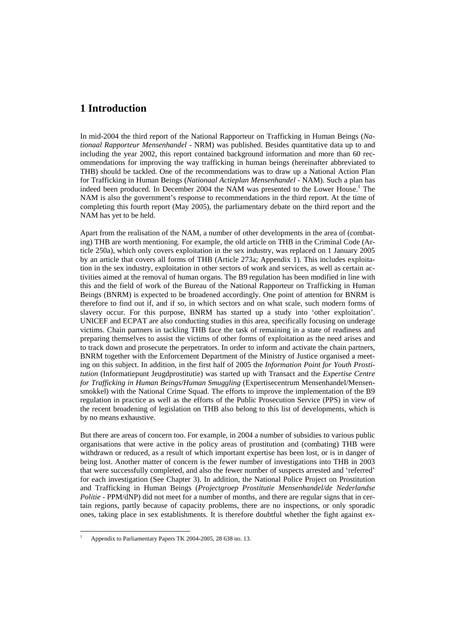# **1 Introduction**

In mid-2004 the third report of the National Rapporteur on Trafficking in Human Beings (*Nationaal Rapporteur Mensenhandel* - NRM) was published. Besides quantitative data up to and including the year 2002, this report contained background information and more than 60 recommendations for improving the way trafficking in human beings (hereinafter abbreviated to THB) should be tackled. One of the recommendations was to draw up a National Action Plan for Trafficking in Human Beings (*Nationaal Actieplan Mensenhandel -* NAM). Such a plan has indeed been produced. In December 2004 the NAM was presented to the Lower House.<sup>1</sup> The NAM is also the government's response to recommendations in the third report. At the time of completing this fourth report (May 2005), the parliamentary debate on the third report and the NAM has yet to be held.

Apart from the realisation of the NAM, a number of other developments in the area of (combating) THB are worth mentioning. For example, the old article on THB in the Criminal Code (Article 250a), which only covers exploitation in the sex industry, was replaced on 1 January 2005 by an article that covers all forms of THB (Article 273a; Appendix 1). This includes exploitation in the sex industry, exploitation in other sectors of work and services, as well as certain activities aimed at the removal of human organs. The B9 regulation has been modified in line with this and the field of work of the Bureau of the National Rapporteur on Trafficking in Human Beings (BNRM) is expected to be broadened accordingly. One point of attention for BNRM is therefore to find out if, and if so, in which sectors and on what scale, such modern forms of slavery occur. For this purpose, BNRM has started up a study into 'other exploitation'. UNICEF and ECPAT are also conducting studies in this area, specifically focusing on underage victims. Chain partners in tackling THB face the task of remaining in a state of readiness and preparing themselves to assist the victims of other forms of exploitation as the need arises and to track down and prosecute the perpetrators. In order to inform and activate the chain partners, BNRM together with the Enforcement Department of the Ministry of Justice organised a meeting on this subject. In addition, in the first half of 2005 the *Information Point for Youth Prostitution* (Informatiepunt Jeugdprostitutie) was started up with Transact and the *Expertise Centre for Trafficking in Human Beings/Human Smuggling* (Expertisecentrum Mensenhandel/Mensensmokkel) with the National Crime Squad. The efforts to improve the implementation of the B9 regulation in practice as well as the efforts of the Public Prosecution Service (PPS) in view of the recent broadening of legislation on THB also belong to this list of developments, which is by no means exhaustive.

But there are areas of concern too. For example, in 2004 a number of subsidies to various public organisations that were active in the policy areas of prostitution and (combating) THB were withdrawn or reduced, as a result of which important expertise has been lost, or is in danger of being lost. Another matter of concern is the fewer number of investigations into THB in 2003 that were successfully completed, and also the fewer number of suspects arrested and 'referred' for each investigation (See Chapter 3). In addition, the National Police Project on Prostitution and Trafficking in Human Beings (*Projectgroep Prostitutie Mensenhandel/de Nederlandse Politie* - PPM/dNP) did not meet for a number of months, and there are regular signs that in certain regions, partly because of capacity problems, there are no inspections, or only sporadic ones, taking place in sex establishments. It is therefore doubtful whether the fight against ex-

l

<sup>1</sup> Appendix to Parliamentary Papers TK 2004-2005, 28 638 no. 13.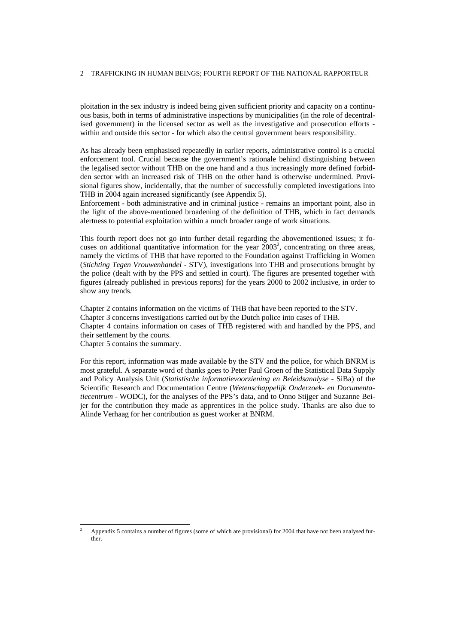ploitation in the sex industry is indeed being given sufficient priority and capacity on a continuous basis, both in terms of administrative inspections by municipalities (in the role of decentralised government) in the licensed sector as well as the investigative and prosecution efforts within and outside this sector - for which also the central government bears responsibility.

As has already been emphasised repeatedly in earlier reports, administrative control is a crucial enforcement tool. Crucial because the government's rationale behind distinguishing between the legalised sector without THB on the one hand and a thus increasingly more defined forbidden sector with an increased risk of THB on the other hand is otherwise undermined. Provisional figures show, incidentally, that the number of successfully completed investigations into THB in 2004 again increased significantly (see Appendix 5).

Enforcement - both administrative and in criminal justice - remains an important point, also in the light of the above-mentioned broadening of the definition of THB, which in fact demands alertness to potential exploitation within a much broader range of work situations.

This fourth report does not go into further detail regarding the abovementioned issues; it focuses on additional quantitative information for the year  $2003^2$ , concentrating on three areas, namely the victims of THB that have reported to the Foundation against Trafficking in Women (*Stichting Tegen Vrouwenhandel* - STV), investigations into THB and prosecutions brought by the police (dealt with by the PPS and settled in court). The figures are presented together with figures (already published in previous reports) for the years 2000 to 2002 inclusive, in order to show any trends.

Chapter 2 contains information on the victims of THB that have been reported to the STV. Chapter 3 concerns investigations carried out by the Dutch police into cases of THB. Chapter 4 contains information on cases of THB registered with and handled by the PPS, and their settlement by the courts.

Chapter 5 contains the summary.

For this report, information was made available by the STV and the police, for which BNRM is most grateful. A separate word of thanks goes to Peter Paul Groen of the Statistical Data Supply and Policy Analysis Unit (*Statistische informatievoorziening en Beleidsanalyse* - SiBa) of the Scientific Research and Documentation Centre (*Wetenschappelijk Onderzoek- en Documentatiecentrum* - WODC), for the analyses of the PPS's data, and to Onno Stijger and Suzanne Beijer for the contribution they made as apprentices in the police study. Thanks are also due to Alinde Verhaag for her contribution as guest worker at BNRM.

 $\overline{2}$ 2 Appendix 5 contains a number of figures (some of which are provisional) for 2004 that have not been analysed further.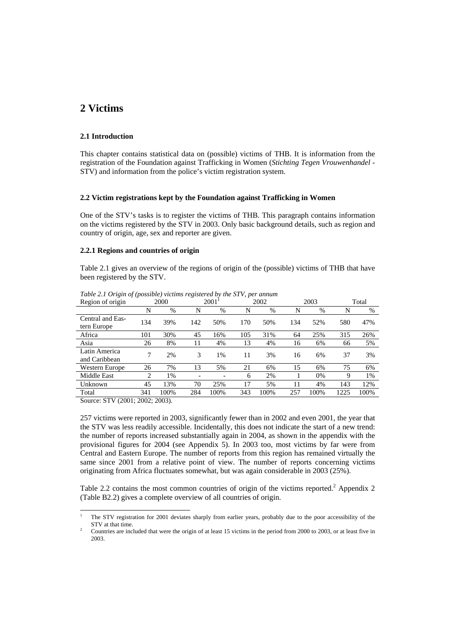# **2 Victims**

# **2.1 Introduction**

This chapter contains statistical data on (possible) victims of THB. It is information from the registration of the Foundation against Trafficking in Women (*Stichting Tegen Vrouwenhandel* - STV) and information from the police's victim registration system.

### **2.2 Victim registrations kept by the Foundation against Trafficking in Women**

One of the STV's tasks is to register the victims of THB. This paragraph contains information on the victims registered by the STV in 2003. Only basic background details, such as region and country of origin, age, sex and reporter are given.

### **2.2.1 Regions and countries of origin**

Table 2.1 gives an overview of the regions of origin of the (possible) victims of THB that have been registered by the STV.

| Region of origin   |     | 2000 | $\tilde{}$ | 2001 |     | 2002 |     | 2003 |      | Total |
|--------------------|-----|------|------------|------|-----|------|-----|------|------|-------|
|                    | N   | %    | N          | %    | N   | %    | N   | $\%$ | N    | %     |
| Central and Eas-   | 134 | 39%  | 142        | 50%  | 170 | 50%  | 134 | 52%  | 580  | 47%   |
| tern Europe        |     |      |            |      |     |      |     |      |      |       |
| Africa             | 101 | 30%  | 45         | 16%  | 105 | 31%  | 64  | 25%  | 315  | 26%   |
| Asia               | 26  | 8%   | 11         | 4%   | 13  | 4%   | 16  | 6%   | 66   | 5%    |
| Latin America      | 7   | 2%   | 3          | 1%   | 11  | 3%   | 16  | 6%   | 37   | 3%    |
| and Caribbean      |     |      |            |      |     |      |     |      |      |       |
| Western Europe     | 26  | 7%   | 13         | 5%   | 21  | 6%   | 15  | 6%   | 75   | 6%    |
| <b>Middle East</b> | 2   | 1%   |            | ۰    | 6   | 2%   |     | 0%   | 9    | 1%    |
| Unknown            | 45  | 13%  | 70         | 25%  | 17  | 5%   | 11  | 4%   | 143  | 12%   |
| Total              | 341 | 100% | 284        | 100% | 343 | 100% | 257 | 100% | 1225 | 100%  |

*Table 2.1 Origin of (possible) victims registered by the STV, per annum*

Source: STV (2001; 2002; 2003).

257 victims were reported in 2003, significantly fewer than in 2002 and even 2001, the year that the STV was less readily accessible. Incidentally, this does not indicate the start of a new trend: the number of reports increased substantially again in 2004, as shown in the appendix with the provisional figures for 2004 (see Appendix 5). In 2003 too, most victims by far were from Central and Eastern Europe. The number of reports from this region has remained virtually the same since 2001 from a relative point of view. The number of reports concerning victims originating from Africa fluctuates somewhat, but was again considerable in 2003 (25%).

Table 2.2 contains the most common countries of origin of the victims reported.<sup>2</sup> Appendix 2 (Table B2.2) gives a complete overview of all countries of origin.

 $\mathbf{1}$ 1 The STV registration for 2001 deviates sharply from earlier years, probably due to the poor accessibility of the STV at that time.<br><sup>2</sup> Countries are included that were the origin of at least 15 victims in the period from 2000 to 2003, or at least five in

<sup>2003.</sup>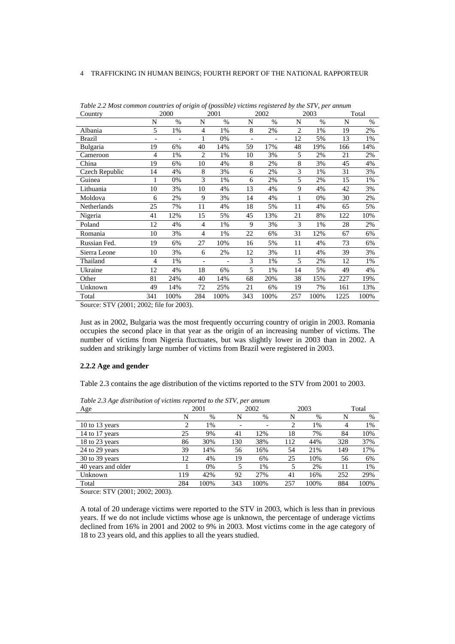| Country                                                           |     | 2000 |                | 2001 |     | 2002 |                | 2003 |      | Total |
|-------------------------------------------------------------------|-----|------|----------------|------|-----|------|----------------|------|------|-------|
|                                                                   | N   | $\%$ | N              | $\%$ | N   | $\%$ | N              | $\%$ | N    | $\%$  |
| Albania                                                           | 5   | 1%   | 4              | 1%   | 8   | 2%   | $\overline{2}$ | 1%   | 19   | 2%    |
| Brazil                                                            |     |      | 1              | 0%   |     |      | 12             | 5%   | 13   | 1%    |
| Bulgaria                                                          | 19  | 6%   | 40             | 14%  | 59  | 17%  | 48             | 19%  | 166  | 14%   |
| Cameroon                                                          | 4   | 1%   | $\overline{c}$ | 1%   | 10  | 3%   | 5              | 2%   | 21   | 2%    |
| China                                                             | 19  | 6%   | 10             | 4%   | 8   | 2%   | 8              | 3%   | 45   | 4%    |
| Czech Republic                                                    | 14  | 4%   | 8              | 3%   | 6   | 2%   | 3              | 1%   | 31   | 3%    |
| Guinea                                                            |     | 0%   | 3              | 1%   | 6   | 2%   | 5              | 2%   | 15   | 1%    |
| Lithuania                                                         | 10  | 3%   | 10             | 4%   | 13  | 4%   | 9              | 4%   | 42   | 3%    |
| Moldova                                                           | 6   | 2%   | 9              | 3%   | 14  | 4%   | 1              | 0%   | 30   | 2%    |
| <b>Netherlands</b>                                                | 25  | 7%   | 11             | 4%   | 18  | 5%   | 11             | 4%   | 65   | 5%    |
| Nigeria                                                           | 41  | 12%  | 15             | 5%   | 45  | 13%  | 21             | 8%   | 122  | 10%   |
| Poland                                                            | 12  | 4%   | 4              | 1%   | 9   | 3%   | 3              | 1%   | 28   | 2%    |
| Romania                                                           | 10  | 3%   | $\overline{4}$ | 1%   | 22  | 6%   | 31             | 12%  | 67   | 6%    |
| Russian Fed.                                                      | 19  | 6%   | 27             | 10%  | 16  | 5%   | 11             | 4%   | 73   | 6%    |
| Sierra Leone                                                      | 10  | 3%   | 6              | 2%   | 12  | 3%   | 11             | 4%   | 39   | 3%    |
| Thailand                                                          | 4   | 1%   |                |      | 3   | 1%   | 5              | 2%   | 12   | 1%    |
| Ukraine                                                           | 12  | 4%   | 18             | 6%   | 5   | 1%   | 14             | 5%   | 49   | 4%    |
| Other                                                             | 81  | 24%  | 40             | 14%  | 68  | 20%  | 38             | 15%  | 227  | 19%   |
| Unknown                                                           | 49  | 14%  | 72             | 25%  | 21  | 6%   | 19             | 7%   | 161  | 13%   |
| Total<br>$C T V / Q Q Q 1$ $Q Q Q Q$ $C1$ $C$ $Q Q Q Q$<br>$\sim$ | 341 | 100% | 284            | 100% | 343 | 100% | 257            | 100% | 1225 | 100%  |

*Table 2.2 Most common countries of origin of (possible) victims registered by the STV, per annum*

Source: STV (2001; 2002; file for 2003).

Just as in 2002, Bulgaria was the most frequently occurring country of origin in 2003. Romania occupies the second place in that year as the origin of an increasing number of victims. The number of victims from Nigeria fluctuates, but was slightly lower in 2003 than in 2002. A sudden and strikingly large number of victims from Brazil were registered in 2003.

### **2.2.2 Age and gender**

Table 2.3 contains the age distribution of the victims reported to the STV from 2001 to 2003.

| Age                | 2001 |      |     | 2002 |     | 2003 |     | Total |
|--------------------|------|------|-----|------|-----|------|-----|-------|
|                    | N    | $\%$ | N   | %    | N   | $\%$ | N   | $\%$  |
| 10 to 13 years     | ∍    | 1%   |     |      | 2   | 1%   | 4   | 1%    |
| 14 to 17 years     | 25   | 9%   | 41  | 12%  | 18  | 7%   | 84  | 10%   |
| 18 to 23 years     | 86   | 30%  | 130 | 38%  | 112 | 44%  | 328 | 37%   |
| 24 to 29 years     | 39   | 14%  | 56  | 16%  | 54  | 21%  | 149 | 17%   |
| 30 to 39 years     | 12   | 4%   | 19  | 6%   | 25  | 10%  | 56  | 6%    |
| 40 years and older |      | 0%   | 5   | 1%   |     | 2%   | 11  | 1%    |
| Unknown            | 119  | 42%  | 92  | 27%  | 41  | 16%  | 252 | 29%   |
| Total              | 284  | 100% | 343 | 100% | 257 | 100% | 884 | 100%  |

*Table 2.3 Age distribution of victims reported to the STV, per annum* 

Source: STV (2001; 2002; 2003).

A total of 20 underage victims were reported to the STV in 2003, which is less than in previous years. If we do not include victims whose age is unknown, the percentage of underage victims declined from 16% in 2001 and 2002 to 9% in 2003. Most victims come in the age category of 18 to 23 years old, and this applies to all the years studied.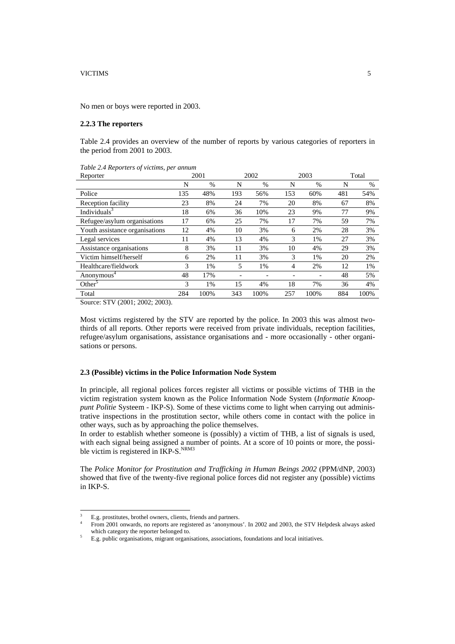No men or boys were reported in 2003.

### **2.2.3 The reporters**

Table 2.4 provides an overview of the number of reports by various categories of reporters in the period from 2001 to 2003.

| $\sim$ $\blacksquare$<br>Reporter | 2001 |      |     | 2002 |     | 2003 |     | Total         |  |
|-----------------------------------|------|------|-----|------|-----|------|-----|---------------|--|
|                                   | N    | $\%$ | N   | $\%$ | N   | $\%$ | N   | $\frac{0}{0}$ |  |
| Police                            | 135  | 48%  | 193 | 56%  | 153 | 60%  | 481 | 54%           |  |
| Reception facility                | 23   | 8%   | 24  | 7%   | 20  | 8%   | 67  | 8%            |  |
| Individuals <sup>3</sup>          | 18   | 6%   | 36  | 10%  | 23  | 9%   | 77  | 9%            |  |
| Refugee/asylum organisations      | 17   | 6%   | 25  | 7%   | 17  | 7%   | 59  | 7%            |  |
| Youth assistance organisations    | 12   | 4%   | 10  | 3%   | 6   | 2%   | 28  | 3%            |  |
| Legal services                    | 11   | 4%   | 13  | 4%   | 3   | 1%   | 27  | 3%            |  |
| Assistance organisations          | 8    | 3%   | 11  | 3%   | 10  | 4%   | 29  | 3%            |  |
| Victim himself/herself            | 6    | 2%   | 11  | 3%   | 3   | 1%   | 20  | 2%            |  |
| Healthcare/fieldwork              | 3    | 1%   | 5   | 1%   | 4   | 2%   | 12  | 1%            |  |
| $\Delta$ nonymous <sup>4</sup>    | 48   | 17%  | ٠   |      |     |      | 48  | 5%            |  |
| Other <sup>5</sup>                | 3    | 1%   | 15  | 4%   | 18  | 7%   | 36  | 4%            |  |
| Total                             | 284  | 100% | 343 | 100% | 257 | 100% | 884 | 100%          |  |

*Table 2.4 Reporters of victims, per annum* 

Source: STV (2001; 2002; 2003).

Most victims registered by the STV are reported by the police. In 2003 this was almost twothirds of all reports. Other reports were received from private individuals, reception facilities, refugee/asylum organisations, assistance organisations and - more occasionally - other organisations or persons.

### **2.3 (Possible) victims in the Police Information Node System**

In principle, all regional polices forces register all victims or possible victims of THB in the victim registration system known as the Police Information Node System (*Informatie Knooppunt Politie* Systeem - IKP-S). Some of these victims come to light when carrying out administrative inspections in the prostitution sector, while others come in contact with the police in other ways, such as by approaching the police themselves.

In order to establish whether someone is (possibly) a victim of THB, a list of signals is used, with each signal being assigned a number of points. At a score of 10 points or more, the possible victim is registered in IKP- $S$ <sup>NRM3</sup>

The *Police Monitor for Prostitution and Trafficking in Human Beings 2002* (PPM/dNP, 2003) showed that five of the twenty-five regional police forces did not register any (possible) victims in IKP-S.

<sup>-&</sup>lt;br>3

E.g. prostitutes, brothel owners, clients, friends and partners.<br>  $\frac{4}{100}$  From 2001 onwards, no reports are registered as 'anonymous'. In 2002 and 2003, the STV Helpdesk always asked which category the reporter belonged to.

E.g. public organisations, migrant organisations, associations, foundations and local initiatives.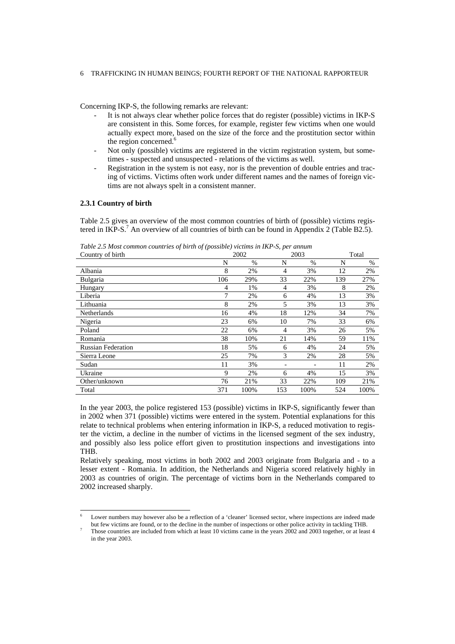Concerning IKP-S, the following remarks are relevant:

- It is not always clear whether police forces that do register (possible) victims in IKP-S are consistent in this. Some forces, for example, register few victims when one would actually expect more, based on the size of the force and the prostitution sector within the region concerned.<sup>6</sup>
- Not only (possible) victims are registered in the victim registration system, but sometimes - suspected and unsuspected - relations of the victims as well.
- Registration in the system is not easy, nor is the prevention of double entries and tracing of victims. Victims often work under different names and the names of foreign victims are not always spelt in a consistent manner.

### **2.3.1 Country of birth**

Table 2.5 gives an overview of the most common countries of birth of (possible) victims registered in IKP-S.<sup>7</sup> An overview of all countries of birth can be found in Appendix 2 (Table B2.5).

| Country of birth          | 2002 |      |     | 2003 |     | Total |  |  |
|---------------------------|------|------|-----|------|-----|-------|--|--|
|                           | N    | $\%$ | N   | $\%$ | N   | $\%$  |  |  |
| Albania                   | 8    | 2%   | 4   | 3%   | 12  | 2%    |  |  |
| Bulgaria                  | 106  | 29%  | 33  | 22%  | 139 | 27%   |  |  |
| Hungary                   | 4    | 1%   | 4   | 3%   | 8   | 2%    |  |  |
| Liberia                   | 7    | 2%   | 6   | 4%   | 13  | 3%    |  |  |
| Lithuania                 | 8    | 2%   | 5   | 3%   | 13  | 3%    |  |  |
| Netherlands               | 16   | 4%   | 18  | 12%  | 34  | 7%    |  |  |
| Nigeria                   | 23   | 6%   | 10  | 7%   | 33  | 6%    |  |  |
| Poland                    | 22   | 6%   | 4   | 3%   | 26  | 5%    |  |  |
| Romania                   | 38   | 10%  | 21  | 14%  | 59  | 11%   |  |  |
| <b>Russian Federation</b> | 18   | 5%   | 6   | 4%   | 24  | 5%    |  |  |
| Sierra Leone              | 25   | 7%   | 3   | 2%   | 28  | 5%    |  |  |
| Sudan                     | 11   | 3%   |     |      | 11  | 2%    |  |  |
| Ukraine                   | 9    | 2%   | 6   | 4%   | 15  | 3%    |  |  |
| Other/unknown             | 76   | 21%  | 33  | 22%  | 109 | 21%   |  |  |
| Total                     | 371  | 100% | 153 | 100% | 524 | 100%  |  |  |

*Table 2.5 Most common countries of birth of (possible) victims in IKP-S, per annum* 

In the year 2003, the police registered 153 (possible) victims in IKP-S, significantly fewer than in 2002 when 371 (possible) victims were entered in the system. Potential explanations for this relate to technical problems when entering information in IKP-S, a reduced motivation to register the victim, a decline in the number of victims in the licensed segment of the sex industry, and possibly also less police effort given to prostitution inspections and investigations into THB.

Relatively speaking, most victims in both 2002 and 2003 originate from Bulgaria and - to a lesser extent - Romania. In addition, the Netherlands and Nigeria scored relatively highly in 2003 as countries of origin. The percentage of victims born in the Netherlands compared to 2002 increased sharply.

<sup>6</sup> Lower numbers may however also be a reflection of a 'cleaner' licensed sector, where inspections are indeed made but few victims are found, or to the decline in the number of inspections or other police activity in tackling THB.<br><sup>7</sup> Those countries are included from which at least 10 victims came in the years 2002 and 2003 together,

in the year 2003.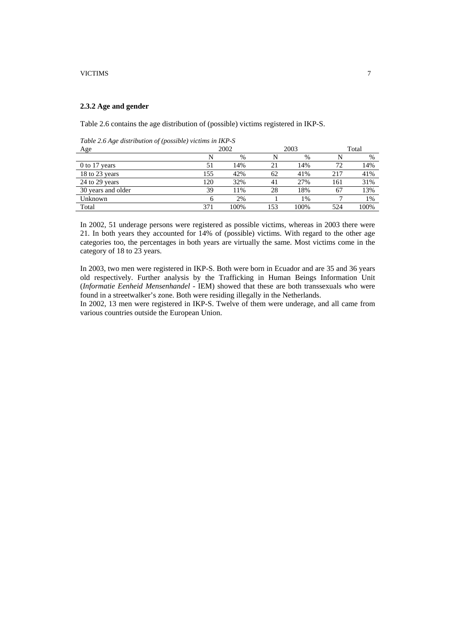#### **2.3.2 Age and gender**

Table 2.6 contains the age distribution of (possible) victims registered in IKP-S.

Age 2002 2003 Total N % N % N % 0 to 17 years 51 14% 21 14% 72 14% 18 to 23 years 155 42% 62 41% 217 41% 24 to 29 years 120 32% 41 27% 161 31% 30 years and older 39 11% 28 18% 67 13% Unknown 6 2% 1 1% 7 1% Total 371 100% 153 100% 524 100%

*Table 2.6 Age distribution of (possible) victims in IKP-S* 

In 2002, 51 underage persons were registered as possible victims, whereas in 2003 there were 21. In both years they accounted for 14% of (possible) victims. With regard to the other age categories too, the percentages in both years are virtually the same. Most victims come in the category of 18 to 23 years.

In 2003, two men were registered in IKP-S. Both were born in Ecuador and are 35 and 36 years old respectively. Further analysis by the Trafficking in Human Beings Information Unit (*Informatie Eenheid Mensenhandel* - IEM) showed that these are both transsexuals who were found in a streetwalker's zone. Both were residing illegally in the Netherlands.

In 2002, 13 men were registered in IKP-S. Twelve of them were underage, and all came from various countries outside the European Union.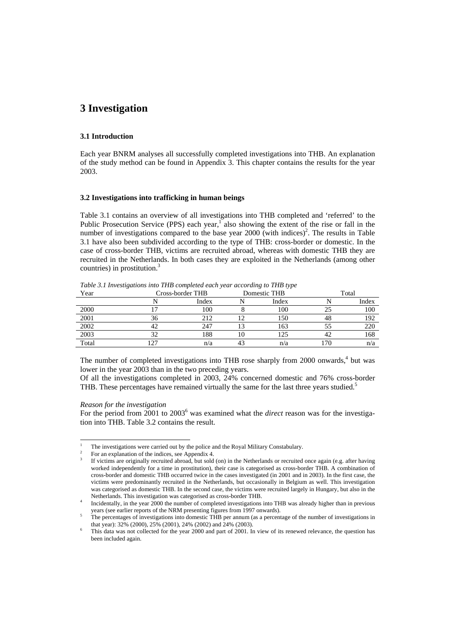# **3 Investigation**

# **3.1 Introduction**

Each year BNRM analyses all successfully completed investigations into THB. An explanation of the study method can be found in Appendix 3. This chapter contains the results for the year 2003.

# **3.2 Investigations into trafficking in human beings**

Table 3.1 contains an overview of all investigations into THB completed and 'referred' to the Public Prosecution Service (PPS) each year,<sup>1</sup> also showing the extent of the rise or fall in the number of investigations compared to the base year  $2000$  (with indices)<sup>2</sup>. The results in Table 3.1 have also been subdivided according to the type of THB: cross-border or domestic. In the case of cross-border THB, victims are recruited abroad, whereas with domestic THB they are recruited in the Netherlands. In both cases they are exploited in the Netherlands (among other countries) in prostitution.3

| Year  | Cross-border THB |       |    | Domestic THB | Total |       |  |
|-------|------------------|-------|----|--------------|-------|-------|--|
|       |                  | Index |    | Index        |       | Index |  |
| 2000  |                  | 100   |    | 100          | 25    | 100   |  |
| 2001  | 36               | 212   |    | 150          | 48    | 192   |  |
| 2002  | 42               | 247   |    | 163          | 55    | 220   |  |
| 2003  | 32               | 188   | 10 | 125          | 42    | 168   |  |
| Total | 27               | n/a   |    | n/a          | 170   | n/a   |  |
|       |                  |       |    |              |       |       |  |

*Table 3.1 Investigations into THB completed each year according to THB type*

The number of completed investigations into THB rose sharply from  $2000$  onwards,<sup>4</sup> but was lower in the year 2003 than in the two preceding years.

Of all the investigations completed in 2003, 24% concerned domestic and 76% cross-border THB. These percentages have remained virtually the same for the last three years studied.<sup>5</sup>

### *Reason for the investigation*

For the period from 2001 to 2003<sup>6</sup> was examined what the *direct* reason was for the investigation into THB. Table 3.2 contains the result.

 $\frac{1}{1}$ <sup>1</sup> The investigations were carried out by the police and the Royal Military Constabulary.<br><sup>2</sup> Equipment of the indices see Annendix 4

For an explanation of the indices, see Appendix 4.

<sup>3</sup> If victims are originally recruited abroad, but sold (on) in the Netherlands or recruited once again (e.g. after having worked independently for a time in prostitution), their case is categorised as cross-border THB. A combination of cross-border and domestic THB occurred twice in the cases investigated (in 2001 and in 2003). In the first case, the victims were predominantly recruited in the Netherlands, but occasionally in Belgium as well. This investigation was categorised as domestic THB. In the second case, the victims were recruited largely in Hungary, but also in the Netherlands. This investigation was categorised as cross-border THB.<br>4 Incidentally in the year 2000 the number of completed investigations

Incidentally, in the year 2000 the number of completed investigations into THB was already higher than in previous years (see earlier reports of the NRM presenting figures from 1997 onwards).<br>
The noncontages of investigations into dematic TUP non annum (see a parameter)

The percentages of investigations into domestic THB per annum (as a percentage of the number of investigations in that year): 32% (2000), 25% (2001), 24% (2002) and 24% (2003).<br><sup>6</sup> This data was not called also for the way 2000 and age of 2001. In

This data was not collected for the year 2000 and part of 2001. In view of its renewed relevance, the question has been included again.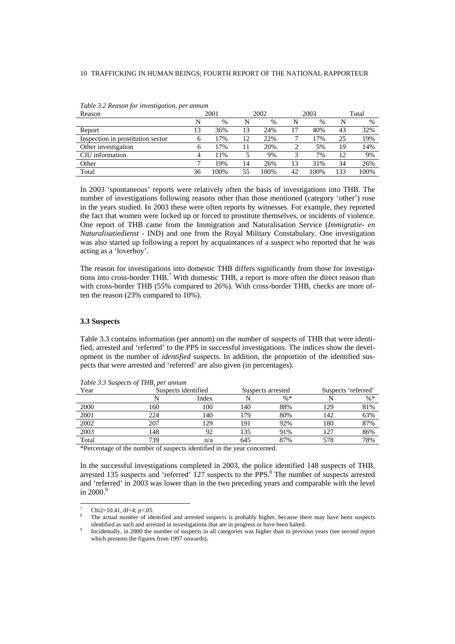| $\cdot$<br>$\sim$<br>. .<br>Reason |    | 2001 |    | 2002 |    | 2003 |     | Total |
|------------------------------------|----|------|----|------|----|------|-----|-------|
|                                    | N  | $\%$ | N  | %    | N  | $\%$ | N   | $\%$  |
| Report                             | 13 | 36%  | 13 | 24%  | 17 | 40%  | 43  | 32%   |
| Inspection in prostitution sector  | 6  | 17%  | 12 | 22%  |    | 17%  | 25  | 19%   |
| Other investigation                | 6  | 17%  | 11 | 20%  | C  | 5%   | 19  | 14%   |
| CIU information                    |    | 11%  |    | 9%   | 3  | 7%   | 12  | 9%    |
| Other                              | ⇁  | 19%  | 14 | 26%  | 13 | 31%  | 34  | 26%   |
| Total                              | 36 | 100% | 55 | 100% | 42 | 100% | 133 | 100%  |
|                                    |    |      |    |      |    |      |     |       |

*Table 3.2 Reason for investigation, per annum* 

In 2003 'spontaneous' reports were relatively often the basis of investigations into THB. The number of investigations following reasons other than those mentioned (category 'other') rose in the years studied. In 2003 these were often reports by witnesses. For example, they reported the fact that women were locked up or forced to prostitute themselves, or incidents of violence. One report of THB came from the Immigration and Naturalisation Service (*Immigratie- en Naturalisatiedienst* - IND) and one from the Royal Military Constabulary. One investigation was also started up following a report by acquaintances of a suspect who reported that he was acting as a 'loverboy'.

The reason for investigations into domestic THB differs significantly from those for investigations into cross-border THB.<sup>7</sup> With domestic THB, a report is more often the direct reason than with cross-border THB (55% compared to 26%). With cross-border THB, checks are more often the reason (23% compared to 10%).

### **3.3 Suspects**

Table 3.3 contains information (per annum) on the number of suspects of THB that were identified, arrested and 'referred' to the PPS in successful investigations. The indices show the development in the number of *identified* suspects. In addition, the proportion of the identified suspects that were arrested and 'referred' are also given (in percentages).

| Year  |     | Suspects identified |     | Suspects arrested | Suspects 'referred' |       |  |
|-------|-----|---------------------|-----|-------------------|---------------------|-------|--|
|       |     | Index               |     | $\% *$            |                     | $% *$ |  |
| 2000  | 160 | 100                 | 140 | 88%               | 129                 | 81%   |  |
| 2001  | 224 | 140                 | 179 | 80%               | 142                 | 63%   |  |
| 2002  | 207 | 29                  | 191 | 92%               | 180                 | 87%   |  |
| 2003  | 148 | 92                  | 135 | 91%               | 127                 | 86%   |  |
| Total | 739 | n/a                 | 645 | 87%               | 578                 | 78%   |  |

*Table 3.3 Suspects of THB, per annum*

\*Percentage of the number of suspects identified in the year concerned.

In the successful investigations completed in 2003, the police identified 148 suspects of THB, arrested 135 suspects and 'referred' 127 suspects to the PPS.<sup>8</sup> The number of suspects arrested and 'referred' in 2003 was lower than in the two preceding years and comparable with the level in  $2000.<sup>9</sup>$ 

<sup>-&</sup>lt;br>7 Chi2=10.41, df=4;  $p<0.05$ .

<sup>8</sup> The actual number of identified and arrested suspects is probably higher, because there may have been suspects identified as such and arrested in investigations that are in progress or have been halted.

Incidentally, in 2000 the number of suspects in all categories was higher than in previous years (see second report which presents the figures from 1997 onwards).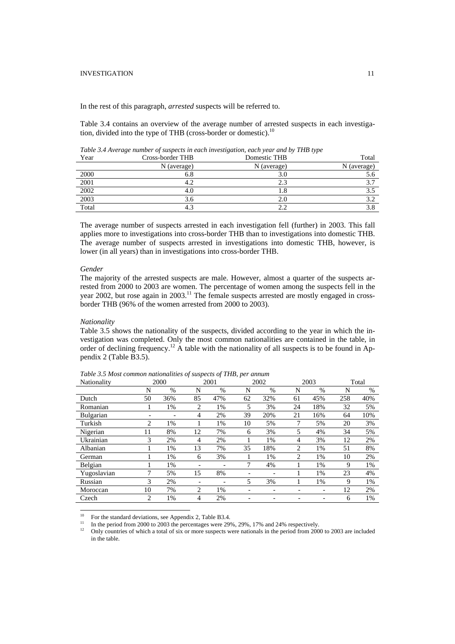In the rest of this paragraph, *arrested* suspects will be referred to.

Table 3.4 contains an overview of the average number of arrested suspects in each investigation, divided into the type of THB (cross-border or domestic).<sup>10</sup>

| Year  | Cross-border THB | Domestic THB | Total       |
|-------|------------------|--------------|-------------|
|       | N (average)      | N (average)  | N (average) |
| 2000  | 6.8              | 3.0          | 5.6         |
| 2001  | 4.2              | 2.3          | 3.7         |
| 2002  | 4.0              | 1.8          |             |
| 2003  | 3.6              | 2.0          |             |
| Total | 4.3              |              | 3.8         |

*Table 3.4 Average number of suspects in each investigation, each year and by THB type* 

The average number of suspects arrested in each investigation fell (further) in 2003. This fall applies more to investigations into cross-border THB than to investigations into domestic THB. The average number of suspects arrested in investigations into domestic THB, however, is lower (in all years) than in investigations into cross-border THB.

#### *Gender*

The majority of the arrested suspects are male. However, almost a quarter of the suspects arrested from 2000 to 2003 are women. The percentage of women among the suspects fell in the year 2002, but rose again in  $2003$ .<sup>11</sup> The female suspects arrested are mostly engaged in crossborder THB (96% of the women arrested from 2000 to 2003).

#### *Nationality*

Table 3.5 shows the nationality of the suspects, divided according to the year in which the investigation was completed. Only the most common nationalities are contained in the table, in order of declining frequency.<sup>12</sup> A table with the nationality of all suspects is to be found in Appendix 2 (Table B3.5).

| Nationality      |    | 2000 | 2001                     |      |    | 2002          |                | 2003 | Total |     |  |
|------------------|----|------|--------------------------|------|----|---------------|----------------|------|-------|-----|--|
|                  | N  | $\%$ | N                        | $\%$ | N  | $\frac{0}{0}$ | N              | $\%$ | N     | %   |  |
| Dutch            | 50 | 36%  | 85                       | 47%  | 62 | 32%           | 61             | 45%  | 258   | 40% |  |
| Romanian         |    | 1%   | $\overline{2}$           | 1%   | 5  | 3%            | 24             | 18%  | 32    | 5%  |  |
| <b>Bulgarian</b> |    |      | $\overline{4}$           | 2%   | 39 | 20%           | 21             | 16%  | 64    | 10% |  |
| Turkish          | 2  | 1%   |                          | 1%   | 10 | 5%            |                | 5%   | 20    | 3%  |  |
| Nigerian         | 11 | 8%   | 12                       | 7%   | 6  | 3%            | 5              | 4%   | 34    | 5%  |  |
| Ukrainian        | 3  | 2%   | $\overline{4}$           | 2%   |    | 1%            | 4              | 3%   | 12    | 2%  |  |
| Albanian         |    | 1%   | 13                       | 7%   | 35 | 18%           | $\overline{c}$ | 1%   | 51    | 8%  |  |
| German           |    | 1%   | 6                        | 3%   |    | 1%            | $\overline{c}$ | 1%   | 10    | 2%  |  |
| Belgian          |    | 1%   | $\overline{\phantom{0}}$ |      | 7  | 4%            |                | 1%   | 9     | 1%  |  |
| Yugoslavian      |    | 5%   | 15                       | 8%   |    |               |                | 1%   | 23    | 4%  |  |
| Russian          | 3  | 2%   | -                        |      | 5  | 3%            |                | 1%   | 9     | 1%  |  |
| Moroccan         | 10 | 7%   | 2                        | 1%   |    |               |                |      | 12    | 2%  |  |
| Czech            | 2  | 1%   | 4                        | 2%   |    |               |                |      | 6     | 1%  |  |

*Table 3.5 Most common nationalities of suspects of THB, per annum* 

 $10<sup>10</sup>$ 

<sup>10</sup> For the standard deviations, see Appendix 2, Table B3.4.<br><sup>11</sup> In the period from 2000 to 2003 the percentages were 29%, 29%, 17% and 24% respectively.<br><sup>12</sup> Only countries of which a total of six or more suspects were

12 Only countries of which a total of six or more suspects were nationals in the period from 2000 to 2003 are included in the table.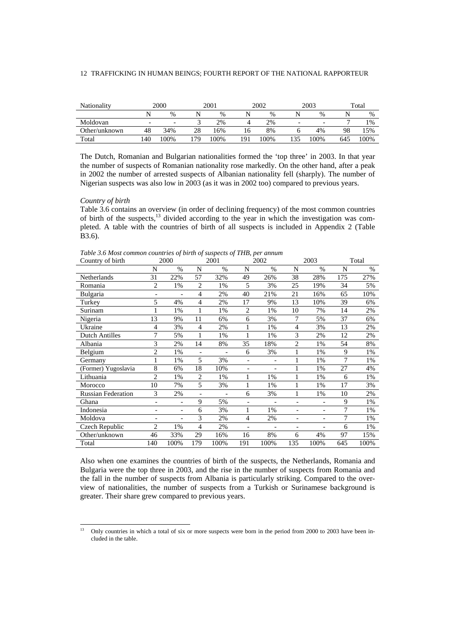| Nationality   | 2000 |                          |     | 2001 |     | 2002 |                          | 2003 |     | Total |  |
|---------------|------|--------------------------|-----|------|-----|------|--------------------------|------|-----|-------|--|
|               |      | %                        | N   | $\%$ |     | $\%$ |                          | $\%$ |     | $\%$  |  |
| Moldovan      | -    | $\overline{\phantom{0}}$ |     | 2%   |     | 2%   | $\overline{\phantom{0}}$ | -    |     | $1\%$ |  |
| Other/unknown | 48   | 34%                      | 28  | 16%  | b   | 8%   |                          | 4%   | 98  | 15%   |  |
| Total         | .40  | 00%                      | 179 | 100% | 191 | 100% | 135                      | 100% | 645 | 100%  |  |

The Dutch, Romanian and Bulgarian nationalities formed the 'top three' in 2003. In that year the number of suspects of Romanian nationality rose markedly. On the other hand, after a peak in 2002 the number of arrested suspects of Albanian nationality fell (sharply). The number of Nigerian suspects was also low in 2003 (as it was in 2002 too) compared to previous years.

### *Country of birth*

Table 3.6 contains an overview (in order of declining frequency) of the most common countries of birth of the suspects, $^{13}$  divided according to the year in which the investigation was completed. A table with the countries of birth of all suspects is included in Appendix 2 (Table B3.6).

*Table 3.6 Most common countries of birth of suspects of THB, per annum* 

| Country of birth          |                          | 2000 |                          | 2001           |                          | 2002                     |                          | 2003              | Total |      |
|---------------------------|--------------------------|------|--------------------------|----------------|--------------------------|--------------------------|--------------------------|-------------------|-------|------|
|                           | N                        | $\%$ | N                        | $\%$           | N                        | $\frac{0}{0}$            | N                        | $\%$              | N     | $\%$ |
| Netherlands               | 31                       | 22%  | 57                       | 32%            | 49                       | 26%                      | 38                       | 28%               | 175   | 27%  |
| Romania                   | $\overline{2}$           | 1%   | 2                        | 1%             | 5                        | 3%                       | 25                       | 19%               | 34    | 5%   |
| Bulgaria                  | $\overline{\phantom{0}}$ |      | 4                        | 2%             | 40                       | 21%                      | 21                       | 16%               | 65    | 10%  |
| Turkey                    | 5                        | 4%   | 4                        | 2%             | 17                       | 9%                       | 13                       | 10%               | 39    | 6%   |
| Surinam                   |                          | 1%   | $\mathbf{1}$             | 1%             | $\overline{c}$           | 1%                       | 10                       | 7%                | 14    | 2%   |
| Nigeria                   | 13                       | 9%   | 11                       | 6%             | 6                        | 3%                       | 7                        | 5%                | 37    | 6%   |
| Ukraine                   | 4                        | 3%   | 4                        | 2%             | 1                        | 1%                       | $\overline{4}$           | 3%                | 13    | 2%   |
| <b>Dutch Antilles</b>     | 7                        | 5%   | 1                        | 1%             | 1                        | 1%                       | 3                        | 2%                | 12    | 2%   |
| Albania                   | 3                        | 2%   | 14                       | 8%             | 35                       | 18%                      | $\overline{2}$           | 1%                | 54    | 8%   |
| Belgium                   | $\overline{c}$           | 1%   | ٠                        |                | 6                        | 3%                       | 1                        | 1%                | 9     | 1%   |
| Germany                   |                          | 1%   | 5                        | 3%             | $\overline{\phantom{0}}$ | $\overline{\phantom{0}}$ | 1                        | 1%                | 7     | 1%   |
| (Former) Yugoslavia       | 8                        | 6%   | 18                       | 10%            |                          | $\overline{a}$           | 1                        | 1%                | 27    | 4%   |
| Lithuania                 | $\overline{c}$           | 1%   | $\overline{2}$           | 1%             | 1                        | 1%                       | 1                        | 1%                | 6     | 1%   |
| Morocco                   | 10                       | 7%   | 5                        | 3%             | 1                        | 1%                       | 1                        | 1%                | 17    | 3%   |
| <b>Russian Federation</b> | 3                        | 2%   | $\overline{\phantom{a}}$ | $\overline{a}$ | 6                        | 3%                       | 1                        | 1%                | 10    | 2%   |
| Ghana                     |                          |      | 9                        | 5%             |                          |                          |                          |                   | 9     | 1%   |
| Indonesia                 |                          | -    | 6                        | 3%             | 1                        | 1%                       |                          | ۰                 | 7     | 1%   |
| Moldova                   | $\overline{\phantom{a}}$ | -    | 3                        | 2%             | $\overline{4}$           | 2%                       | $\overline{\phantom{0}}$ | $\qquad \qquad -$ | 7     | 1%   |
| Czech Republic            | $\overline{c}$           | 1%   | 4                        | 2%             |                          |                          | $\overline{a}$           |                   | 6     | 1%   |
| Other/unknown             | 46                       | 33%  | 29                       | 16%            | 16                       | 8%                       | 6                        | 4%                | 97    | 15%  |
| Total                     | 140                      | 100% | 179                      | 100%           | 191                      | 100%                     | 135                      | 100%              | 645   | 100% |

Also when one examines the countries of birth of the suspects, the Netherlands, Romania and Bulgaria were the top three in 2003, and the rise in the number of suspects from Romania and the fall in the number of suspects from Albania is particularly striking. Compared to the overview of nationalities, the number of suspects from a Turkish or Surinamese background is greater. Their share grew compared to previous years.

l 13 Only countries in which a total of six or more suspects were born in the period from 2000 to 2003 have been included in the table.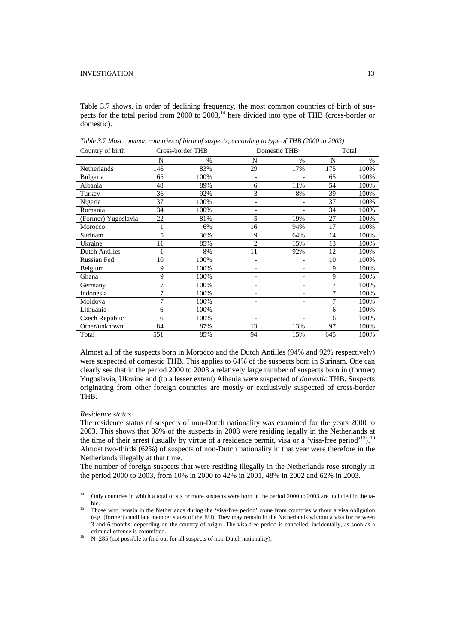Table 3.7 shows, in order of declining frequency, the most common countries of birth of suspects for the total period from 2000 to  $2003$ ,<sup>14</sup> here divided into type of THB (cross-border or domestic).

| Country of birth      |     | <b>Cross-border THB</b> |                              | Domestic THB                 |     | Total |
|-----------------------|-----|-------------------------|------------------------------|------------------------------|-----|-------|
|                       | N   | $\%$                    | N                            | $\%$                         | N   | $\%$  |
| Netherlands           | 146 | 83%                     | 29                           | 17%                          | 175 | 100%  |
| Bulgaria              | 65  | 100%                    | $\qquad \qquad \blacksquare$ |                              | 65  | 100%  |
| Albania               | 48  | 89%                     | 6                            | 11%                          | 54  | 100%  |
| Turkey                | 36  | 92%                     | 3                            | 8%                           | 39  | 100%  |
| Nigeria               | 37  | 100%                    | $\overline{\phantom{0}}$     |                              | 37  | 100%  |
| Romania               | 34  | 100%                    | $\qquad \qquad \blacksquare$ |                              | 34  | 100%  |
| (Former) Yugoslavia   | 22  | 81%                     | 5                            | 19%                          | 27  | 100%  |
| Morocco               |     | 6%                      | 16                           | 94%                          | 17  | 100%  |
| Surinam               | 5   | 36%                     | 9                            | 64%                          | 14  | 100%  |
| Ukraine               | 11  | 85%                     | $\overline{2}$               | 15%                          | 13  | 100%  |
| <b>Dutch Antilles</b> |     | 8%                      | 11                           | 92%                          | 12  | 100%  |
| Russian Fed.          | 10  | 100%                    | $\qquad \qquad \blacksquare$ | -                            | 10  | 100%  |
| Belgium               | 9   | 100%                    | $\overline{\phantom{a}}$     | ۰                            | 9   | 100%  |
| Ghana                 | 9   | 100%                    | $\overline{a}$               | ۰                            | 9   | 100%  |
| Germany               | 7   | 100%                    |                              | -                            | 7   | 100%  |
| Indonesia             | 7   | 100%                    |                              | ۰                            | 7   | 100%  |
| Moldova               | 7   | 100%                    | $\qquad \qquad \blacksquare$ | $\qquad \qquad \blacksquare$ | 7   | 100%  |
| Lithuania             | 6   | 100%                    | $\overline{\phantom{a}}$     | -                            | 6   | 100%  |
| Czech Republic        | 6   | 100%                    |                              |                              | 6   | 100%  |
| Other/unknown         | 84  | 87%                     | 13                           | 13%                          | 97  | 100%  |
| Total                 | 551 | 85%                     | 94                           | 15%                          | 645 | 100%  |

*Table 3.7 Most common countries of birth of suspects, according to type of THB (2000 to 2003)* 

Almost all of the suspects born in Morocco and the Dutch Antilles (94% and 92% respectively) were suspected of domestic THB. This applies to 64% of the suspects born in Surinam. One can clearly see that in the period 2000 to 2003 a relatively large number of suspects born in (former) Yugoslavia, Ukraine and (to a lesser extent) Albania were suspected of *domestic* THB. Suspects originating from other foreign countries are mostly or exclusively suspected of cross-border THB.

### *Residence status*

The residence status of suspects of non-Dutch nationality was examined for the years 2000 to 2003. This shows that 38% of the suspects in 2003 were residing legally in the Netherlands at the time of their arrest (usually by virtue of a residence permit, visa or a 'visa-free period'<sup>15</sup>).<sup>16</sup> Almost two-thirds (62%) of suspects of non-Dutch nationality in that year were therefore in the Netherlands illegally at that time.

The number of foreign suspects that were residing illegally in the Netherlands rose strongly in the period 2000 to 2003, from 10% in 2000 to 42% in 2001, 48% in 2002 and 62% in 2003.

 $\overline{14}$ Only countries in which a total of six or more suspects were born in the period 2000 to 2003 are included in the table.<br><sup>15</sup> Those who remain in the Netherlands during the 'visa-free period' come from countries without a visa obligation

<sup>(</sup>e.g. (former) candidate member states of the EU). They may remain in the Netherlands without a visa for between 3 and 6 months, depending on the country of origin. The visa-free period is cancelled, incidentally, as soon as a criminal offence is committed.<br><sup>16</sup> N=285 (not possible to find out for all suspects of non-Dutch nationality).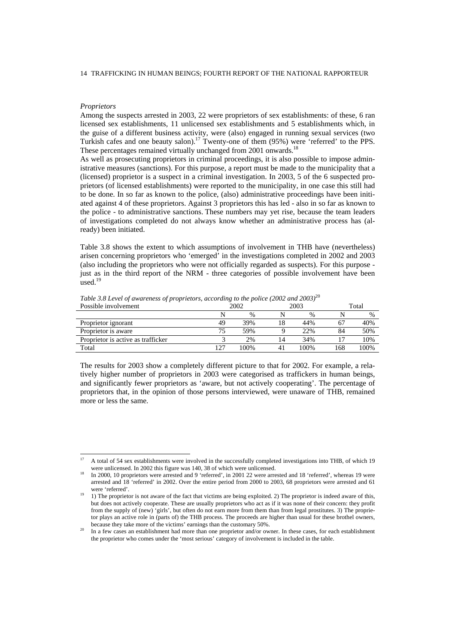#### *Proprietors*

Among the suspects arrested in 2003, 22 were proprietors of sex establishments: of these, 6 ran licensed sex establishments, 11 unlicensed sex establishments and 5 establishments which, in the guise of a different business activity, were (also) engaged in running sexual services (two Turkish cafes and one beauty salon).<sup>17</sup> Twenty-one of them  $(95%)$  were 'referred' to the PPS. These percentages remained virtually unchanged from 2001 onwards.<sup>18</sup>

As well as prosecuting proprietors in criminal proceedings, it is also possible to impose administrative measures (sanctions). For this purpose, a report must be made to the municipality that a (licensed) proprietor is a suspect in a criminal investigation. In 2003, 5 of the 6 suspected proprietors (of licensed establishments) were reported to the municipality, in one case this still had to be done. In so far as known to the police, (also) administrative proceedings have been initiated against 4 of these proprietors. Against 3 proprietors this has led - also in so far as known to the police - to administrative sanctions. These numbers may yet rise, because the team leaders of investigations completed do not always know whether an administrative process has (already) been initiated.

Table 3.8 shows the extent to which assumptions of involvement in THB have (nevertheless) arisen concerning proprietors who 'emerged' in the investigations completed in 2002 and 2003 (also including the proprietors who were not officially regarded as suspects). For this purpose just as in the third report of the NRM - three categories of possible involvement have been used. $19$ 

| Possible involvement               |       | 2002 |              | 2003 | Total |               |  |
|------------------------------------|-------|------|--------------|------|-------|---------------|--|
|                                    |       | $\%$ |              | $\%$ |       | $\frac{0}{0}$ |  |
| Proprietor ignorant                | 49    | 39%  | 18           | 44%  | b,    | 40%           |  |
| Proprietor is aware                |       | 59%  |              | 22%  | 84    | 50%           |  |
| Proprietor is active as trafficker |       | 2%   |              | 34%  |       | 10%           |  |
| Total                              | 1 2 7 | 100% | $4^{\prime}$ | 100% | .68   | 100%          |  |

*Table 3.8 Level of awareness of proprietors, according to the police (2002 and 2003)*<sup>20</sup>

The results for 2003 show a completely different picture to that for 2002. For example, a relatively higher number of proprietors in 2003 were categorised as traffickers in human beings, and significantly fewer proprietors as 'aware, but not actively cooperating'. The percentage of proprietors that, in the opinion of those persons interviewed, were unaware of THB, remained more or less the same.

 $17$ 17 A total of 54 sex establishments were involved in the successfully completed investigations into THB, of which 19

were unlicensed. In 2002 this figure was 140, 38 of which were unlicensed.<br><sup>18</sup> In 2000, 10 proprietors were arrested and 9 'referred', in 2001 22 were arrested and 18 'referred', whereas 19 were arrested and 18 'referred' in 2002. Over the entire period from 2000 to 2003, 68 proprietors were arrested and 61 were 'referred'.<br><sup>19</sup> 1) The proprietor is not aware of the fact that victims are being exploited. 2) The proprietor is indeed aware of this,

but does not actively cooperate. These are usually proprietors who act as if it was none of their concern: they profit from the supply of (new) 'girls', but often do not earn more from them than from legal prostitutes. 3) The proprietor plays an active role in (parts of) the THB process. The proceeds are higher than usual for these brothel owners,

because they take more of the victims' earnings than the customary 50%.<br><sup>20</sup> In a few cases an establishment had more than one proprietor and/or owner. In these cases, for each establishment the proprietor who comes under the 'most serious' category of involvement is included in the table.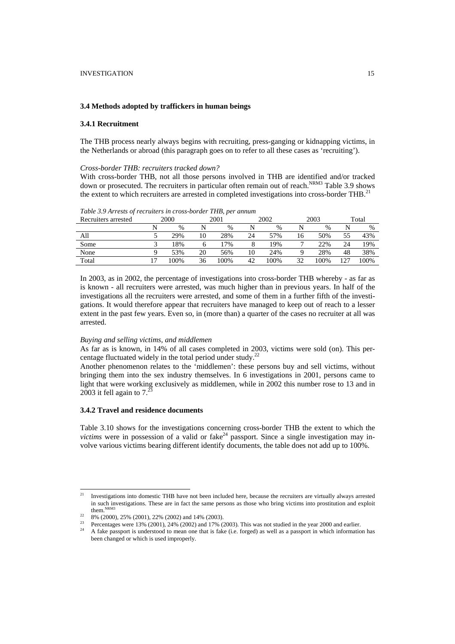# **3.4 Methods adopted by traffickers in human beings**

# **3.4.1 Recruitment**

The THB process nearly always begins with recruiting, press-ganging or kidnapping victims, in the Netherlands or abroad (this paragraph goes on to refer to all these cases as 'recruiting').

### *Cross-border THB: recruiters tracked down?*

With cross-border THB, not all those persons involved in THB are identified and/or tracked down or prosecuted. The recruiters in particular often remain out of reach.<sup>NRM3</sup> Table 3.9 shows the extent to which recruiters are arrested in completed investigations into cross-border THB.<sup>21</sup>

| Recruiters arrested | 2000 |    | . .<br>2001 |    | 2002 |    | 2003 |     | Total |
|---------------------|------|----|-------------|----|------|----|------|-----|-------|
|                     | $\%$ |    | %           |    | $\%$ |    | %    |     | $\%$  |
| All                 | 29%  | 10 | 28%         | 24 | 57%  | 16 | 50%  | 55  | 43%   |
| Some                | 18%  |    | '7%         |    | 19%  |    | 22%  | 24  | 19%   |
| None                | 53%  | 20 | 56%         | 10 | 24%  |    | 28%  | 48  | 38%   |
| Total               | 100% | 36 | 100%        | 42 | 100% | 32 | 100% | 127 | 100%  |

*Table 3.9 Arrests of recruiters in cross-border THB, per annum* 

In 2003, as in 2002, the percentage of investigations into cross-border THB whereby - as far as is known - all recruiters were arrested, was much higher than in previous years. In half of the investigations all the recruiters were arrested, and some of them in a further fifth of the investigations. It would therefore appear that recruiters have managed to keep out of reach to a lesser extent in the past few years. Even so, in (more than) a quarter of the cases no recruiter at all was arrested.

# *Buying and selling victims, and middlemen*

As far as is known, in 14% of all cases completed in 2003, victims were sold (on). This percentage fluctuated widely in the total period under study. $^{22}$ 

Another phenomenon relates to the 'middlemen': these persons buy and sell victims, without bringing them into the sex industry themselves. In 6 investigations in 2001, persons came to light that were working exclusively as middlemen, while in 2002 this number rose to 13 and in 2003 it fell again to  $7<sup>23</sup>$ 

# **3.4.2 Travel and residence documents**

Table 3.10 shows for the investigations concerning cross-border THB the extent to which the *victims* were in possession of a valid or fake<sup>24</sup> passport. Since a single investigation may involve various victims bearing different identify documents, the table does not add up to 100%.

 $21$ 21 Investigations into domestic THB have not been included here, because the recruiters are virtually always arrested in such investigations. These are in fact the same persons as those who bring victims into prostitution and exploit them.<sup>NRM3</sup>

<sup>&</sup>lt;sup>22</sup> 8% (2000), 25% (2001), 22% (2002) and 14% (2003).<br><sup>23</sup> Presenting using 12% (2001), 24% (2002) and 17% (2003).

<sup>&</sup>lt;sup>23</sup> Percentages were 13% (2001), 24% (2002) and 17% (2003). This was not studied in the year 2000 and earlier.<br><sup>24</sup> A fake passport is understood to mean one that is fake (i.e. forged) as well as a passport in which info

been changed or which is used improperly.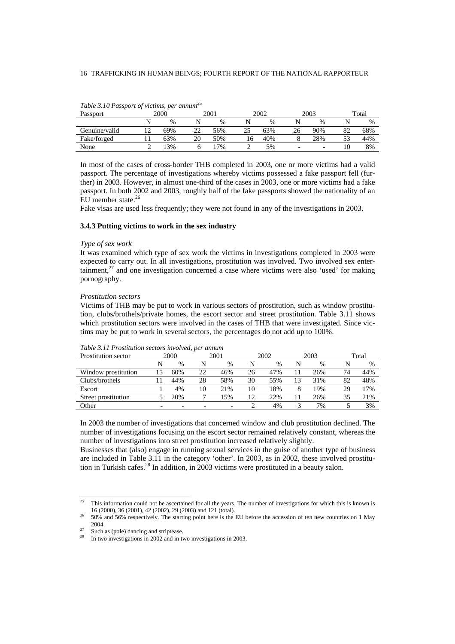| Table 5.10 I assport of rictims, per annumi<br>Passport | 2000 |      | 2001 |      |    | 2002 |    | 2003 |    | Total         |  |
|---------------------------------------------------------|------|------|------|------|----|------|----|------|----|---------------|--|
|                                                         |      | $\%$ |      | $\%$ |    | $\%$ |    | $\%$ |    | $\frac{0}{0}$ |  |
| Genuine/valid                                           |      | 69%  | 22   | 56%  |    | 63%  | 26 | 90%  | 82 | 68%           |  |
| Fake/forged                                             |      | 63%  | 20   | 50%  | ۱6 | 40%  |    | 28%  |    | 44%           |  |
| None                                                    |      | 3%   |      | 7%   |    | 5%   |    |      |    | 8%            |  |

*Table 3.10 Passport of victims, per annum*<sup>25</sup>

In most of the cases of cross-border THB completed in 2003, one or more victims had a valid passport. The percentage of investigations whereby victims possessed a fake passport fell (further) in 2003. However, in almost one-third of the cases in 2003, one or more victims had a fake passport. In both 2002 and 2003, roughly half of the fake passports showed the nationality of an EU member state.<sup>26</sup>

Fake visas are used less frequently; they were not found in any of the investigations in 2003.

### **3.4.3 Putting victims to work in the sex industry**

#### *Type of sex work*

It was examined which type of sex work the victims in investigations completed in 2003 were expected to carry out. In all investigations, prostitution was involved. Two involved sex enter- $\tanh$ <sup>27</sup> and one investigation concerned a case where victims were also 'used' for making pornography.

### *Prostitution sectors*

Victims of THB may be put to work in various sectors of prostitution, such as window prostitution, clubs/brothels/private homes, the escort sector and street prostitution. Table 3.11 shows which prostitution sectors were involved in the cases of THB that were investigated. Since victims may be put to work in several sectors, the percentages do not add up to 100%.

| Prostitution sector | 2000                     |    | 2001                     |    | 2002 |   | 2003 |    | Total         |
|---------------------|--------------------------|----|--------------------------|----|------|---|------|----|---------------|
|                     | $\frac{0}{0}$            | N  | %                        | N  | %    |   | $\%$ |    | $\frac{0}{0}$ |
| Window prostitution | 60%                      | 22 | 46%                      | 26 | 47%  |   | 26%  | 74 | 44%           |
| Clubs/brothels      | 44%                      | 28 | 58%                      | 30 | 55%  | 3 | 31%  | 82 | 48%           |
| Escort              | 4%                       | 10 | 21%                      | 10 | 8%   |   | 19%  | 29 | 17%           |
| Street prostitution | 20%                      |    | 15%                      | 12 | 22%  |   | 26%  |    | 21%           |
| Other               | $\overline{\phantom{0}}$ |    | $\overline{\phantom{0}}$ |    | 4%   |   | 7%   |    | 3%            |

*Table 3.11 Prostitution sectors involved, per annum*

In 2003 the number of investigations that concerned window and club prostitution declined. The number of investigations focusing on the escort sector remained relatively constant, whereas the number of investigations into street prostitution increased relatively slightly.

Businesses that (also) engage in running sexual services in the guise of another type of business are included in Table 3.11 in the category 'other'. In 2003, as in 2002, these involved prostitution in Turkish cafes.<sup>28</sup> In addition, in 2003 victims were prostituted in a beauty salon.

l

 $25$  This information could not be ascertained for all the years. The number of investigations for which this is known is 16 (2000), 36 (2001), 42 (2002), 29 (2003) and 121 (total).<br><sup>26</sup> 50% and 56% respectively. The starting point here is the EU before the accession of ten new countries on 1 May

<sup>2004.&</sup>lt;br><sup>27</sup> Such as (pole) dancing and striptease.<br><sup>28</sup> In true investigations in 2002 and in true.

<sup>28</sup> In two investigations in 2002 and in two investigations in 2003.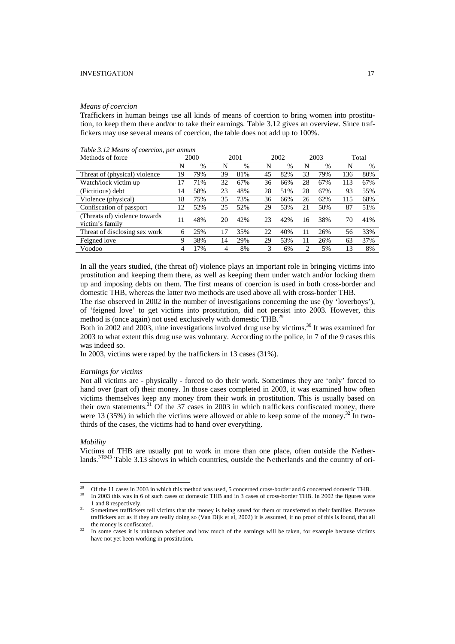#### *Means of coercion*

Traffickers in human beings use all kinds of means of coercion to bring women into prostitution, to keep them there and/or to take their earnings. Table 3.12 gives an overview. Since traffickers may use several means of coercion, the table does not add up to 100%.

| Methods of force                                 |    | 2000 |    | 2001 |    | 2002 |    | 2003 |     | Total |
|--------------------------------------------------|----|------|----|------|----|------|----|------|-----|-------|
|                                                  | N  | $\%$ | N  | %    | N  | $\%$ | N  | $\%$ | N   | %     |
| Threat of (physical) violence                    | 19 | 79%  | 39 | 81%  | 45 | 82%  | 33 | 79%  | 136 | 80%   |
| Watch/lock victim up                             | 17 | 71%  | 32 | 67%  | 36 | 66%  | 28 | 67%  | 113 | 67%   |
| (Fictitious) debt                                | 14 | 58%  | 23 | 48%  | 28 | 51%  | 28 | 67%  | 93  | 55%   |
| Violence (physical)                              | 18 | 75%  | 35 | 73%  | 36 | 66%  | 26 | 62%  | 115 | 68%   |
| Confiscation of passport                         | 12 | 52%  | 25 | 52%  | 29 | 53%  | 21 | 50%  | 87  | 51%   |
| (Threats of) violence towards<br>victim's family | 11 | 48%  | 20 | 42%  | 23 | 42%  | 16 | 38%  | 70  | 41%   |
| Threat of disclosing sex work                    | 6  | 25%  | 17 | 35%  | 22 | 40%  | 11 | 26%  | 56  | 33%   |
| Feigned love                                     | 9  | 38%  | 14 | 29%  | 29 | 53%  | 11 | 26%  | 63  | 37%   |
| Voodoo                                           | 4  | 17%  | 4  | 8%   | 3  | 6%   | 2  | 5%   | 13  | 8%    |

In all the years studied, (the threat of) violence plays an important role in bringing victims into prostitution and keeping them there, as well as keeping them under watch and/or locking them up and imposing debts on them. The first means of coercion is used in both cross-border and domestic THB, whereas the latter two methods are used above all with cross-border THB.

The rise observed in 2002 in the number of investigations concerning the use (by 'loverboys'), of 'feigned love' to get victims into prostitution, did not persist into 2003. However, this method is (once again) not used exclusively with domestic THB.<sup>29</sup>

Both in 2002 and 2003, nine investigations involved drug use by victims.<sup>30</sup> It was examined for 2003 to what extent this drug use was voluntary. According to the police, in 7 of the 9 cases this was indeed so.

In 2003, victims were raped by the traffickers in 13 cases (31%).

### *Earnings for victims*

Not all victims are - physically - forced to do their work. Sometimes they are 'only' forced to hand over (part of) their money. In those cases completed in 2003, it was examined how often victims themselves keep any money from their work in prostitution. This is usually based on their own statements. $31$  Of the 37 cases in 2003 in which traffickers confiscated money, there were 13 (35%) in which the victims were allowed or able to keep some of the money.<sup>32</sup> In twothirds of the cases, the victims had to hand over everything.

### *Mobility*

Victims of THB are usually put to work in more than one place, often outside the Netherlands.<sup>NRM3</sup> Table 3.13 shows in which countries, outside the Netherlands and the country of ori-

<sup>29</sup>  $^{29}$  Of the 11 cases in 2003 in which this method was used, 5 concerned cross-border and 6 concerned domestic THB.<br><sup>30</sup> In 2003 this was in 6 of such cases of domestic THB and in 3 cases of cross-border THB. In 2002 the

<sup>1</sup> and 8 respectively.<br><sup>31</sup> Sometimes traffickers tell victims that the money is being saved for them or transferred to their families. Because traffickers act as if they are really doing so (Van Dijk et al, 2002) it is assumed, if no proof of this is found, that all the money is confiscated.<br><sup>32</sup> In some cases it is unknown whether and how much of the earnings will be taken, for example because victims

have not yet been working in prostitution.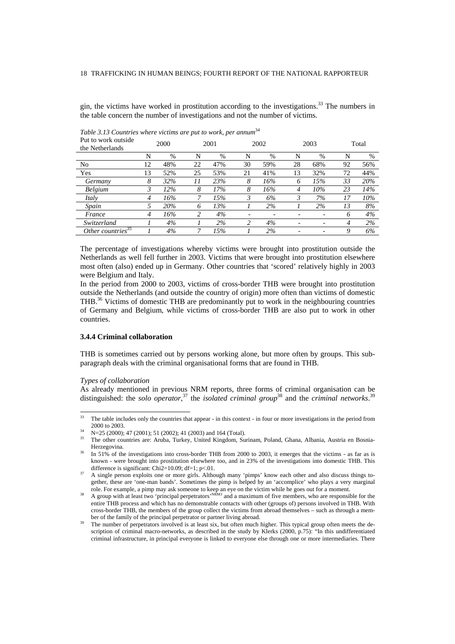gin, the victims have worked in prostitution according to the investigations.<sup>33</sup> The numbers in the table concern the number of investigations and not the number of victims.

| Put to work outside<br>the Netherlands |    | 2000   |                | 2001 |    | 2002 |    | 2003 |    | Total  |
|----------------------------------------|----|--------|----------------|------|----|------|----|------|----|--------|
|                                        | N  | $\%$   | N              | %    | N  | $\%$ | N  | $\%$ | N  | $\%$   |
| No                                     | 12 | 48%    | 22             | 47%  | 30 | 59%  | 28 | 68%  | 92 | 56%    |
| Yes                                    | 13 | 52%    | 25             | 53%  | 21 | 41%  | 13 | 32%  | 72 | 44%    |
| Germany                                | 8  | 32%    | 11             | 23%  | 8  | 16%  | Ô  | 15%  | 33 | 20%    |
| <b>Belgium</b>                         | 3  | $12\%$ | 8              | 17%  | 8  | 16%  | 4  | 10%  | 23 | 14%    |
| Italy                                  | 4  | 16%    | 7              | 15%  | 3  | 6%   | 3  | 7%   | 17 | $10\%$ |
| Spain                                  | 5  | 20%    | 6              | 13%  |    | 2%   |    | 2%   | 13 | 8%     |
| France                                 | 4  | 16%    | $\overline{c}$ | 4%   |    |      |    |      | 6  | 4%     |
| Switzerland                            |    | 4%     |                | 2%   | 2  | 4%   |    |      | 4  | 2%     |
| Other countries <sup>35</sup>          |    | 4%     | 7              | 15%  |    | 2%   |    |      | 9  | 6%     |

*Table 3.13 Countries where victims are put to work, per annum*<sup>34</sup>

The percentage of investigations whereby victims were brought into prostitution outside the Netherlands as well fell further in 2003. Victims that were brought into prostitution elsewhere most often (also) ended up in Germany. Other countries that 'scored' relatively highly in 2003 were Belgium and Italy.

In the period from 2000 to 2003, victims of cross-border THB were brought into prostitution outside the Netherlands (and outside the country of origin) more often than victims of domestic THB.<sup>36</sup> Victims of domestic THB are predominantly put to work in the neighbouring countries of Germany and Belgium, while victims of cross-border THB are also put to work in other countries.

### **3.4.4 Criminal collaboration**

THB is sometimes carried out by persons working alone, but more often by groups. This subparagraph deals with the criminal organisational forms that are found in THB.

#### *Types of collaboration*

As already mentioned in previous NRM reports, three forms of criminal organisation can be distinguished: the *solo operator*, 37 the *isolated criminal group*<sup>38</sup> and the *criminal networks*. 39

 $33$ 33 The table includes only the countries that appear - in this context - in four or more investigations in the period from

<sup>2000</sup> to 2003.<br><sup>34</sup> N=25 (2000); 47 (2001); 51 (2002); 41 (2003) and 164 (Total).<br><sup>35</sup> The other countries and Artha Turkey, United Kingdom Sy

<sup>35</sup> The other countries are: Aruba, Turkey, United Kingdom, Surinam, Poland, Ghana, Albania, Austria en Bosnia-Herzegovina.<br><sup>36</sup> In 51% of the investigations into cross-border THB from 2000 to 2003, it emerges that the victims - as far as is

known - were brought into prostitution elsewhere too, and in 23% of the investigations into domestic THB. This difference is significant: Chi2=10.09; df=1; p<.01.<br>  $\frac{37}{4}$  A single person exploits one or more girls. Although many 'pimps' know each other and also discuss things to-

gether, these are 'one-man bands'. Sometimes the pimp is helped by an 'accomplice' who plays a very marginal

role. For example, a pimp may ask someone to keep an eye on the victim while he goes out for a moment.<br><sup>38</sup> A group with at least two 'principal perpetrators'<sup>NRM3</sup> and a maximum of five members, who are responsible for th entire THB process and which has no demonstrable contacts with other (groups of) persons involved in THB. With cross-border THB, the members of the group collect the victims from abroad themselves – such as through a mem-

ber of the family of the principal perpetrator or partner living abroad.<br><sup>39</sup> The number of perpetrators involved is at least six, but often much higher. This typical group often meets the description of criminal macro-networks, as described in the study by Klerks (2000, p.75): "In this undifferentiated criminal infrastructure, in principal everyone is linked to everyone else through one or more intermediaries. There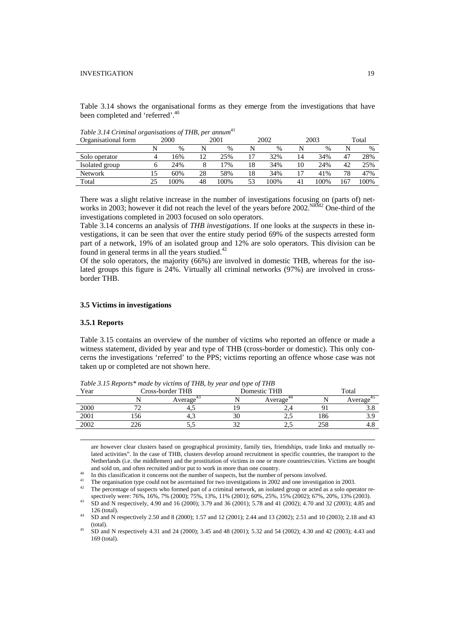Table 3.14 shows the organisational forms as they emerge from the investigations that have been completed and 'referred'.<sup>40</sup>

| Organisational form | 2000 |      |    | 2001 |    | 2002 |    | 2003 |     | Total         |  |
|---------------------|------|------|----|------|----|------|----|------|-----|---------------|--|
|                     |      | $\%$ | N  | $\%$ | N  | %    |    | %    |     | $\frac{0}{0}$ |  |
| Solo operator       |      | 16%  | 12 | 25%  | ٠7 | 32%  | 14 | 34%  | 47  | 28%           |  |
| Isolated group      |      | 24%  |    | 17%  | 18 | 34%  | 10 | 24%  | 42  | 25%           |  |
| <b>Network</b>      |      | 60%  | 28 | 58%  | 18 | 34%  |    | 41%  | 78  | 47%           |  |
| Total               |      | 100% | 48 | 100% | 53 | 100% |    | 100% | 167 | 100%          |  |

*Table 3.14 Criminal organisations of THB, per annum*<sup>41</sup>

There was a slight relative increase in the number of investigations focusing on (parts of) networks in 2003; however it did not reach the level of the years before 2002.<sup>NRM2</sup> One-third of the investigations completed in 2003 focused on solo operators.

Table 3.14 concerns an analysis of *THB investigations*. If one looks at the *suspects* in these investigations, it can be seen that over the entire study period 69% of the suspects arrested form part of a network, 19% of an isolated group and 12% are solo operators. This division can be found in general terms in all the years studied. $42$ 

Of the solo operators, the majority (66%) are involved in domestic THB, whereas for the isolated groups this figure is 24%. Virtually all criminal networks (97%) are involved in crossborder THB.

#### **3.5 Victims in investigations**

#### **3.5.1 Reports**

Table 3.15 contains an overview of the number of victims who reported an offence or made a witness statement, divided by year and type of THB (cross-border or domestic). This only concerns the investigations 'referred' to the PPS; victims reporting an offence whose case was not taken up or completed are not shown here.

| Year |                          | Cross-border THB     |  | Domestic THB | $_{\text{Total}}$ |         |  |
|------|--------------------------|----------------------|--|--------------|-------------------|---------|--|
|      |                          | Average <sup>-</sup> |  | Average      |                   | Average |  |
| 2000 | $\overline{\phantom{a}}$ | -                    |  | ∸⊶           |                   | ں.ر     |  |
| 2001 | 56ء                      |                      |  | ر…           | 186               | ر ، ب   |  |
| 2002 | 226                      | ن د                  |  | ر…           | つぐく<br>29 C       | 4.0     |  |
|      |                          |                      |  |              |                   |         |  |

*Table 3.15 Reports\* made by victims of THB, by year and type of THB* 

 are however clear clusters based on geographical proximity, family ties, friendships, trade links and mutually related activities". In the case of THB, clusters develop around recruitment in specific countries, the transport to the Netherlands (i.e. the middlemen) and the prostitution of victims in one or more countries/cities. Victims are bought

and sold on, and often recruited and/or put to work in more than one country.<br>
<sup>40</sup> In this classification it concerns not the number of suspects, but the number of persons involved.<br>
<sup>41</sup> The organisation type could not

spectively were: 76%, 16%, 7% (2000); 75%, 13%, 11% (2001); 60%, 25%, 15% (2002); 67%, 20%, 13% (2003).<br>43 SD and N respectively, 4.90 and 16 (2000); 3.79 and 36 (2001); 5.78 and 41 (2002); 4.70 and 32 (2003); 4.85 and

- 126 (total). 44 SD and N respectively 2.50 and 8 (2000); 1.57 and 12 (2001); 2.44 and 13 (2002); 2.51 and 10 (2003); 2.18 and 43
- (total). 45 SD and N respectively 4.31 and 24 (2000); 3.45 and 48 (2001); 5.32 and 54 (2002); 4.30 and 42 (2003); 4.43 and

<sup>169 (</sup>total).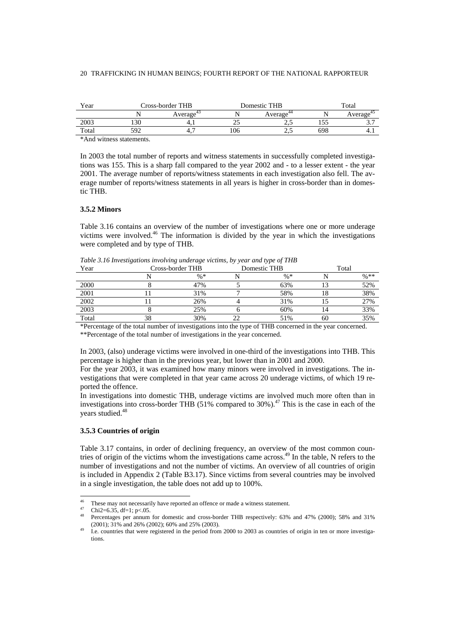| Year  |     | Cross-border THB      |     | Domestic THB | $_{\text{Total}}$ |         |  |
|-------|-----|-----------------------|-----|--------------|-------------------|---------|--|
|       |     | Average <sup>45</sup> |     | Average      |                   | Average |  |
| 2003  | 130 | 4.1                   | ت   | ن دے         |                   | ،       |  |
| Total | 592 |                       | 106 | ن دے         | 698               | 4.1     |  |
|       |     |                       |     |              |                   |         |  |

\*And witness statements.

In 2003 the total number of reports and witness statements in successfully completed investigations was 155. This is a sharp fall compared to the year 2002 and - to a lesser extent - the year 2001. The average number of reports/witness statements in each investigation also fell. The average number of reports/witness statements in all years is higher in cross-border than in domestic THB.

### **3.5.2 Minors**

Table 3.16 contains an overview of the number of investigations where one or more underage victims were involved.<sup>46</sup> The information is divided by the year in which the investigations were completed and by type of THB.

| Year  | Cross-border THB |       | Domestic THB | Total |         |  |
|-------|------------------|-------|--------------|-------|---------|--|
|       |                  | $%$ * | $\% *$       |       | $\%$ ** |  |
| 2000  |                  | 47%   | 63%          |       | 52%     |  |
| 2001  |                  | 31%   | 58%          |       | 38%     |  |
| 2002  |                  | 26%   | 31%          |       | 27%     |  |
| 2003  |                  | 25%   | 60%          |       | 33%     |  |
| Total | 38               | 30%   | 51%          | 60    | 35%     |  |

*Table 3.16 Investigations involving underage victims, by year and type of THB* 

\*Percentage of the total number of investigations into the type of THB concerned in the year concerned. \*\*Percentage of the total number of investigations in the year concerned.

In 2003, (also) underage victims were involved in one-third of the investigations into THB. This percentage is higher than in the previous year, but lower than in 2001 and 2000.

For the year 2003, it was examined how many minors were involved in investigations. The investigations that were completed in that year came across 20 underage victims, of which 19 reported the offence.

In investigations into domestic THB, underage victims are involved much more often than in investigations into cross-border THB (51% compared to 30%).<sup>47</sup> This is the case in each of the years studied.<sup>48</sup>

# **3.5.3 Countries of origin**

Table 3.17 contains, in order of declining frequency, an overview of the most common countries of origin of the victims whom the investigations came across.49 In the table, N refers to the number of investigations and not the number of victims. An overview of all countries of origin is included in Appendix 2 (Table B3.17). Since victims from several countries may be involved in a single investigation, the table does not add up to 100%.

<sup>&</sup>lt;sup>46</sup> These may not necessarily have reported an offence or made a witness statement.

 $\frac{47}{18}$  Chi2=6.35, df=1; p<.05. <br><sup>48</sup> Percentages per annum for domestic and cross-border THB respectively: 63% and 47% (2000); 58% and 31% (2001); 31% and 26% (2002); 60% and 25% (2003).<br><sup>49</sup> I.e. countries that were registered in the period from 2000 to 2003 as countries of origin in ten or more investiga-

tions.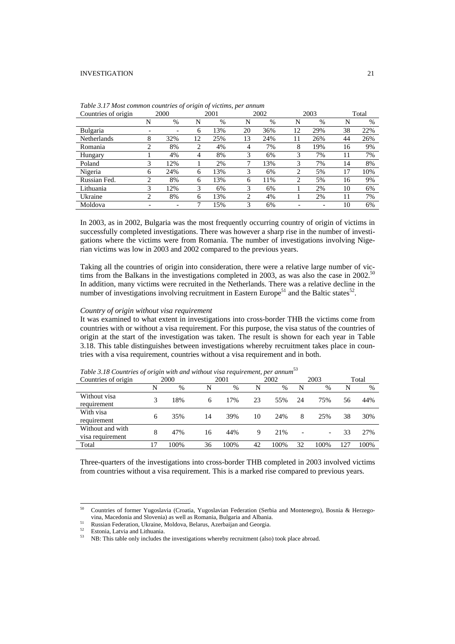| Countries of origin |                | 2000 |    | 2001 |    | 2002 | 2003 |      | Total |     |
|---------------------|----------------|------|----|------|----|------|------|------|-------|-----|
|                     | N              | $\%$ | N  | %    | N  | %    | N    | $\%$ | N     | %   |
| Bulgaria            |                |      | 6  | 13%  | 20 | 36%  | 12   | 29%  | 38    | 22% |
| Netherlands         | 8              | 32%  | 12 | 25%  | 13 | 24%  | 11   | 26%  | 44    | 26% |
| Romania             | 2              | 8%   | 2  | 4%   | 4  | 7%   | 8    | 19%  | 16    | 9%  |
| Hungary             |                | 4%   | 4  | 8%   | 3  | 6%   | 3    | 7%   | 11    | 7%  |
| Poland              |                | 12%  |    | 2%   |    | 13%  | 3    | 7%   | 14    | 8%  |
| Nigeria             | 6              | 24%  | 6  | 13%  | 3  | 6%   | ◠    | 5%   | 17    | 10% |
| Russian Fed.        | $\overline{2}$ | 8%   | 6  | 13%  | 6  | 11%  | ി    | 5%   | 16    | 9%  |
| Lithuania           | 3              | 12%  | 3  | 6%   | 3  | 6%   |      | 2%   | 10    | 6%  |
| Ukraine             |                | 8%   | 6  | 13%  | 2  | 4%   |      | 2%   | 11    | 7%  |
| Moldova             |                |      |    | 15%  | 3  | 6%   |      |      | 10    | 6%  |

*Table 3.17 Most common countries of origin of victims, per annum* 

In 2003, as in 2002, Bulgaria was the most frequently occurring country of origin of victims in successfully completed investigations. There was however a sharp rise in the number of investigations where the victims were from Romania. The number of investigations involving Nigerian victims was low in 2003 and 2002 compared to the previous years.

Taking all the countries of origin into consideration, there were a relative large number of victims from the Balkans in the investigations completed in 2003, as was also the case in 2002.<sup>50</sup> In addition, many victims were recruited in the Netherlands. There was a relative decline in the number of investigations involving recruitment in Eastern Europe<sup>51</sup> and the Baltic states<sup>52</sup>.

#### *Country of origin without visa requirement*

It was examined to what extent in investigations into cross-border THB the victims come from countries with or without a visa requirement. For this purpose, the visa status of the countries of origin at the start of the investigation was taken. The result is shown for each year in Table 3.18. This table distinguishes between investigations whereby recruitment takes place in countries with a visa requirement, countries without a visa requirement and in both.

| Countries of origin                  | 2000 |      |    | 2001 |    | 2002 | 2003 |                          | Total |      |
|--------------------------------------|------|------|----|------|----|------|------|--------------------------|-------|------|
|                                      | N    | %    | N  | %    | N  | %    | N    | $\%$                     | N     | $\%$ |
| Without visa<br>requirement          |      | 18%  | 6  | 17%  | 23 | 55%  | 24   | 75%                      | 56    | 44%  |
| With visa<br>requirement             | 6    | 35%  | 14 | 39%  | 10 | 24%  | 8    | 25%                      | 38    | 30%  |
| Without and with<br>visa requirement | 8    | 47%  | 16 | 44%  | 9  | 21%  |      | $\overline{\phantom{a}}$ | 33    | 27%  |
| Total                                |      | 100% | 36 | 100% | 42 | 100% | 32   | 100%                     | 127   | 100% |

*Table 3.18 Countries of origin with and without visa requirement, per annum*<sup>53</sup>

Three-quarters of the investigations into cross-border THB completed in 2003 involved victims from countries without a visa requirement. This is a marked rise compared to previous years.

<sup>50</sup> 50 Countries of former Yugoslavia (Croatia, Yugoslavian Federation (Serbia and Montenegro), Bosnia & Herzego-

vina, Macedonia and Slovenia) as well as Romania, Bulgaria and Albania.<br>
Russian Federation, Ukraine, Moldova, Belarus, Azerbaijan and Georgia.<br>
Estonia, Latvia and Lithuania.<br>
NB: This table only includes the investigatio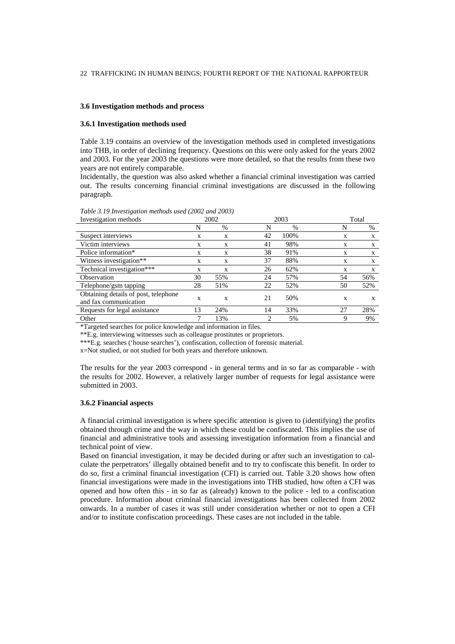### **3.6 Investigation methods and process**

### **3.6.1 Investigation methods used**

Table 3.19 contains an overview of the investigation methods used in completed investigations into THB, in order of declining frequency. Questions on this were only asked for the years 2002 and 2003. For the year 2003 the questions were more detailed, so that the results from these two years are not entirely comparable.

Incidentally, the question was also asked whether a financial criminal investigation was carried out. The results concerning financial criminal investigations are discussed in the following paragraph.

| Investigation methods                                         | 2002 |      |    | 2003 |    | Total |
|---------------------------------------------------------------|------|------|----|------|----|-------|
|                                                               | N    | $\%$ | N  | $\%$ | N  | $\%$  |
| Suspect interviews                                            | X    | X    | 42 | 100% | X  | X     |
| Victim interviews                                             | X    | X    | 41 | 98%  | X  | X     |
| Police information*                                           | X    | X    | 38 | 91%  | X  | X     |
| Witness investigation <sup>**</sup>                           | X    | X    | 37 | 88%  | X  | X     |
| Technical investigation***                                    | X    | X    | 26 | 62%  | X  | X     |
| Observation                                                   | 30   | 55%  | 24 | 57%  | 54 | 56%   |
| Telephone/gsm tapping                                         | 28   | 51%  | 22 | 52%  | 50 | 52%   |
| Obtaining details of post, telephone<br>and fax communication | X    | X    | 21 | 50%  | X  | X     |
| Requests for legal assistance                                 | 13   | 24%  | 14 | 33%  | 27 | 28%   |
| Other                                                         | 7    | 13%  | 2  | 5%   | 9  | 9%    |

*Table 3.19 Investigation methods used (2002 and 2003)* 

\*Targeted searches for police knowledge and information in files.

\*\*E.g. interviewing witnesses such as colleague prostitutes or proprietors.

\*\*\*E.g. searches ('house searches'), confiscation, collection of forensic material.

x=Not studied, or not studied for both years and therefore unknown.

The results for the year 2003 correspond - in general terms and in so far as comparable - with the results for 2002. However, a relatively larger number of requests for legal assistance were submitted in 2003.

# **3.6.2 Financial aspects**

A financial criminal investigation is where specific attention is given to (identifying) the profits obtained through crime and the way in which these could be confiscated. This implies the use of financial and administrative tools and assessing investigation information from a financial and technical point of view.

Based on financial investigation, it may be decided during or after such an investigation to calculate the perpetrators' illegally obtained benefit and to try to confiscate this benefit. In order to do so, first a criminal financial investigation (CFI) is carried out. Table 3.20 shows how often financial investigations were made in the investigations into THB studied, how often a CFI was opened and how often this - in so far as (already) known to the police - led to a confiscation procedure. Information about criminal financial investigations has been collected from 2002 onwards. In a number of cases it was still under consideration whether or not to open a CFI and/or to institute confiscation proceedings. These cases are not included in the table.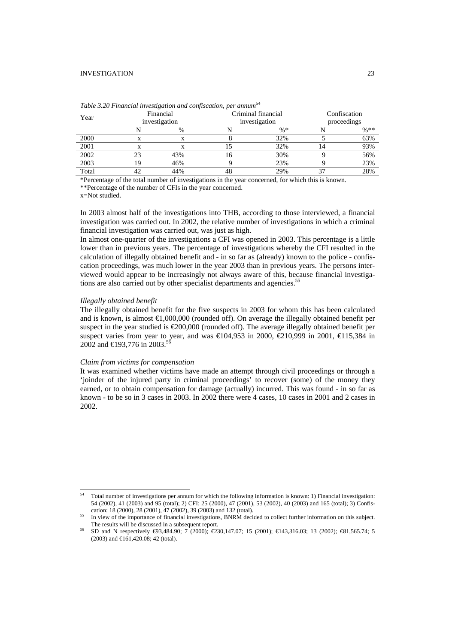| Year  | $\cdot$<br>Financial<br>investigation |     | . | Criminal financial<br>investigation | Confiscation<br>proceedings |         |  |
|-------|---------------------------------------|-----|---|-------------------------------------|-----------------------------|---------|--|
|       |                                       | %   |   | $\% *$                              |                             | $\%$ ** |  |
| 2000  |                                       | x   |   | 32%                                 |                             | 63%     |  |
| 2001  |                                       |     |   | 32%                                 |                             | 93%     |  |
| 2002  |                                       | 43% | h | 30%                                 |                             | 56%     |  |
| 2003  | q                                     | 46% |   | 23%                                 |                             | 23%     |  |
| Total |                                       | 44% |   | 29%                                 | 37                          | 28%     |  |

*Table 3.20 Financial investigation and confiscation, per annum*<sup>54</sup>

\*Percentage of the total number of investigations in the year concerned, for which this is known.

\*\*Percentage of the number of CFIs in the year concerned.

x=Not studied.

In 2003 almost half of the investigations into THB, according to those interviewed, a financial investigation was carried out. In 2002, the relative number of investigations in which a criminal financial investigation was carried out, was just as high.

In almost one-quarter of the investigations a CFI was opened in 2003. This percentage is a little lower than in previous years. The percentage of investigations whereby the CFI resulted in the calculation of illegally obtained benefit and - in so far as (already) known to the police - confiscation proceedings, was much lower in the year 2003 than in previous years. The persons interviewed would appear to be increasingly not always aware of this, because financial investigations are also carried out by other specialist departments and agencies.<sup>55</sup>

#### *Illegally obtained benefit*

The illegally obtained benefit for the five suspects in 2003 for whom this has been calculated and is known, is almost €1,000,000 (rounded off). On average the illegally obtained benefit per suspect in the year studied is  $\epsilon$ 200,000 (rounded off). The average illegally obtained benefit per suspect varies from year to year, and was  $\bigoplus 04,953$  in 2000,  $\bigoplus 10,999$  in 2001,  $\bigoplus 15,384$  in 2002 and €193,776 in 2003.<sup>56</sup>

### *Claim from victims for compensation*

It was examined whether victims have made an attempt through civil proceedings or through a 'joinder of the injured party in criminal proceedings' to recover (some) of the money they earned, or to obtain compensation for damage (actually) incurred. This was found - in so far as known - to be so in 3 cases in 2003. In 2002 there were 4 cases, 10 cases in 2001 and 2 cases in 2002.

 $54$ 54 Total number of investigations per annum for which the following information is known: 1) Financial investigation: 54 (2002), 41 (2003) and 95 (total); 2) CFI: 25 (2000), 47 (2001), 53 (2002), 40 (2003) and 165 (total); 3) Confis-

cation: 18 (2000), 28 (2001), 47 (2002), 39 (2003) and 132 (total).<br><sup>55</sup> In view of the importance of financial investigations, BNRM decided to collect further information on this subject.

The results will be discussed in a subsequent report.<br>SD and N respectively  $\Theta$ 3,484.90; 7 (2000);  $\Theta$ 230,147.07; 15 (2001);  $\Theta$ 43,316.03; 13 (2002);  $\Theta$ 1,565.74; 5 (2003) and €161,420.08; 42 (total).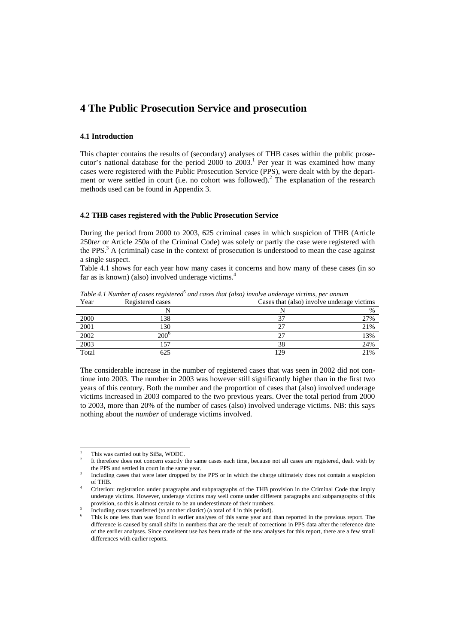# **4 The Public Prosecution Service and prosecution**

# **4.1 Introduction**

This chapter contains the results of (secondary) analyses of THB cases within the public prosecutor's national database for the period 2000 to  $2003$ .<sup>1</sup> Per year it was examined how many cases were registered with the Public Prosecution Service (PPS), were dealt with by the department or were settled in court (i.e. no cohort was followed).<sup>2</sup> The explanation of the research methods used can be found in Appendix 3.

### **4.2 THB cases registered with the Public Prosecution Service**

During the period from 2000 to 2003, 625 criminal cases in which suspicion of THB (Article 250*ter* or Article 250a of the Criminal Code) was solely or partly the case were registered with the PPS. $3$  A (criminal) case in the context of prosecution is understood to mean the case against a single suspect.

Table 4.1 shows for each year how many cases it concerns and how many of these cases (in so far as is known) (also) involved underage victims.<sup>4</sup>

| Year  | $\sim$<br>Registered cases | .<br>Cases that (also) involve underage victims |      |
|-------|----------------------------|-------------------------------------------------|------|
|       |                            |                                                 | $\%$ |
| 2000  | 138                        |                                                 | 27%  |
| 2001  | l 30                       |                                                 | 21%  |
| 2002  |                            |                                                 | 13%  |
| 2003  | 57                         | 38                                              | 24%  |
| Total | 625                        | 129                                             | 21%  |

*Table 4.1 Number of cases registered*<sup>5</sup>  *and cases that (also) involve underage victims, per annum* 

The considerable increase in the number of registered cases that was seen in 2002 did not continue into 2003. The number in 2003 was however still significantly higher than in the first two years of this century. Both the number and the proportion of cases that (also) involved underage victims increased in 2003 compared to the two previous years. Over the total period from 2000 to 2003, more than 20% of the number of cases (also) involved underage victims. NB: this says nothing about the *number* of underage victims involved.

l 1 This was carried out by SiBa, WODC.

<sup>2</sup> It therefore does not concern exactly the same cases each time, because not all cases are registered, dealt with by the PPS and settled in court in the same year.

Including cases that were later dropped by the PPS or in which the charge ultimately does not contain a suspicion of THB.

Criterion: registration under paragraphs and subparagraphs of the THB provision in the Criminal Code that imply underage victims. However, underage victims may well come under different paragraphs and subparagraphs of this provision, so this is almost certain to be an underestimate of their numbers.<br>
Including cases transferred (to another district) (a total of 4 in this period).

This is one less than was found in earlier analyses of this same year and than reported in the previous report. The difference is caused by small shifts in numbers that are the result of corrections in PPS data after the reference date of the earlier analyses. Since consistent use has been made of the new analyses for this report, there are a few small differences with earlier reports.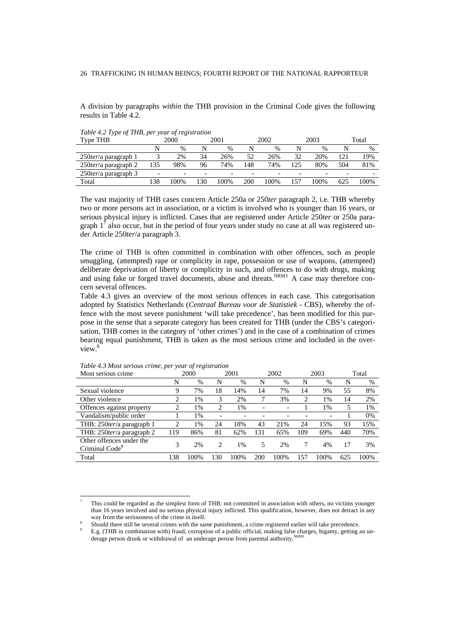A division by paragraphs *within* the THB provision in the Criminal Code gives the following results in Table 4.2.

| Type THB                | 2000                     |      |    | 2001                     |     | 2002          |    | 2003          |     | Total         |  |
|-------------------------|--------------------------|------|----|--------------------------|-----|---------------|----|---------------|-----|---------------|--|
|                         |                          | $\%$ |    | %                        |     | $\frac{0}{0}$ |    | $\frac{0}{0}$ |     | $\frac{0}{0}$ |  |
| 250ter/a paragraph 1    |                          | 2%   | 34 | 26%                      | 52  | 26%           | 32 | 20%           | 121 | 19%           |  |
| $250$ ter/a paragraph 2 | 35                       | 98%  | 96 | 74%                      | 148 | 74%           | 25 | 80%           | 504 | 81%           |  |
| $250$ ter/a paragraph 3 | $\overline{\phantom{0}}$ |      |    | $\overline{\phantom{0}}$ |     | -             |    |               |     | -             |  |
| Total                   | 38                       | 100% | 30 | $00\%$                   | 200 | 100%          |    | 100%          | 625 | 00%           |  |

*Table 4.2 Type of THB, per year of registration* 

The vast majority of THB cases concern Article 250a or 250*ter* paragraph 2, i.e. THB whereby two or more persons act in association, or a victim is involved who is younger than 16 years, or serious physical injury is inflicted. Cases that are registered under Article 250*ter* or 250a paragraph  $1<sup>7</sup>$  also occur, but in the period of four years under study no case at all was registered under Article 250*ter*/a paragraph 3.

The crime of THB is often committed in combination with other offences, such as people smuggling, (attempted) rape or complicity in rape, possession or use of weapons, (attempted) deliberate deprivation of liberty or complicity in such, and offences to do with drugs, making and using fake or forged travel documents, abuse and threats.<sup>NRM3</sup> A case may therefore concern several offences.

Table 4.3 gives an overview of the most serious offences in each case. This categorisation adopted by Statistics Netherlands (*Centraal Bureau voor de Statistiek* - CBS), whereby the offence with the most severe punishment 'will take precedence', has been modified for this purpose in the sense that a separate category has been created for THB (under the CBS's categorisation, THB comes in the category of 'other crimes') and in the case of a combination of crimes bearing equal punishment, THB is taken as the most serious crime and included in the overview.<sup>8</sup>

| Most serious crime                                     | 2000 |      |     | 2001  |     | 2002          |     | 2003 |     | Total |
|--------------------------------------------------------|------|------|-----|-------|-----|---------------|-----|------|-----|-------|
|                                                        | N    | $\%$ | N   | %     | N   | $\frac{0}{0}$ | N   | %    | N   | $\%$  |
| Sexual violence                                        | 9    | 7%   | 18  | 14%   | 14  | 7%            | 14  | 9%   | 55  | 8%    |
| Other violence                                         | າ    | 1%   | 3   | 2%    |     | 3%            | 2   | 1%   | 14  | 2%    |
| Offences against property                              |      | 1%   | 2   | 1%    |     |               |     | 1%   |     | 1%    |
| Vandalism/public order                                 |      | 1%   |     |       |     |               |     |      |     | 0%    |
| THB: 250ter/a paragraph 1                              | 2    | 1%   | 24  | 18%   | 43  | 21%           | 24  | 15%  | 93  | 15%   |
| THB: 250ter/a paragraph 2                              | 119  | 86%  | 81  | 62%   | 131 | 65%           | 109 | 69%  | 440 | 70%   |
| Other offences under the<br>Criminal Code <sup>9</sup> | 3    | 2%   | 2   | $1\%$ | 5   | 2%            | 7   | 4%   | 17  | 3%    |
| Total                                                  | 138  | 100% | 130 | 100%  | 200 | 100%          | 157 | 100% | 625 | 100%  |

*Table 4.3 Most serious crime, per year of registration* 

 $\tau$ 7 This could be regarded as the simplest form of THB: not committed in association with others, no victims younger than 16 years involved and no serious physical injury inflicted. This qualification, however, does not detract in any way from the seriousness of the crime in itself.<br><sup>8</sup> Should there still be several crimes with the same punishment, a crime registered earlier will take precedence.

E.g. (THB in combination with) fraud, corruption of a public official, making false charges, bigamy, getting an underage person drunk or withdrawal of an underage person from parental authority.<sup>NRM3</sup>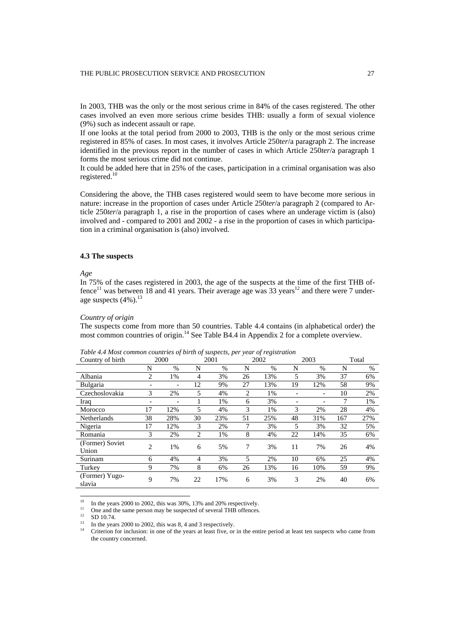In 2003, THB was the only or the most serious crime in 84% of the cases registered. The other cases involved an even more serious crime besides THB: usually a form of sexual violence (9%) such as indecent assault or rape.

If one looks at the total period from 2000 to 2003, THB is the only or the most serious crime registered in 85% of cases. In most cases, it involves Article 250*ter*/a paragraph 2. The increase identified in the previous report in the number of cases in which Article 250*ter*/a paragraph 1 forms the most serious crime did not continue.

It could be added here that in 25% of the cases, participation in a criminal organisation was also registered. $10$ 

Considering the above, the THB cases registered would seem to have become more serious in nature: increase in the proportion of cases under Article 250*ter*/a paragraph 2 (compared to Article 250*ter*/a paragraph 1, a rise in the proportion of cases where an underage victim is (also) involved and - compared to 2001 and 2002 - a rise in the proportion of cases in which participation in a criminal organisation is (also) involved.

#### **4.3 The suspects**

#### *Age*

In 75% of the cases registered in 2003, the age of the suspects at the time of the first THB offence<sup>11</sup> was between 18 and 41 years. Their average age was 33 years<sup>12</sup> and there were 7 underage suspects  $(4\%)$ .<sup>13</sup>

#### *Country of origin*

The suspects come from more than 50 countries. Table 4.4 contains (in alphabetical order) the most common countries of origin.<sup>14</sup> See Table B4.4 in Appendix 2 for a complete overview.

Country of birth 2000 2001 2002 2003 Total N % N % N % N % N % Albania 2 1% 4 3% 26 13% 5 3% 37 6% Bulgaria - - 12 9% 27 13% 19 12% 58 9% Czechoslovakia 3 2% 5 4% 2 1% - - 10 2% Iraq 1 - - 1 1% 6 3% - - 7 1% Morocco 17 12% 5 4% 3 1% 3 2% 28 4% Netherlands 38 28% 30 23% 51 25% 48 31% 167 27% Nigeria 17 12% 3 2% 7 3% 5 3% 32 5% Romania 3 2% 2 1% 8 4% 22 14% 35 6% (Former) Soviet (Former) Soviet 2 1% 6 5% 7 3% 11 7% 26 4% Surinam 6 4% 4 3% 5 2% 10 6% 25 4% Turkey 9 7% 8 6% 26 13% 16 10% 59 9% (Former) Yugoslavia 9 7% 22 17% 6 3% 3 2% 40 6%

*Table 4.4 Most common countries of birth of suspects, per year of registration* 

 $10\,$ 

<sup>&</sup>lt;sup>10</sup> In the years 2000 to 2002, this was 30%, 13% and 20% respectively.<br><sup>11</sup> One and the same person may be suspected of several THB offences.<br><sup>12</sup> SD 10.74.<br><sup>14</sup> In the years 2000 to 2002, this was 8, 4 and 3 respectivel

<sup>14</sup> Criterion for inclusion: in one of the years at least five, or in the entire period at least ten suspects who came from the country concerned.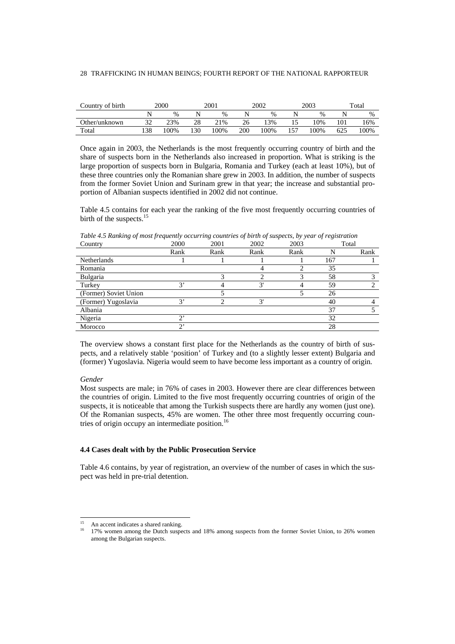| Country of birth | 2000 |               |     | 2001 |     | 2002 |     | 2003          |     | Total  |  |
|------------------|------|---------------|-----|------|-----|------|-----|---------------|-----|--------|--|
|                  |      | $\frac{0}{0}$ |     | $\%$ |     | $\%$ |     | $\frac{0}{0}$ |     | $\%$   |  |
| Other/unknown    |      | 23%           | 28  | 21%  | 26  | 3%   |     | 10%           | 101 | 16%    |  |
| Total            | 38   | $00\%$        | 130 | 100% | 200 | 100% | 57ء | $00\%$        | 625 | $00\%$ |  |

Once again in 2003, the Netherlands is the most frequently occurring country of birth and the share of suspects born in the Netherlands also increased in proportion. What is striking is the large proportion of suspects born in Bulgaria, Romania and Turkey (each at least 10%), but of these three countries only the Romanian share grew in 2003. In addition, the number of suspects from the former Soviet Union and Surinam grew in that year; the increase and substantial proportion of Albanian suspects identified in 2002 did not continue.

Table 4.5 contains for each year the ranking of the five most frequently occurring countries of birth of the suspects. $15$ 

| Country               | 2000 | 2001 | 2002 | 2003 |     | Total |
|-----------------------|------|------|------|------|-----|-------|
|                       | Rank | Rank | Rank | Rank | N   | Rank  |
| Netherlands           |      |      |      |      | 167 |       |
| Romania               |      |      |      | ◠    | 35  |       |
| Bulgaria              |      |      | ◠    | 3    | 58  |       |
| Turkey                | 3'   |      | 3'   |      | 59  |       |
| (Former) Soviet Union |      |      |      |      | 26  |       |
| (Former) Yugoslavia   | 3,   | ↑    | 3'   |      | 40  |       |
| Albania               |      |      |      |      | 37  |       |
| Nigeria               | ኅ,   |      |      |      | 32  |       |
| Morocco               | ∩,   |      |      |      | 28  |       |

*Table 4.5 Ranking of most frequently occurring countries of birth of suspects, by year of registration* 

The overview shows a constant first place for the Netherlands as the country of birth of suspects, and a relatively stable 'position' of Turkey and (to a slightly lesser extent) Bulgaria and (former) Yugoslavia. Nigeria would seem to have become less important as a country of origin*.* 

### *Gender*

Most suspects are male; in 76% of cases in 2003. However there are clear differences between the countries of origin. Limited to the five most frequently occurring countries of origin of the suspects, it is noticeable that among the Turkish suspects there are hardly any women (just one). Of the Romanian suspects, 45% are women. The other three most frequently occurring countries of origin occupy an intermediate position.<sup>16</sup>

# **4.4 Cases dealt with by the Public Prosecution Service**

Table 4.6 contains, by year of registration, an overview of the number of cases in which the suspect was held in pre-trial detention.

 $15$ <sup>15</sup> An accent indicates a shared ranking.<br><sup>16</sup> 17% women among the Dutch supper-

<sup>16 17%</sup> women among the Dutch suspects and 18% among suspects from the former Soviet Union, to 26% women among the Bulgarian suspects.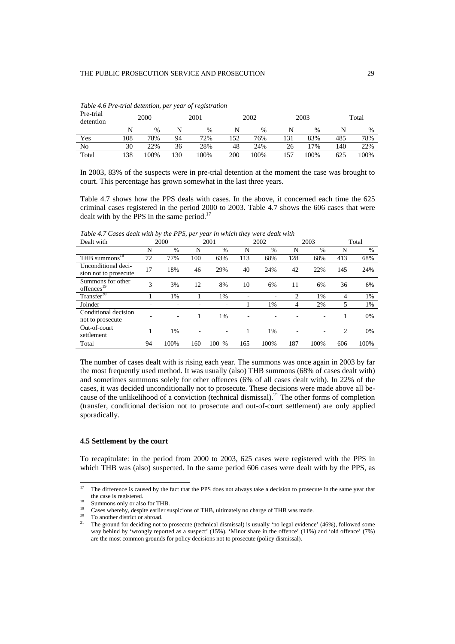| Pre-trial<br>detention |     | 2000 | 2001 |      |     | 2002 |     | 2003          | Total |      |  |
|------------------------|-----|------|------|------|-----|------|-----|---------------|-------|------|--|
|                        |     | $\%$ | N    | %    |     | %    |     | $\frac{0}{0}$ |       | $\%$ |  |
| Yes                    | 108 | 78%  | 94   | 72%  | .52 | 76%  | 13! | 83%           | 485   | 78%  |  |
| No                     | 30  | 22%  | 36   | 28%  | 48  | 24%  | 26  | 7%            | 140   | 22%  |  |
| Total                  | 138 | 100% | 130  | 100% | 200 | 100% | 157 | 100%          | 625   | 100% |  |

*Table 4.6 Pre-trial detention, per year of registration* 

In 2003, 83% of the suspects were in pre-trial detention at the moment the case was brought to court. This percentage has grown somewhat in the last three years.

Table 4.7 shows how the PPS deals with cases. In the above, it concerned each time the 625 criminal cases registered in the period 2000 to 2003. Table 4.7 shows the 606 cases that were dealt with by the PPS in the same period.<sup>17</sup>

*Table 4.7 Cases dealt with by the PPS, per year in which they were dealt with* 

| Dealt with                                   |    | 2000<br>2001 |     |             |     | 2002          |     | 2003 |                | Total |  |
|----------------------------------------------|----|--------------|-----|-------------|-----|---------------|-----|------|----------------|-------|--|
|                                              | N  | $\%$         | N   | %           | N   | $\frac{0}{0}$ | N   | $\%$ | N              | %     |  |
| 18<br>THB summons'                           | 72 | 77%          | 100 | 63%         | 113 | 68%           | 128 | 68%  | 413            | 68%   |  |
| Unconditional deci-<br>sion not to prosecute | 17 | 18%          | 46  | 29%         | 40  | 24%           | 42  | 22%  | 145            | 24%   |  |
| Summons for other<br>offences <sup>19</sup>  | 3  | 3%           | 12  | 8%          | 10  | 6%            | 11  | 6%   | 36             | 6%    |  |
| Transf <sup>20</sup>                         |    | 1%           |     | 1%          | -   |               | 2   | 1%   | 4              | 1%    |  |
| Joinder                                      | -  |              |     |             |     | 1%            | 4   | 2%   | 5              | 1%    |  |
| Conditional decision<br>not to prosecute     |    |              |     | 1%          |     |               |     | ۰    |                | 0%    |  |
| Out-of-court<br>settlement                   |    | 1%           | ۰   |             |     | 1%            |     | ۰    | $\overline{c}$ | 0%    |  |
| Total                                        | 94 | 100%         | 160 | 100<br>$\%$ | 165 | 100%          | 187 | 100% | 606            | 100%  |  |

The number of cases dealt with is rising each year. The summons was once again in 2003 by far the most frequently used method. It was usually (also) THB summons (68% of cases dealt with) and sometimes summons solely for other offences (6% of all cases dealt with). In 22% of the cases, it was decided unconditionally not to prosecute. These decisions were made above all because of the unlikelihood of a conviction (technical dismissal).<sup>21</sup> The other forms of completion (transfer, conditional decision not to prosecute and out-of-court settlement) are only applied sporadically.

#### **4.5 Settlement by the court**

To recapitulate: in the period from 2000 to 2003, 625 cases were registered with the PPS in which THB was (also) suspected. In the same period 606 cases were dealt with by the PPS, as

<sup>17</sup> 17 The difference is caused by the fact that the PPS does not always take a decision to prosecute in the same year that the case is registered.<br><sup>18</sup> Summons only or also for THB.<br><sup>19</sup> Cases whereby decrite earlier as

<sup>&</sup>lt;sup>19</sup> Cases whereby, despite earlier suspicions of THB, ultimately no charge of THB was made.<br><sup>20</sup> To another district or abroad.

<sup>21</sup> The ground for deciding not to prosecute (technical dismissal) is usually 'no legal evidence' (46%), followed some way behind by 'wrongly reported as a suspect' (15%). 'Minor share in the offence' (11%) and 'old offence' (7%) are the most common grounds for policy decisions not to prosecute (policy dismissal).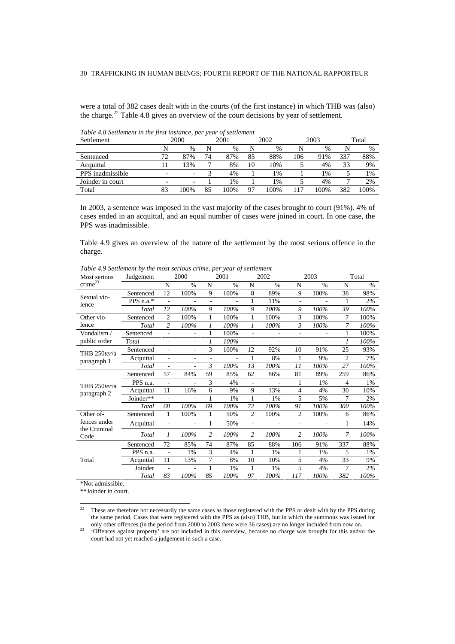were a total of 382 cases dealt with in the courts (of the first instance) in which THB was (also) the charge.<sup>22</sup> Table 4.8 gives an overview of the court decisions by year of settlement.

| Settlement       | . .                      | . .<br>2000 |    | 2001   |    | 2002 | 2003 |      | Total |      |
|------------------|--------------------------|-------------|----|--------|----|------|------|------|-------|------|
|                  |                          | $\%$        |    | %      | N  | %    |      | $\%$ |       | $\%$ |
| Sentenced        | 72                       | 87%         | 74 | 87%    | 85 | 88%  | 106  | 91%  | 337   | 88%  |
| Acquittal        |                          | 3%          | −  | 8%     | 10 | 10%  |      | 4%   | 33    | 9%   |
| PPS inadmissible | $\overline{\phantom{0}}$ | -           |    | 4%     |    | 1%   |      | 1%   |       | 1%   |
| Joinder in court | $\overline{\phantom{0}}$ | -           |    | 1%     |    | 1%   |      | 4%   |       | 2%   |
| Total            | 83                       | 100%        | 85 | $00\%$ | 97 | 100% |      | 100% | 382   | 100% |

*Table 4.8 Settlement in the first instance, per year of settlement* 

In 2003, a sentence was imposed in the vast majority of the cases brought to court (91%). 4% of cases ended in an acquittal, and an equal number of cases were joined in court. In one case, the PPS was inadmissible.

Table 4.9 gives an overview of the nature of the settlement by the most serious offence in the charge.

| Most serious                 | Judgement | 2000                     |      | 2001                     |      | 2002           |                   | 2003                     |      | Total          |               |
|------------------------------|-----------|--------------------------|------|--------------------------|------|----------------|-------------------|--------------------------|------|----------------|---------------|
| $\text{ crime}^{23}$         |           | N                        | $\%$ | N                        | $\%$ | N              | $\%$              | N                        | $\%$ | N              | $\frac{0}{0}$ |
| Sexual vio-                  | Sentenced | 12                       | 100% | 9                        | 100% | 8              | 89%               | 9                        | 100% | 38             | 98%           |
| lence                        | PPS n.a.* | $\overline{a}$           |      | $\overline{\phantom{a}}$ |      |                | 11%               | $\overline{\phantom{a}}$ |      |                | 2%            |
|                              | Total     | 12                       | 100% | 9                        | 100% | 9              | 100%              | 9                        | 100% | 39             | 100%          |
| Other vio-                   | Sentenced | 2                        | 100% |                          | 100% | 1              | 100%              | 3                        | 100% | 7              | 100%          |
| lence                        | Total     | 2                        | 100% | 1                        | 100% | 1              | 100%              | 3                        | 100% | 7              | 100%          |
| Vandalism /                  | Sentenced | $\overline{\phantom{a}}$ | ٠    |                          | 100% | L,             | $\qquad \qquad -$ | ۰                        |      | 1              | 100%          |
| public order                 | Total     | ٠                        | ٠    | 1                        | 100% | ÷              |                   |                          |      | 1              | 100%          |
| THB $250$ ter/a              | Sentenced |                          |      | 3                        | 100% | 12             | 92%               | 10                       | 91%  | 25             | 93%           |
| paragraph 1                  | Acquittal | $\overline{\phantom{a}}$ |      |                          |      | 1              | 8%                | 1                        | 9%   | $\overline{c}$ | 7%            |
|                              | Total     | $\overline{\phantom{0}}$ | Ξ    | 3                        | 100% | 13             | 100%              | 11                       | 100% | 27             | 100%          |
|                              | Sentenced | 57                       | 84%  | 59                       | 85%  | 62             | 86%               | 81                       | 89%  | 259            | 86%           |
| THB 250ter/a                 | PPS n.a.  | $\overline{\phantom{a}}$ |      | 3                        | 4%   | L,             |                   | 1                        | 1%   | 4              | 1%            |
| paragraph 2                  | Acquittal | 11                       | 16%  | 6                        | 9%   | 9              | 13%               | 4                        | 4%   | 30             | 10%           |
|                              | Joinder** | ä,                       |      |                          | 1%   |                | 1%                | 5                        | 5%   | 7              | 2%            |
|                              | Total     | 68                       | 100% | 69                       | 100% | 72             | 100%              | 91                       | 100% | 300            | 100%          |
| Other of-                    | Sentenced | 1                        | 100% | 1                        | 50%  | $\overline{2}$ | 100%              | $\overline{c}$           | 100% | 6              | 86%           |
| fences under<br>the Criminal | Acquittal |                          |      |                          | 50%  |                |                   |                          |      | 1              | 14%           |
| Code                         | Total     | 1                        | 100% | $\overline{c}$           | 100% | $\overline{c}$ | 100%              | $\overline{c}$           | 100% | 7              | 100%          |
|                              | Sentenced | 72                       | 85%  | 74                       | 87%  | 85             | 88%               | 106                      | 91%  | 337            | 88%           |
|                              | PPS n.a.  | $\overline{\phantom{a}}$ | 1%   | 3                        | 4%   | 1              | 1%                | 1                        | 1%   | 5              | 1%            |
| Total                        | Acquittal | 11                       | 13%  | 7                        | 8%   | 10             | 10%               | 5                        | 4%   | 33             | 9%            |
|                              | Joinder   |                          |      |                          | 1%   | 1              | 1%                | 5                        | 4%   | 7              | 2%            |
|                              | Total     | 83                       | 100% | 85                       | 100% | 97             | 100%              | 117                      | 100% | 382            | 100%          |

*Table 4.9 Settlement by the most serious crime, per year of settlement* 

\*Not admissible.

\*\*Joinder in court.

<sup>22</sup> 22 These are therefore not necessarily the same cases as those registered with the PPS or dealt with by the PPS during the same period. Cases that were registered with the PPS as (also) THB, but in which the summons was issued for

only other offences (in the period from 2000 to 2003 there were 36 cases) are no longer included from now on.<br>
"Offences against property' are not included in this overview, because no charge was brought for this and/or t court had not yet reached a judgement in such a case.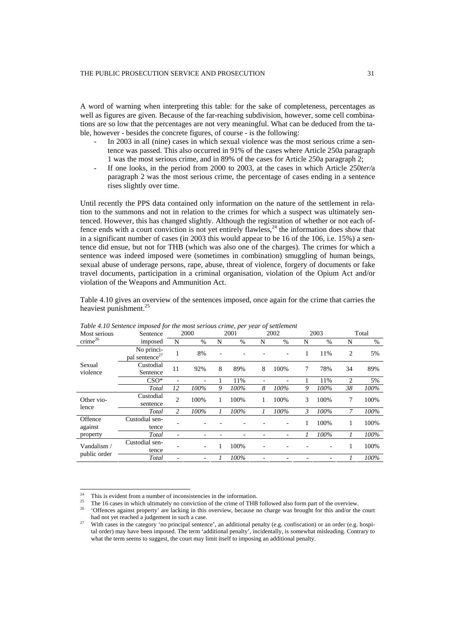A word of warning when interpreting this table: for the sake of completeness, percentages as well as figures are given. Because of the far-reaching subdivision, however, some cell combinations are so low that the percentages are not very meaningful. What can be deduced from the table, however - besides the concrete figures, of course - is the following:

- In 2003 in all (nine) cases in which sexual violence was the most serious crime a sentence was passed. This also occurred in 91% of the cases where Article 250a paragraph 1 was the most serious crime, and in 89% of the cases for Article 250a paragraph 2;
- If one looks, in the period from 2000 to 2003, at the cases in which Article 250*ter/*a paragraph 2 was the most serious crime, the percentage of cases ending in a sentence rises slightly over time.

Until recently the PPS data contained only information on the nature of the settlement in relation to the summons and not in relation to the crimes for which a suspect was ultimately sentenced. However, this has changed slightly. Although the registration of whether or not each offence ends with a court conviction is not yet entirely flawless,  $24$  the information does show that in a significant number of cases (in 2003 this would appear to be 16 of the 106, i.e. 15%) a sentence did ensue, but not for THB (which was also one of the charges). The crimes for which a sentence was indeed imposed were (sometimes in combination) smuggling of human beings, sexual abuse of underage persons, rape, abuse, threat of violence, forgery of documents or fake travel documents, participation in a criminal organisation, violation of the Opium Act and/or violation of the Weapons and Ammunition Act.

Table 4.10 gives an overview of the sentences imposed, once again for the crime that carries the heaviest punishment.<sup>25</sup>

| Most serious        | Sentence                                 |                | 2000 |   | 2001 |   | 2002 | 2003 |      | Total          |      |
|---------------------|------------------------------------------|----------------|------|---|------|---|------|------|------|----------------|------|
| crime <sup>26</sup> | imposed                                  | N              | $\%$ | N | $\%$ | N | $\%$ | N    | $\%$ | N              | $\%$ |
|                     | No princi-<br>pal sentence <sup>27</sup> | 1              | 8%   |   |      |   |      | 1    | 11%  | 2              | 5%   |
| Sexual<br>violence  | Custodial<br>Sentence                    | 11             | 92%  | 8 | 89%  | 8 | 100% | 7    | 78%  | 34             | 89%  |
|                     | $CSO*$                                   | ٠              |      |   | 11%  |   |      |      | 11%  | $\overline{2}$ | 5%   |
|                     | Total                                    | 12             | 100% | 9 | 100% | 8 | 100% | 9    | 100% | 38             | 100% |
| Other vio-          | Custodial<br>sentence                    | $\overline{2}$ | 100% | 1 | 100% | 1 | 100% | 3    | 100% | 7              | 100% |
| lence               | Total                                    | $\overline{c}$ | 100% |   | 100% |   | 100% | 3    | 100% | 7              | 100% |
| Offence<br>against  | Custodial sen-<br>tence                  |                |      |   |      |   |      |      | 100% |                | 100% |
| property            | Total                                    | ٠              |      |   |      |   |      |      | 100% |                | 100% |
| Vandalism/          | Custodial sen-<br>tence                  |                |      |   | 100% |   |      |      |      |                | 100% |
| public order        | Total                                    | ٠              |      |   | 100% |   |      |      |      |                | 100% |

*Table 4.10 Sentence imposed for the most serious crime, per year of settlement* 

 $24$ 

<sup>&</sup>lt;sup>24</sup> This is evident from a number of inconsistencies in the information.<br><sup>25</sup> The 16 cases in which ultimately no conviction of the crime of THB followed also form part of the overview.<br><sup>26</sup> 'Offences against property' a

had not yet reached a judgement in such a case.<br><sup>27</sup> With cases in the category 'no principal sentence', an additional penalty (e.g. confiscation) or an order (e.g. hospital order) may have been imposed. The term 'additional penalty', incidentally, is somewhat misleading. Contrary to what the term seems to suggest, the court may limit itself to imposing an additional penalty.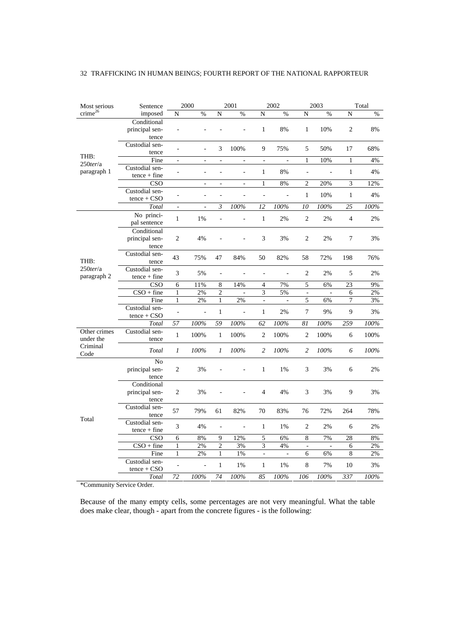# 32 TRAFFICKING IN HUMAN BEINGS; FOURTH REPORT OF THE NATIONAL RAPPORTEUR

| Most serious         | Sentence                              |                              | 2000           |                         | 2001                     |                | 2002           |                    | 2003           |                 | Total    |
|----------------------|---------------------------------------|------------------------------|----------------|-------------------------|--------------------------|----------------|----------------|--------------------|----------------|-----------------|----------|
| $\text{ crime}^{26}$ | imposed                               | N                            | $\%$           | N                       | %                        | N              | %              | N                  | $\%$           | N               | %        |
|                      | Conditional                           |                              |                |                         |                          |                |                |                    |                |                 |          |
|                      | principal sen-                        | L,                           |                |                         |                          | $\mathbf{1}$   | 8%             | $\mathbf{1}$       | 10%            | $\overline{2}$  | 8%       |
|                      | tence                                 |                              |                |                         |                          |                |                |                    |                |                 |          |
|                      | Custodial sen-                        |                              |                | 3                       | 100%                     | 9              | 75%            | 5                  | 50%            | 17              | 68%      |
| THB:                 | tence                                 |                              |                |                         |                          |                | $\overline{a}$ |                    |                |                 |          |
| $250$ ter/a          | Fine                                  | $\overline{\phantom{a}}$     | ÷,             | $\overline{a}$          | L.                       | $\overline{a}$ |                | $\mathbf{1}$       | 10%            | $\mathbf{1}$    | 4%       |
| paragraph 1          | Custodial sen-<br>$tence + fine$      | $\overline{a}$               | $\overline{a}$ |                         |                          | $\mathbf{1}$   | 8%             | $\overline{a}$     | $\overline{a}$ | $\mathbf{1}$    | 4%       |
|                      | CSO                                   |                              | $\bar{a}$      | ÷,                      | ä,                       | $\mathbf{1}$   | 8%             | $\overline{c}$     | 20%            | 3               | 12%      |
|                      | Custodial sen-                        |                              |                |                         |                          |                |                |                    |                |                 |          |
|                      | $tence + CSO$                         | ÷,                           | ÷,             | L,                      | Ĭ.                       | $\overline{a}$ | ÷,             | $\mathbf{1}$       | 10%            | $\mathbf{1}$    | 4%       |
|                      | Total                                 | L,                           | $\overline{a}$ | $\overline{\mathbf{3}}$ | 100%                     | 12             | 100%           | 10                 | 100%           | $\overline{25}$ | 100%     |
|                      | No princi-                            |                              |                |                         |                          |                |                |                    |                |                 |          |
|                      | pal sentence                          | $\mathbf{1}$                 | 1%             | $\overline{a}$          | L.                       | $\mathbf{1}$   | 2%             | $\overline{c}$     | 2%             | $\overline{4}$  | 2%       |
|                      | Conditional                           |                              |                |                         |                          |                |                |                    |                |                 |          |
|                      | principal sen-                        | $\overline{c}$               | 4%             |                         |                          | 3              | 3%             | 2                  | 2%             | 7               | 3%       |
|                      | tence                                 |                              |                |                         |                          |                |                |                    |                |                 |          |
|                      | Custodial sen-                        | 43                           | 75%            | 47                      | 84%                      | 50             | 82%            | 58                 | 72%            | 198             | 76%      |
| THB:                 | tence                                 |                              |                |                         |                          |                |                |                    |                |                 |          |
| $250$ ter/a          | Custodial sen-                        | 3                            | 5%             | $\overline{a}$          | $\overline{a}$           | $\overline{a}$ | ÷,             | 2                  | 2%             | 5               | 2%       |
| paragraph 2          | $tence + fine$                        |                              |                |                         |                          |                |                |                    |                |                 |          |
|                      | CSO<br>$\overline{CSO + \text{fine}}$ | 6                            | 11%<br>2%      | 8<br>$\overline{c}$     | 14%<br>$\overline{a}$    | 4<br>3         | 7%             | 5<br>$\frac{1}{2}$ | 6%             | 23              | 9%<br>2% |
|                      | Fine                                  | $\mathbf{1}$<br>$\mathbf{1}$ | 2%             | 1                       | 2%                       | $\overline{a}$ | 5%<br>÷,       | 5                  | ÷,<br>6%       | 6<br>7          | 3%       |
|                      | Custodial sen-                        |                              |                |                         |                          |                |                |                    |                |                 |          |
|                      | $tence + CSO$                         | L,                           | $\blacksquare$ | $\mathbf{1}$            | $\overline{\phantom{a}}$ | $\mathbf{1}$   | 2%             | 7                  | 9%             | 9               | 3%       |
|                      | Total                                 | 57                           | 100%           | 59                      | 100%                     | 62             | 100%           | 81                 | 100%           | 259             | 100%     |
| Other crimes         | Custodial sen-                        |                              |                |                         |                          |                |                |                    |                |                 |          |
| under the            | tence                                 | $\mathbf{1}$                 | 100%           | $\mathbf{1}$            | 100%                     | $\overline{c}$ | 100%           | 2                  | 100%           | 6               | 100%     |
| Criminal             | Total                                 | $\mathfrak{1}$               | 100%           | 1                       | 100%                     | $\overline{c}$ | 100%           | $\overline{c}$     | 100%           | 6               | 100%     |
| Code                 |                                       |                              |                |                         |                          |                |                |                    |                |                 |          |
|                      | No                                    |                              |                |                         |                          |                |                |                    |                |                 |          |
|                      | principal sen-                        | $\overline{c}$               | 3%             |                         |                          | $\mathbf{1}$   | 1%             | 3                  | 3%             | 6               | 2%       |
|                      | tence                                 |                              |                |                         |                          |                |                |                    |                |                 |          |
|                      | Conditional                           |                              |                |                         |                          |                |                |                    |                |                 |          |
|                      | principal sen-                        | $\overline{c}$               | 3%             |                         |                          | 4              | 4%             | 3                  | 3%             | 9               | 3%       |
|                      | tence<br>Custodial sen-               |                              |                |                         |                          |                |                |                    |                |                 |          |
|                      | tence                                 | 57                           | 79%            | 61                      | 82%                      | 70             | 83%            | 76                 | 72%            | 264             | 78%      |
| Total                | Custodial sen-                        |                              |                |                         |                          |                |                |                    |                |                 |          |
|                      | $tence + fine$                        | 3                            | 4%             |                         |                          | $\mathbf{1}$   | 1%             | $\overline{c}$     | 2%             | 6               | 2%       |
|                      | CSO                                   | 6                            | 8%             | 9                       | 12%                      | 5              | 6%             | 8                  | 7%             | 28              | 8%       |
|                      | $CSO + fine$                          | $\mathbf{1}$                 | 2%             | $\overline{c}$          | 3%                       | 3              | 4%             | $\frac{1}{2}$      | $\overline{a}$ | 6               | 2%       |
|                      | Fine                                  | 1                            | 2%             | 1                       | 1%                       | $\overline{a}$ | ÷,             | 6                  | 6%             | 8               | 2%       |
|                      | Custodial sen-                        |                              |                | $\mathbf{1}$            | 1%                       | $\mathbf{1}$   | 1%             | 8                  | 7%             | 10              | 3%       |
|                      | $tence + CSO$                         |                              |                |                         |                          |                |                |                    |                |                 |          |
|                      | Total                                 | 72                           | 100%           | 74                      | 100%                     | 85             | 100%           | 106                | 100%           | 337             | 100%     |

\*Community Service Order.

Because of the many empty cells, some percentages are not very meaningful. What the table does make clear, though - apart from the concrete figures - is the following: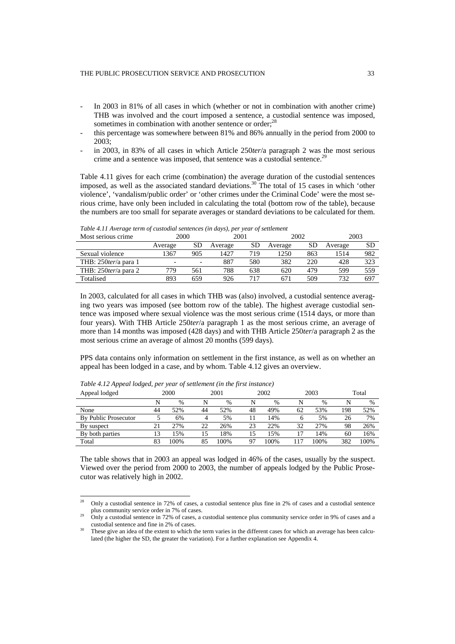- In 2003 in 81% of all cases in which (whether or not in combination with another crime) THB was involved and the court imposed a sentence, a custodial sentence was imposed, sometimes in combination with another sentence or order;<sup>28</sup>
- this percentage was somewhere between 81% and 86% annually in the period from 2000 to 2003;
- in 2003, in 83% of all cases in which Article 250*ter*/a paragraph 2 was the most serious crime and a sentence was imposed, that sentence was a custodial sentence.<sup>29</sup>

Table 4.11 gives for each crime (combination) the average duration of the custodial sentences imposed, as well as the associated standard deviations.<sup>30</sup> The total of 15 cases in which 'other violence', 'vandalism/public order' or 'other crimes under the Criminal Code' were the most serious crime, have only been included in calculating the total (bottom row of the table), because the numbers are too small for separate averages or standard deviations to be calculated for them.

| Most serious crime             | 2000                     |     | 2001    |     |         | 2002 | 2003    |           |  |
|--------------------------------|--------------------------|-----|---------|-----|---------|------|---------|-----------|--|
|                                | Average                  | SD  | Average | SD  | Average | SD   | Average | <b>SD</b> |  |
| Sexual violence                | 1367                     | 905 | 1427    | 719 | 1250    | 863  | 514     | 982       |  |
| THB: $250 \text{ter/}a$ para 1 | $\overline{\phantom{0}}$ | -   | 887     | 580 | 382     | 220  | 428     | 323       |  |
| THB: $250$ ter/a para 2        | 779                      | 561 | 788     | 638 | 620     | 479  | 599     | 559       |  |
| Totalised                      | 893                      | 659 | 926     | 717 | 671     | 509  | 732     | 697       |  |

*Table 4.11 Average term of custodial sentences (in days), per year of settlement* 

In 2003, calculated for all cases in which THB was (also) involved, a custodial sentence averaging two years was imposed (see bottom row of the table). The highest average custodial sentence was imposed where sexual violence was the most serious crime (1514 days, or more than four years). With THB Article 250*ter*/a paragraph 1 as the most serious crime, an average of more than 14 months was imposed (428 days) and with THB Article 250*ter*/a paragraph 2 as the most serious crime an average of almost 20 months (599 days).

PPS data contains only information on settlement in the first instance, as well as on whether an appeal has been lodged in a case, and by whom. Table 4.12 gives an overview.

| Appeal lodged        | 2000 |      |    | 2001 |    | 2002 |    | 2003 |     | Total |  |
|----------------------|------|------|----|------|----|------|----|------|-----|-------|--|
|                      | N    | %    |    | $\%$ |    | $\%$ | N  | $\%$ |     | $\%$  |  |
| None                 | 44   | 52%  | 44 | 52%  | 48 | 49%  | 62 | 53%  | 198 | 52%   |  |
| By Public Prosecutor |      | 6%   |    | 5%   |    | 14%  | O  | 5%   | 26  | 7%    |  |
| By suspect           |      | 27%  | 22 | 26%  | 23 | 22%  | 32 | 27%  | 98  | 26%   |  |
| both parties<br>Bv   | 13   | 15%  | 15 | 18%  | 15 | 15%  |    | 14%  | 60  | 16%   |  |
| Total                | 83   | 100% | 85 | 100% | 97 | 100% |    | 100% | 382 | 100%  |  |

*Table 4.12 Appeal lodged, per year of settlement (in the first instance)* 

l

The table shows that in 2003 an appeal was lodged in 46% of the cases, usually by the suspect. Viewed over the period from 2000 to 2003, the number of appeals lodged by the Public Prosecutor was relatively high in 2002.

<sup>&</sup>lt;sup>28</sup> Only a custodial sentence in 72% of cases, a custodial sentence plus fine in 2% of cases and a custodial sentence plus community service order in 7% of cases.<br><sup>29</sup> Only a custodial sentence in 72% of cases, a custodial sentence plus community service order in 9% of cases and a

custodial sentence and fine in 2% of cases.<br>These give an idea of the extent to which the term varies in the different cases for which an average has been calcu-

lated (the higher the SD, the greater the variation). For a further explanation see Appendix 4.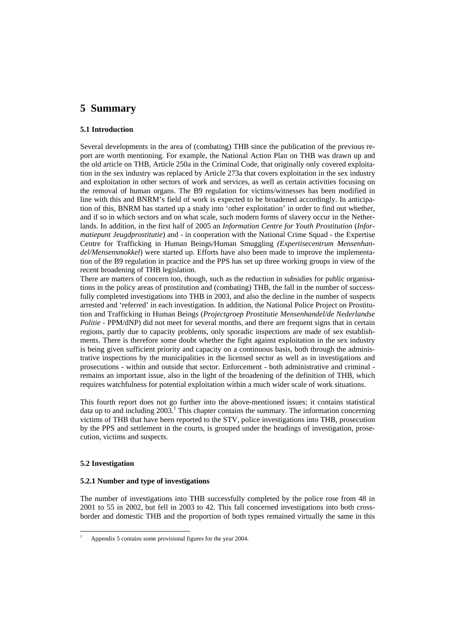# **5 Summary**

# **5.1 Introduction**

Several developments in the area of (combating) THB since the publication of the previous report are worth mentioning. For example, the National Action Plan on THB was drawn up and the old article on THB, Article 250a in the Criminal Code, that originally only covered exploitation in the sex industry was replaced by Article 273a that covers exploitation in the sex industry and exploitation in other sectors of work and services, as well as certain activities focusing on the removal of human organs. The B9 regulation for victims/witnesses has been modified in line with this and BNRM's field of work is expected to be broadened accordingly. In anticipation of this, BNRM has started up a study into 'other exploitation' in order to find out whether, and if so in which sectors and on what scale, such modern forms of slavery occur in the Netherlands. In addition, in the first half of 2005 an *Information Centre for Youth Prostitution* (*Informatiepunt Jeugdprostitutie*) and - in cooperation with the National Crime Squad - the Expertise Centre for Trafficking in Human Beings/Human Smuggling *(Expertisecentrum Mensenhandel/Mensensmokkel*) were started up. Efforts have also been made to improve the implementation of the B9 regulation in practice and the PPS has set up three working groups in view of the recent broadening of THB legislation.

There are matters of concern too, though, such as the reduction in subsidies for public organisations in the policy areas of prostitution and (combating) THB, the fall in the number of successfully completed investigations into THB in 2003, and also the decline in the number of suspects arrested and 'referred' in each investigation. In addition, the National Police Project on Prostitution and Trafficking in Human Beings (*Projectgroep Prostitutie Mensenhandel/de Nederlandse Politie* - PPM/dNP) did not meet for several months, and there are frequent signs that in certain regions, partly due to capacity problems, only sporadic inspections are made of sex establishments. There is therefore some doubt whether the fight against exploitation in the sex industry is being given sufficient priority and capacity on a continuous basis, both through the administrative inspections by the municipalities in the licensed sector as well as in investigations and prosecutions - within and outside that sector. Enforcement - both administrative and criminal remains an important issue, also in the light of the broadening of the definition of THB, which requires watchfulness for potential exploitation within a much wider scale of work situations.

This fourth report does not go further into the above-mentioned issues; it contains statistical data up to and including  $2003$ <sup>1</sup>. This chapter contains the summary. The information concerning victims of THB that have been reported to the STV, police investigations into THB, prosecution by the PPS and settlement in the courts, is grouped under the headings of investigation, prosecution, victims and suspects.

# **5.2 Investigation**

l

# **5.2.1 Number and type of investigations**

The number of investigations into THB successfully completed by the police rose from 48 in 2001 to 55 in 2002, but fell in 2003 to 42. This fall concerned investigations into both crossborder and domestic THB and the proportion of both types remained virtually the same in this

<sup>1</sup> Appendix 5 contains some provisional figures for the year 2004.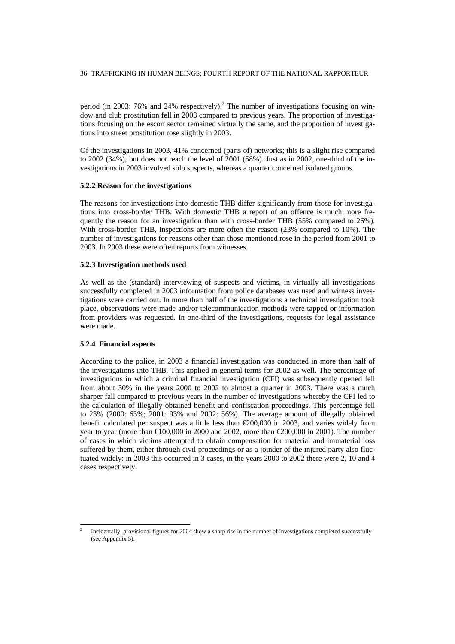period (in 2003: 76% and 24% respectively).<sup>2</sup> The number of investigations focusing on window and club prostitution fell in 2003 compared to previous years. The proportion of investigations focusing on the escort sector remained virtually the same, and the proportion of investigations into street prostitution rose slightly in 2003.

Of the investigations in 2003, 41% concerned (parts of) networks; this is a slight rise compared to 2002 (34%), but does not reach the level of 2001 (58%). Just as in 2002, one-third of the investigations in 2003 involved solo suspects, whereas a quarter concerned isolated groups.

#### **5.2.2 Reason for the investigations**

The reasons for investigations into domestic THB differ significantly from those for investigations into cross-border THB. With domestic THB a report of an offence is much more frequently the reason for an investigation than with cross-border THB (55% compared to 26%). With cross-border THB, inspections are more often the reason (23% compared to 10%). The number of investigations for reasons other than those mentioned rose in the period from 2001 to 2003. In 2003 these were often reports from witnesses.

#### **5.2.3 Investigation methods used**

As well as the (standard) interviewing of suspects and victims, in virtually all investigations successfully completed in 2003 information from police databases was used and witness investigations were carried out. In more than half of the investigations a technical investigation took place, observations were made and/or telecommunication methods were tapped or information from providers was requested. In one-third of the investigations, requests for legal assistance were made.

### **5.2.4 Financial aspects**

l

According to the police, in 2003 a financial investigation was conducted in more than half of the investigations into THB. This applied in general terms for 2002 as well. The percentage of investigations in which a criminal financial investigation (CFI) was subsequently opened fell from about 30% in the years 2000 to 2002 to almost a quarter in 2003. There was a much sharper fall compared to previous years in the number of investigations whereby the CFI led to the calculation of illegally obtained benefit and confiscation proceedings. This percentage fell to 23% (2000: 63%; 2001: 93% and 2002: 56%). The average amount of illegally obtained benefit calculated per suspect was a little less than €200,000 in 2003, and varies widely from year to year (more than  $\in$ 100,000 in 2000 and 2002, more than  $\in$ 200,000 in 2001). The number of cases in which victims attempted to obtain compensation for material and immaterial loss suffered by them, either through civil proceedings or as a joinder of the injured party also fluctuated widely: in 2003 this occurred in 3 cases, in the years 2000 to 2002 there were 2, 10 and 4 cases respectively.

<sup>2</sup> Incidentally, provisional figures for 2004 show a sharp rise in the number of investigations completed successfully (see Appendix 5).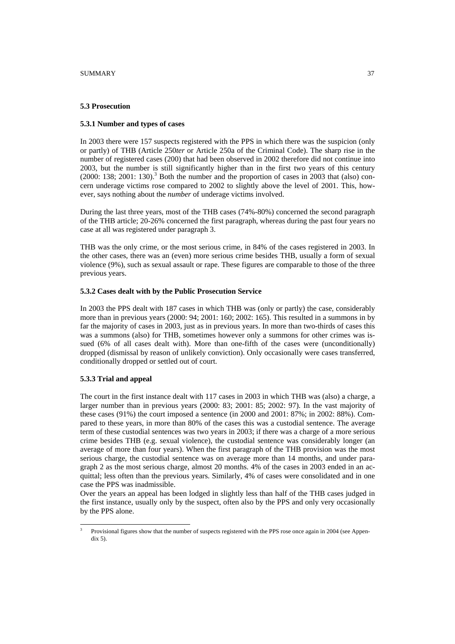# **5.3 Prosecution**

# **5.3.1 Number and types of cases**

In 2003 there were 157 suspects registered with the PPS in which there was the suspicion (only or partly) of THB (Article 250*ter* or Article 250a of the Criminal Code). The sharp rise in the number of registered cases (200) that had been observed in 2002 therefore did not continue into 2003, but the number is still significantly higher than in the first two years of this century  $(2000: 138; 2001: 130).$ <sup>3</sup> Both the number and the proportion of cases in 2003 that (also) concern underage victims rose compared to 2002 to slightly above the level of 2001. This, however, says nothing about the *number* of underage victims involved.

During the last three years, most of the THB cases (74%-80%) concerned the second paragraph of the THB article; 20-26% concerned the first paragraph, whereas during the past four years no case at all was registered under paragraph 3.

THB was the only crime, or the most serious crime, in 84% of the cases registered in 2003. In the other cases, there was an (even) more serious crime besides THB, usually a form of sexual violence (9%), such as sexual assault or rape. These figures are comparable to those of the three previous years.

### **5.3.2 Cases dealt with by the Public Prosecution Service**

In 2003 the PPS dealt with 187 cases in which THB was (only or partly) the case, considerably more than in previous years (2000: 94; 2001: 160; 2002: 165). This resulted in a summons in by far the majority of cases in 2003, just as in previous years. In more than two-thirds of cases this was a summons (also) for THB, sometimes however only a summons for other crimes was issued (6% of all cases dealt with). More than one-fifth of the cases were (unconditionally) dropped (dismissal by reason of unlikely conviction). Only occasionally were cases transferred, conditionally dropped or settled out of court.

# **5.3.3 Trial and appeal**

The court in the first instance dealt with 117 cases in 2003 in which THB was (also) a charge, a larger number than in previous years (2000: 83; 2001: 85; 2002: 97). In the vast majority of these cases (91%) the court imposed a sentence (in 2000 and 2001: 87%; in 2002: 88%). Compared to these years, in more than 80% of the cases this was a custodial sentence. The average term of these custodial sentences was two years in 2003; if there was a charge of a more serious crime besides THB (e.g. sexual violence), the custodial sentence was considerably longer (an average of more than four years). When the first paragraph of the THB provision was the most serious charge, the custodial sentence was on average more than 14 months, and under paragraph 2 as the most serious charge, almost 20 months. 4% of the cases in 2003 ended in an acquittal; less often than the previous years. Similarly, 4% of cases were consolidated and in one case the PPS was inadmissible.

Over the years an appeal has been lodged in slightly less than half of the THB cases judged in the first instance, usually only by the suspect, often also by the PPS and only very occasionally by the PPS alone.

<sup>&</sup>lt;sup>2</sup><br>3 Provisional figures show that the number of suspects registered with the PPS rose once again in 2004 (see Appendix 5).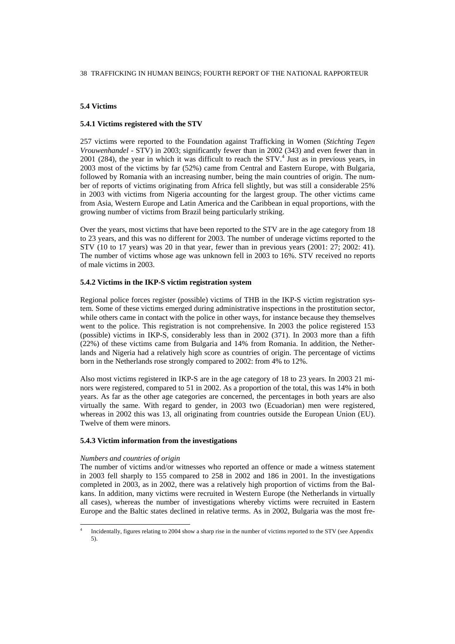# **5.4 Victims**

# **5.4.1 Victims registered with the STV**

257 victims were reported to the Foundation against Trafficking in Women (*Stichting Tegen Vrouwenhandel* - STV) in 2003; significantly fewer than in 2002 (343) and even fewer than in  $2001$  (284), the year in which it was difficult to reach the STV.<sup>4</sup> Just as in previous years, in 2003 most of the victims by far (52%) came from Central and Eastern Europe, with Bulgaria, followed by Romania with an increasing number, being the main countries of origin. The number of reports of victims originating from Africa fell slightly, but was still a considerable 25% in 2003 with victims from Nigeria accounting for the largest group. The other victims came from Asia, Western Europe and Latin America and the Caribbean in equal proportions, with the growing number of victims from Brazil being particularly striking.

Over the years, most victims that have been reported to the STV are in the age category from 18 to 23 years, and this was no different for 2003. The number of underage victims reported to the STV (10 to 17 years) was 20 in that year, fewer than in previous years (2001: 27; 2002: 41). The number of victims whose age was unknown fell in 2003 to 16%. STV received no reports of male victims in 2003.

### **5.4.2 Victims in the IKP-S victim registration system**

Regional police forces register (possible) victims of THB in the IKP-S victim registration system. Some of these victims emerged during administrative inspections in the prostitution sector, while others came in contact with the police in other ways, for instance because they themselves went to the police. This registration is not comprehensive. In 2003 the police registered 153 (possible) victims in IKP-S, considerably less than in 2002 (371). In 2003 more than a fifth (22%) of these victims came from Bulgaria and 14% from Romania. In addition, the Netherlands and Nigeria had a relatively high score as countries of origin. The percentage of victims born in the Netherlands rose strongly compared to 2002: from 4% to 12%.

Also most victims registered in IKP-S are in the age category of 18 to 23 years. In 2003 21 minors were registered, compared to 51 in 2002. As a proportion of the total, this was 14% in both years. As far as the other age categories are concerned, the percentages in both years are also virtually the same. With regard to gender, in 2003 two (Ecuadorian) men were registered, whereas in 2002 this was 13, all originating from countries outside the European Union (EU). Twelve of them were minors.

### **5.4.3 Victim information from the investigations**

### *Numbers and countries of origin*

The number of victims and/or witnesses who reported an offence or made a witness statement in 2003 fell sharply to 155 compared to 258 in 2002 and 186 in 2001. In the investigations completed in 2003, as in 2002, there was a relatively high proportion of victims from the Balkans. In addition, many victims were recruited in Western Europe (the Netherlands in virtually all cases), whereas the number of investigations whereby victims were recruited in Eastern Europe and the Baltic states declined in relative terms. As in 2002, Bulgaria was the most fre-

l 4 Incidentally, figures relating to 2004 show a sharp rise in the number of victims reported to the STV (see Appendix 5).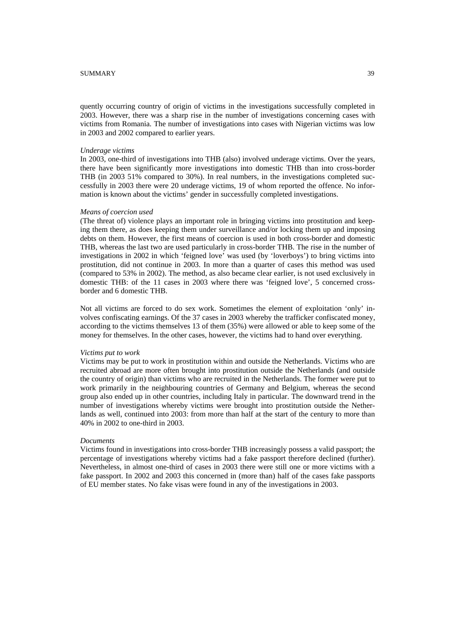quently occurring country of origin of victims in the investigations successfully completed in 2003. However, there was a sharp rise in the number of investigations concerning cases with victims from Romania. The number of investigations into cases with Nigerian victims was low in 2003 and 2002 compared to earlier years.

#### *Underage victims*

In 2003, one-third of investigations into THB (also) involved underage victims. Over the years, there have been significantly more investigations into domestic THB than into cross-border THB (in 2003 51% compared to 30%). In real numbers, in the investigations completed successfully in 2003 there were 20 underage victims, 19 of whom reported the offence. No information is known about the victims' gender in successfully completed investigations.

#### *Means of coercion used*

(The threat of) violence plays an important role in bringing victims into prostitution and keeping them there, as does keeping them under surveillance and/or locking them up and imposing debts on them. However, the first means of coercion is used in both cross-border and domestic THB, whereas the last two are used particularly in cross-border THB. The rise in the number of investigations in 2002 in which 'feigned love' was used (by 'loverboys') to bring victims into prostitution, did not continue in 2003. In more than a quarter of cases this method was used (compared to 53% in 2002). The method, as also became clear earlier, is not used exclusively in domestic THB: of the 11 cases in 2003 where there was 'feigned love', 5 concerned crossborder and 6 domestic THB.

Not all victims are forced to do sex work. Sometimes the element of exploitation 'only' involves confiscating earnings. Of the 37 cases in 2003 whereby the trafficker confiscated money, according to the victims themselves 13 of them (35%) were allowed or able to keep some of the money for themselves. In the other cases, however, the victims had to hand over everything.

#### *Victims put to work*

Victims may be put to work in prostitution within and outside the Netherlands. Victims who are recruited abroad are more often brought into prostitution outside the Netherlands (and outside the country of origin) than victims who are recruited in the Netherlands. The former were put to work primarily in the neighbouring countries of Germany and Belgium, whereas the second group also ended up in other countries, including Italy in particular. The downward trend in the number of investigations whereby victims were brought into prostitution outside the Netherlands as well, continued into 2003: from more than half at the start of the century to more than 40% in 2002 to one-third in 2003.

#### *Documents*

Victims found in investigations into cross-border THB increasingly possess a valid passport; the percentage of investigations whereby victims had a fake passport therefore declined (further). Nevertheless, in almost one-third of cases in 2003 there were still one or more victims with a fake passport. In 2002 and 2003 this concerned in (more than) half of the cases fake passports of EU member states. No fake visas were found in any of the investigations in 2003.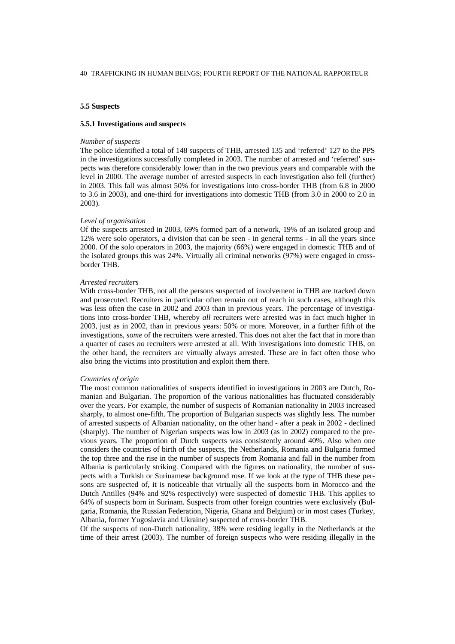#### **5.5 Suspects**

#### **5.5.1 Investigations and suspects**

#### *Number of suspects*

The police identified a total of 148 suspects of THB, arrested 135 and 'referred' 127 to the PPS in the investigations successfully completed in 2003. The number of arrested and 'referred' suspects was therefore considerably lower than in the two previous years and comparable with the level in 2000. The average number of arrested suspects in each investigation also fell (further) in 2003. This fall was almost 50% for investigations into cross-border THB (from 6.8 in 2000 to 3.6 in 2003), and one-third for investigations into domestic THB (from 3.0 in 2000 to 2.0 in 2003).

#### *Level of organisation*

Of the suspects arrested in 2003, 69% formed part of a network, 19% of an isolated group and 12% were solo operators, a division that can be seen - in general terms - in all the years since 2000. Of the solo operators in 2003, the majority (66%) were engaged in domestic THB and of the isolated groups this was 24%. Virtually all criminal networks (97%) were engaged in crossborder THB.

#### *Arrested recruiters*

With cross-border THB, not all the persons suspected of involvement in THB are tracked down and prosecuted. Recruiters in particular often remain out of reach in such cases, although this was less often the case in 2002 and 2003 than in previous years. The percentage of investigations into cross-border THB, whereby *all* recruiters were arrested was in fact much higher in 2003, just as in 2002, than in previous years: 50% or more. Moreover, in a further fifth of the investigations, *some* of the recruiters were arrested. This does not alter the fact that in more than a quarter of cases *no* recruiters were arrested at all. With investigations into domestic THB, on the other hand, the recruiters are virtually always arrested. These are in fact often those who also bring the victims into prostitution and exploit them there.

#### *Countries of origin*

The most common nationalities of suspects identified in investigations in 2003 are Dutch, Romanian and Bulgarian. The proportion of the various nationalities has fluctuated considerably over the years. For example, the number of suspects of Romanian nationality in 2003 increased sharply, to almost one-fifth. The proportion of Bulgarian suspects was slightly less. The number of arrested suspects of Albanian nationality, on the other hand - after a peak in 2002 - declined (sharply). The number of Nigerian suspects was low in 2003 (as in 2002) compared to the previous years. The proportion of Dutch suspects was consistently around 40%. Also when one considers the countries of birth of the suspects, the Netherlands, Romania and Bulgaria formed the top three and the rise in the number of suspects from Romania and fall in the number from Albania is particularly striking. Compared with the figures on nationality, the number of suspects with a Turkish or Surinamese background rose. If we look at the type of THB these persons are suspected of, it is noticeable that virtually all the suspects born in Morocco and the Dutch Antilles (94% and 92% respectively) were suspected of domestic THB. This applies to 64% of suspects born in Surinam. Suspects from other foreign countries were exclusively (Bulgaria, Romania, the Russian Federation, Nigeria, Ghana and Belgium) or in most cases (Turkey, Albania, former Yugoslavia and Ukraine) suspected of cross-border THB.

Of the suspects of non-Dutch nationality, 38% were residing legally in the Netherlands at the time of their arrest (2003). The number of foreign suspects who were residing illegally in the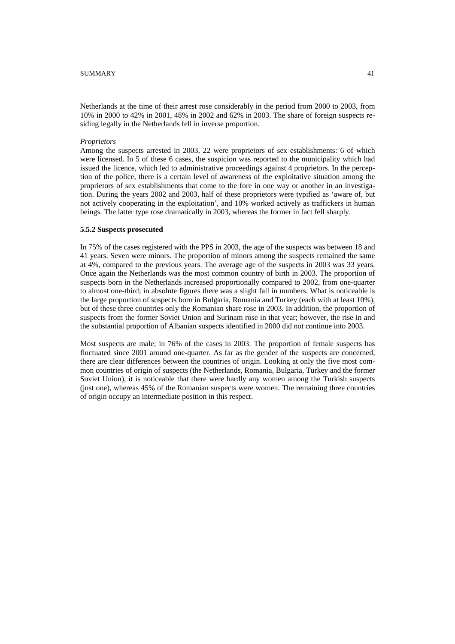Netherlands at the time of their arrest rose considerably in the period from 2000 to 2003, from 10% in 2000 to 42% in 2001, 48% in 2002 and 62% in 2003. The share of foreign suspects residing legally in the Netherlands fell in inverse proportion.

#### *Proprietors*

Among the suspects arrested in 2003, 22 were proprietors of sex establishments: 6 of which were licensed. In 5 of these 6 cases, the suspicion was reported to the municipality which had issued the licence, which led to administrative proceedings against 4 proprietors. In the perception of the police, there is a certain level of awareness of the exploitative situation among the proprietors of sex establishments that come to the fore in one way or another in an investigation. During the years 2002 and 2003, half of these proprietors were typified as 'aware of, but not actively cooperating in the exploitation', and 10% worked actively as traffickers in human beings. The latter type rose dramatically in 2003, whereas the former in fact fell sharply.

#### **5.5.2 Suspects prosecuted**

In 75% of the cases registered with the PPS in 2003, the age of the suspects was between 18 and 41 years. Seven were minors. The proportion of minors among the suspects remained the same at 4%, compared to the previous years. The average age of the suspects in 2003 was 33 years. Once again the Netherlands was the most common country of birth in 2003. The proportion of suspects born in the Netherlands increased proportionally compared to 2002, from one-quarter to almost one-third; in absolute figures there was a slight fall in numbers. What is noticeable is the large proportion of suspects born in Bulgaria, Romania and Turkey (each with at least 10%), but of these three countries only the Romanian share rose in 2003. In addition, the proportion of suspects from the former Soviet Union and Surinam rose in that year; however, the rise in and the substantial proportion of Albanian suspects identified in 2000 did not continue into 2003.

Most suspects are male; in 76% of the cases in 2003. The proportion of female suspects has fluctuated since 2001 around one-quarter. As far as the gender of the suspects are concerned, there are clear differences between the countries of origin. Looking at only the five most common countries of origin of suspects (the Netherlands, Romania, Bulgaria, Turkey and the former Soviet Union), it is noticeable that there were hardly any women among the Turkish suspects (just one), whereas 45% of the Romanian suspects were women. The remaining three countries of origin occupy an intermediate position in this respect.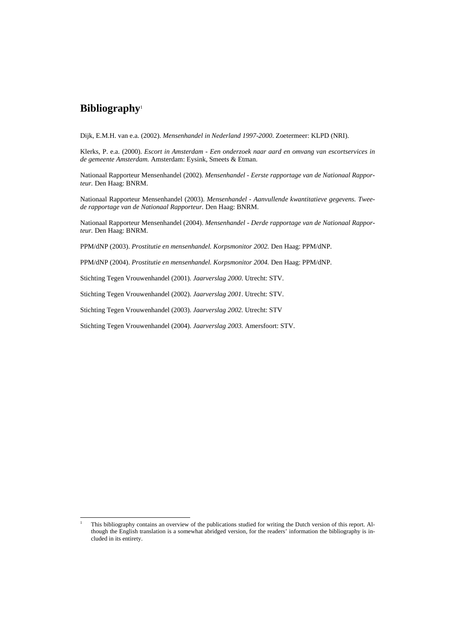# **Bibliography**<sup>1</sup>

Dijk, E.M.H. van e.a. (2002). *Mensenhandel in Nederland 1997-2000*. Zoetermeer: KLPD (NRI).

Klerks, P. e.a. (2000). *Escort in Amsterdam - Een onderzoek naar aard en omvang van escortservices in de gemeente Amsterdam.* Amsterdam: Eysink, Smeets & Etman.

Nationaal Rapporteur Mensenhandel (2002). *Mensenhandel - Eerste rapportage van de Nationaal Rapporteur.* Den Haag: BNRM.

Nationaal Rapporteur Mensenhandel (2003). *Mensenhandel - Aanvullende kwantitatieve gegevens. Tweede rapportage van de Nationaal Rapporteur.* Den Haag: BNRM.

Nationaal Rapporteur Mensenhandel (2004). *Mensenhandel - Derde rapportage van de Nationaal Rapporteur.* Den Haag: BNRM.

PPM/dNP (2003). *Prostitutie en mensenhandel. Korpsmonitor 2002.* Den Haag: PPM/dNP.

PPM/dNP (2004). *Prostitutie en mensenhandel. Korpsmonitor 2004.* Den Haag: PPM/dNP.

Stichting Tegen Vrouwenhandel (2001). *Jaarverslag 2000*. Utrecht: STV.

Stichting Tegen Vrouwenhandel (2002). *Jaarverslag 2001*. Utrecht: STV.

Stichting Tegen Vrouwenhandel (2003). *Jaarverslag 2002.* Utrecht: STV

Stichting Tegen Vrouwenhandel (2004). *Jaarverslag 2003.* Amersfoort: STV.

<sup>|&</sup>lt;br>|<br>| This bibliography contains an overview of the publications studied for writing the Dutch version of this report. Although the English translation is a somewhat abridged version, for the readers' information the bibliography is included in its entirety.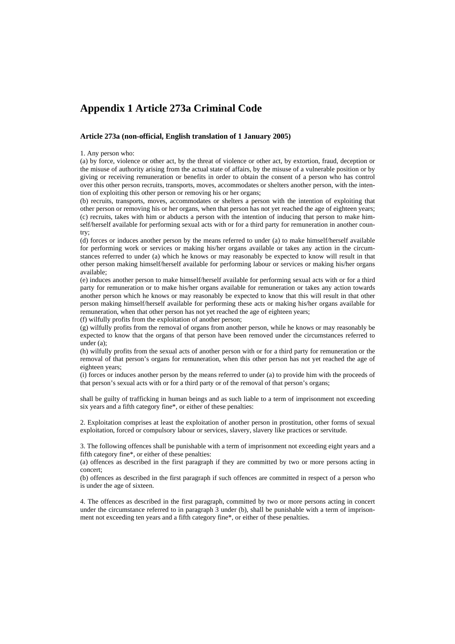# **Appendix 1 Article 273a Criminal Code**

# **Article 273a (non-official, English translation of 1 January 2005)**

1. Any person who:

(a) by force, violence or other act, by the threat of violence or other act, by extortion, fraud, deception or the misuse of authority arising from the actual state of affairs, by the misuse of a vulnerable position or by giving or receiving remuneration or benefits in order to obtain the consent of a person who has control over this other person recruits, transports, moves, accommodates or shelters another person, with the intention of exploiting this other person or removing his or her organs;

(b) recruits, transports, moves, accommodates or shelters a person with the intention of exploiting that other person or removing his or her organs, when that person has not yet reached the age of eighteen years; (c) recruits, takes with him or abducts a person with the intention of inducing that person to make himself/herself available for performing sexual acts with or for a third party for remuneration in another country;

(d) forces or induces another person by the means referred to under (a) to make himself/herself available for performing work or services or making his/her organs available or takes any action in the circumstances referred to under (a) which he knows or may reasonably be expected to know will result in that other person making himself/herself available for performing labour or services or making his/her organs available;

(e) induces another person to make himself/herself available for performing sexual acts with or for a third party for remuneration or to make his/her organs available for remuneration or takes any action towards another person which he knows or may reasonably be expected to know that this will result in that other person making himself/herself available for performing these acts or making his/her organs available for remuneration, when that other person has not yet reached the age of eighteen years;

(f) wilfully profits from the exploitation of another person;

(g) wilfully profits from the removal of organs from another person, while he knows or may reasonably be expected to know that the organs of that person have been removed under the circumstances referred to under (a);

(h) wilfully profits from the sexual acts of another person with or for a third party for remuneration or the removal of that person's organs for remuneration, when this other person has not yet reached the age of eighteen years;

(i) forces or induces another person by the means referred to under (a) to provide him with the proceeds of that person's sexual acts with or for a third party or of the removal of that person's organs;

shall be guilty of trafficking in human beings and as such liable to a term of imprisonment not exceeding six years and a fifth category fine\*, or either of these penalties:

2. Exploitation comprises at least the exploitation of another person in prostitution, other forms of sexual exploitation, forced or compulsory labour or services, slavery, slavery like practices or servitude.

3. The following offences shall be punishable with a term of imprisonment not exceeding eight years and a fifth category fine\*, or either of these penalties:

(a) offences as described in the first paragraph if they are committed by two or more persons acting in concert;

(b) offences as described in the first paragraph if such offences are committed in respect of a person who is under the age of sixteen.

4. The offences as described in the first paragraph, committed by two or more persons acting in concert under the circumstance referred to in paragraph 3 under (b), shall be punishable with a term of imprisonment not exceeding ten years and a fifth category fine\*, or either of these penalties.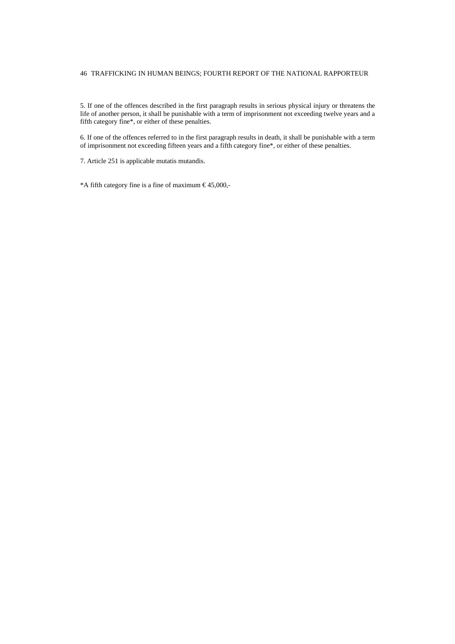5. If one of the offences described in the first paragraph results in serious physical injury or threatens the life of another person, it shall be punishable with a term of imprisonment not exceeding twelve years and a fifth category fine\*, or either of these penalties.

6. If one of the offences referred to in the first paragraph results in death, it shall be punishable with a term of imprisonment not exceeding fifteen years and a fifth category fine\*, or either of these penalties.

7. Article 251 is applicable mutatis mutandis.

\*A fifth category fine is a fine of maximum  $\epsilon$ 45,000,-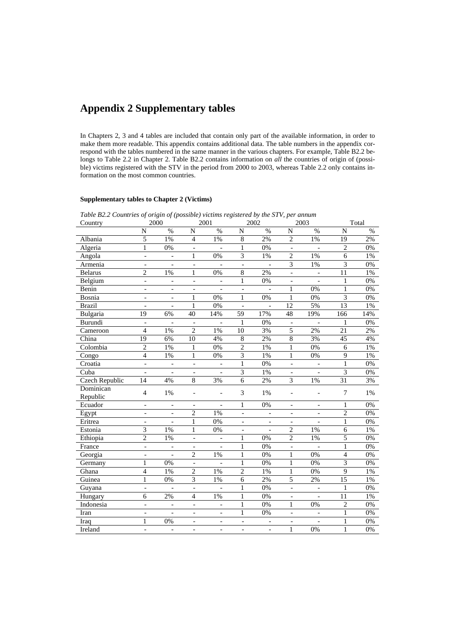# **Appendix 2 Supplementary tables**

In Chapters 2, 3 and 4 tables are included that contain only part of the available information, in order to make them more readable. This appendix contains additional data. The table numbers in the appendix correspond with the tables numbered in the same manner in the various chapters. For example, Table B2.2 belongs to Table 2.2 in Chapter 2. Table B2.2 contains information on *all* the countries of origin of (possible) victims registered with the STV in the period from 2000 to 2003, whereas Table 2.2 only contains information on the most common countries.

#### **Supplementary tables to Chapter 2 (Victims)**

| Country               |                              | 2000                     |                          | 2001                     |                          | 2002                         |                          | 2003                     |                 | Total |
|-----------------------|------------------------------|--------------------------|--------------------------|--------------------------|--------------------------|------------------------------|--------------------------|--------------------------|-----------------|-------|
|                       | N                            | $\%$                     | N                        | $\%$                     | $\overline{N}$           | $\frac{0}{0}$                | N                        | $\%$                     | N               | $\%$  |
| Albania               | 5                            | 1%                       | $\overline{4}$           | 1%                       | 8                        | 2%                           | $\overline{c}$           | 1%                       | 19              | 2%    |
| Algeria               | 1                            | 0%                       | $\overline{\phantom{a}}$ |                          | 1                        | 0%                           | $\overline{\phantom{m}}$ |                          | $\overline{2}$  | 0%    |
| Angola                | $\overline{a}$               | $\blacksquare$           | 1                        | 0%                       | 3                        | 1%                           | $\overline{c}$           | 1%                       | 6               | 1%    |
| Armenia               | $\overline{a}$               |                          | $\overline{a}$           |                          | $\overline{a}$           |                              | 3                        | 1%                       | 3               | 0%    |
| <b>Belarus</b>        | $\overline{c}$               | 1%                       | 1                        | 0%                       | $\overline{8}$           | 2%                           | $\overline{\phantom{a}}$ |                          | $\overline{11}$ | $1\%$ |
| Belgium               | $\frac{1}{2}$                | $\overline{\phantom{a}}$ | $\overline{\phantom{a}}$ |                          | 1                        | 0%                           | $\overline{\phantom{a}}$ |                          | 1               | 0%    |
| Benin                 | $\qquad \qquad \blacksquare$ | $\overline{a}$           | $\overline{\phantom{a}}$ |                          | $\overline{\phantom{a}}$ |                              | 1                        | 0%                       | $\mathbf{1}$    | 0%    |
| Bosnia                | $\qquad \qquad -$            | $\blacksquare$           | $\mathbf{1}$             | 0%                       | $\mathbf{1}$             | 0%                           | $\mathbf{1}$             | 0%                       | $\overline{3}$  | 0%    |
| <b>Brazil</b>         | $\overline{a}$               |                          | 1                        | 0%                       | $\overline{a}$           |                              | 12                       | 5%                       | 13              | 1%    |
| Bulgaria              | 19                           | 6%                       | 40                       | 14%                      | 59                       | 17%                          | 48                       | 19%                      | 166             | 14%   |
| Burundi               | $\overline{a}$               |                          | $\overline{\phantom{a}}$ |                          | 1                        | 0%                           | $\qquad \qquad \Box$     |                          | 1               | 0%    |
| Cameroon              | $\overline{4}$               | 1%                       | $\overline{2}$           | 1%                       | 10                       | 3%                           | 5                        | 2%                       | 21              | 2%    |
| China                 | 19                           | 6%                       | 10                       | 4%                       | 8                        | 2%                           | 8                        | 3%                       | 45              | 4%    |
| Colombia              | $\overline{2}$               | 1%                       | 1                        | 0%                       | $\overline{c}$           | 1%                           | 1                        | 0%                       | 6               | $1\%$ |
| Congo                 | $\overline{4}$               | 1%                       | $\mathbf{1}$             | 0%                       | $\overline{3}$           | 1%                           | 1                        | 0%                       | 9               | 1%    |
| Croatia               | $\overline{a}$               | $\frac{1}{2}$            | $\overline{a}$           | $\overline{\phantom{a}}$ | 1                        | 0%                           | $\frac{1}{2}$            | $\overline{a}$           | $\mathbf{1}$    | 0%    |
| Cuba                  | $\overline{\phantom{0}}$     | $\overline{\phantom{a}}$ | $\overline{\phantom{a}}$ |                          | $\overline{3}$           | 1%                           | $\blacksquare$           |                          | 3               | 0%    |
| <b>Czech Republic</b> | 14                           | 4%                       | 8                        | 3%                       | 6                        | 2%                           | 3                        | 1%                       | 31              | 3%    |
| Dominican             | $\overline{4}$               | 1%                       | $\overline{\phantom{a}}$ |                          | 3                        | 1%                           | $\overline{\phantom{a}}$ |                          | 7               | 1%    |
| Republic              |                              |                          |                          |                          |                          |                              |                          |                          |                 |       |
| Ecuador               | $\overline{\phantom{a}}$     | $\blacksquare$           | $\overline{\phantom{a}}$ | $\overline{\phantom{a}}$ | 1                        | 0%                           | $\overline{\phantom{a}}$ | $\overline{\phantom{a}}$ | 1               | 0%    |
| Egypt                 | $\overline{\phantom{a}}$     | $\overline{\phantom{a}}$ | $\overline{2}$           | 1%                       | $\overline{\phantom{a}}$ | $\overline{\phantom{a}}$     | $\overline{\phantom{a}}$ | $\overline{\phantom{a}}$ | $\overline{2}$  | 0%    |
| Eritrea               | $\overline{\phantom{a}}$     | $\overline{\phantom{a}}$ | 1                        | 0%                       | $\overline{\phantom{a}}$ | $\overline{\phantom{0}}$     | $\overline{\phantom{a}}$ | $\overline{\phantom{a}}$ | 1               | 0%    |
| Estonia               | 3                            | 1%                       | 1                        | 0%                       | $\overline{\phantom{a}}$ | $\qquad \qquad \blacksquare$ | $\overline{c}$           | 1%                       | 6               | 1%    |
| Ethiopia              | $\overline{2}$               | 1%                       | $\qquad \qquad \Box$     | $\qquad \qquad -$        | 1                        | 0%                           | $\overline{2}$           | 1%                       | 5               | 0%    |
| France                | $\overline{a}$               | $\overline{\phantom{0}}$ | $\overline{\phantom{a}}$ |                          | 1                        | 0%                           | $\overline{\phantom{m}}$ |                          | $\mathbf{1}$    | 0%    |
| Georgia               | $\overline{a}$               |                          | $\overline{2}$           | 1%                       | $\mathbf{1}$             | 0%                           | 1                        | 0%                       | $\overline{4}$  | 0%    |
| Germany               | $\mathbf{1}$                 | 0%                       | $\overline{a}$           |                          | $\mathbf{1}$             | 0%                           | 1                        | 0%                       | $\overline{3}$  | 0%    |
| Ghana                 | $\overline{4}$               | 1%                       | $\overline{2}$           | 1%                       | $\overline{2}$           | 1%                           | 1                        | $0\%$                    | $\overline{9}$  | 1%    |
| Guinea                | 1                            | 0%                       | $\overline{3}$           | $1\%$                    | $\overline{6}$           | 2%                           | 5                        | 2%                       | $\overline{15}$ | 1%    |
| Guyana                | $\overline{a}$               | $\overline{\phantom{0}}$ | $\overline{\phantom{a}}$ | $\blacksquare$           | 1                        | 0%                           | $\overline{\phantom{0}}$ |                          | 1               | 0%    |
| Hungary               | 6                            | 2%                       | $\overline{4}$           | 1%                       | 1                        | 0%                           | $\frac{1}{2}$            |                          | 11              | 1%    |
| Indonesia             | $\overline{a}$               | $\overline{a}$           | $\overline{\phantom{a}}$ | $\blacksquare$           | $\mathbf{1}$             | 0%                           | 1                        | 0%                       | $\overline{2}$  | 0%    |
| Iran                  | $\overline{a}$               |                          | $\overline{\phantom{a}}$ | $\overline{\phantom{0}}$ | 1                        | 0%                           | $\overline{\phantom{a}}$ | $\overline{a}$           | $\mathbf{1}$    | 0%    |
| Iraq                  | 1                            | $\overline{0\%}$         | $\overline{\phantom{a}}$ | $\overline{\phantom{a}}$ | $\overline{\phantom{a}}$ | $\overline{\phantom{a}}$     | $\overline{\phantom{a}}$ |                          | 1               | 0%    |
| Ireland               | $\overline{a}$               | $\overline{a}$           | $\overline{a}$           | $\overline{a}$           | $\overline{a}$           | $\overline{a}$               | 1                        | 0%                       | 1               | 0%    |

*Table B2.2 Countries of origin of (possible) victims registered by the STV, per annum*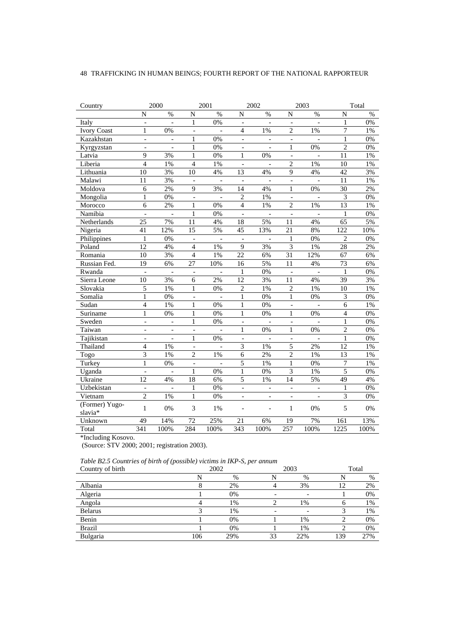| Country            |                          | 2000                     | 2001                     |                          | 2002                     |                          | 2003                         |                          | Total           |       |
|--------------------|--------------------------|--------------------------|--------------------------|--------------------------|--------------------------|--------------------------|------------------------------|--------------------------|-----------------|-------|
|                    | $\mathbf N$              | $\%$                     | $\overline{N}$           | $\%$                     | $\overline{N}$           | $\%$                     | $\overline{N}$               | $\%$                     | $\overline{N}$  | $\%$  |
| Italy              | $\overline{a}$           | $\overline{a}$           | 1                        | 0%                       | $\overline{\phantom{0}}$ | $\overline{a}$           | $\overline{a}$               | $\overline{a}$           | $\mathbf{1}$    | $0\%$ |
| <b>Ivory Coast</b> | 1                        | 0%                       | $\overline{\phantom{0}}$ | $\overline{\phantom{a}}$ | $\overline{4}$           | 1%                       | $\overline{c}$               | 1%                       | 7               | 1%    |
| Kazakhstan         | $\overline{\phantom{a}}$ | $\overline{\phantom{a}}$ | 1                        | 0%                       | $\blacksquare$           | $\overline{\phantom{a}}$ | $\qquad \qquad \blacksquare$ | $\overline{\phantom{a}}$ | 1               | 0%    |
| Kyrgyzstan         | $\overline{a}$           |                          | 1                        | 0%                       | $\blacksquare$           |                          | $\mathbf{1}$                 | 0%                       | $\overline{c}$  | 0%    |
| Latvia             | 9                        | 3%                       | $\mathbf{1}$             | 0%                       | 1                        | 0%                       | $\overline{a}$               | $\overline{\phantom{a}}$ | 11              | 1%    |
| Liberia            | $\overline{4}$           | 1%                       | $\overline{4}$           | 1%                       | $\overline{a}$           |                          | $\overline{c}$               | $1\%$                    | 10              | 1%    |
| Lithuania          | 10                       | 3%                       | 10                       | 4%                       | 13                       | 4%                       | 9                            | 4%                       | 42              | 3%    |
| Malawi             | 11                       | 3%                       | $\overline{a}$           | $\overline{a}$           | $\overline{a}$           |                          | $\overline{a}$               |                          | 11              | 1%    |
| Moldova            | 6                        | 2%                       | 9                        | 3%                       | 14                       | 4%                       | $\mathbf{1}$                 | 0%                       | 30              | 2%    |
| Mongolia           | $\mathbf{1}$             | 0%                       | $\overline{\phantom{a}}$ | $\overline{\phantom{a}}$ | $\mathbf{2}$             | 1%                       | $\overline{\phantom{a}}$     | $\blacksquare$           | 3               | 0%    |
| Morocco            | 6                        | 2%                       | 1                        | 0%                       | $\overline{4}$           | 1%                       | $\overline{c}$               | 1%                       | 13              | 1%    |
| Namibia            | $\overline{a}$           |                          | $\mathbf{1}$             | 0%                       | $\blacksquare$           |                          | $\overline{\phantom{a}}$     |                          | 1               | 0%    |
| Netherlands        | 25                       | 7%                       | 11                       | 4%                       | 18                       | 5%                       | 11                           | 4%                       | 65              | 5%    |
| Nigeria            | 41                       | 12%                      | 15                       | 5%                       | 45                       | 13%                      | 21                           | 8%                       | 122             | 10%   |
| Philippines        | $\mathbf{1}$             | 0%                       | $\overline{a}$           |                          | $\frac{1}{2}$            |                          | $\mathbf{1}$                 | 0%                       | $\overline{2}$  | 0%    |
| Poland             | 12                       | 4%                       | $\overline{4}$           | 1%                       | 9                        | 3%                       | $\overline{3}$               | 1%                       | 28              | 2%    |
| Romania            | $\overline{10}$          | 3%                       | $\overline{4}$           | 1%                       | 22                       | 6%                       | $\overline{31}$              | 12%                      | $\overline{67}$ | 6%    |
| Russian Fed.       | $\overline{19}$          | 6%                       | 27                       | 10%                      | 16                       | 5%                       | 11                           | 4%                       | 73              | 6%    |
| Rwanda             | $\qquad \qquad -$        | $\overline{\phantom{a}}$ | $\overline{\phantom{0}}$ | $\overline{\phantom{a}}$ | 1                        | 0%                       | $\qquad \qquad -$            | $\overline{\phantom{a}}$ | 1               | 0%    |
| Sierra Leone       | 10                       | 3%                       | $\overline{6}$           | 2%                       | $\overline{12}$          | 3%                       | 11                           | 4%                       | $\overline{39}$ | 3%    |
| Slovakia           | 5                        | 1%                       | $\mathbf{1}$             | $0\%$                    | $\overline{c}$           | 1%                       | 2                            | 1%                       | 10              | $1\%$ |
| Somalia            | $\mathbf{1}$             | $\overline{0\%}$         | $\overline{a}$           |                          | $\mathbf{1}$             | 0%                       | $\mathbf{1}$                 | 0%                       | 3               | 0%    |
| Sudan              | $\overline{4}$           | 1%                       | 1                        | 0%                       | 1                        | 0%                       | $\overline{\phantom{0}}$     |                          | 6               | 1%    |
| Suriname           | 1                        | $0\%$                    | $\mathbf{1}$             | 0%                       | $\mathbf{1}$             | 0%                       | $\mathbf{1}$                 | 0%                       | $\overline{4}$  | 0%    |
| Sweden             | $\blacksquare$           | $\overline{a}$           | $\mathbf{1}$             | 0%                       | $\overline{\phantom{a}}$ |                          | $\overline{a}$               | $\overline{a}$           | $\mathbf{1}$    | 0%    |
| Taiwan             | $\overline{\phantom{a}}$ | $\blacksquare$           | $\overline{\phantom{a}}$ |                          | 1                        | 0%                       | 1                            | 0%                       | $\overline{c}$  | 0%    |
| Tajikistan         | $\overline{\phantom{a}}$ |                          | 1                        | 0%                       | $\overline{\phantom{a}}$ |                          | $\qquad \qquad \blacksquare$ |                          | $\mathbf{1}$    | $0\%$ |
| Thailand           | $\overline{4}$           | 1%                       | $\overline{a}$           |                          | $\overline{3}$           | 1%                       | 5                            | 2%                       | 12              | $1\%$ |
| Togo               | 3                        | 1%                       | $\overline{2}$           | 1%                       | 6                        | 2%                       | $\overline{2}$               | 1%                       | 13              | 1%    |
| Turkey             | 1                        | 0%                       | $\overline{a}$           |                          | 5                        | 1%                       | $\mathbf{1}$                 | 0%                       | 7               | 1%    |
| Uganda             | $\overline{\phantom{a}}$ |                          | 1                        | 0%                       | $\mathbf{1}$             | $0\%$                    | $\overline{3}$               | 1%                       | 5               | $0\%$ |
| Ukraine            | 12                       | 4%                       | 18                       | 6%                       | 5                        | 1%                       | 14                           | 5%                       | 49              | 4%    |
| <b>Uzbekistan</b>  | $\frac{1}{2}$            | $\overline{\phantom{a}}$ | 1                        | 0%                       | $\frac{1}{2}$            | $\overline{\phantom{a}}$ | $\overline{\phantom{0}}$     | $\overline{\phantom{a}}$ | $\mathbf{1}$    | 0%    |
| Vietnam            | $\overline{c}$           | 1%                       | 1                        | 0%                       | $\blacksquare$           | $\overline{\phantom{a}}$ | $\overline{\phantom{a}}$     | $\overline{\phantom{a}}$ | 3               | 0%    |
| (Former) Yugo-     | 1                        | 0%                       | 3                        | 1%                       | $\overline{a}$           | $\overline{a}$           | $\mathbf{1}$                 | 0%                       | 5               | $0\%$ |
| slavia*            |                          |                          |                          |                          |                          |                          |                              |                          |                 |       |
| Unknown            | 49                       | 14%                      | 72                       | 25%                      | 21                       | 6%                       | 19                           | 7%                       | 161             | 13%   |
| Total              | 341                      | 100%                     | 284                      | 100%                     | 343                      | 100%                     | 257                          | 100%                     | 1225            | 100%  |

\*Including Kosovo.

(Source: STV 2000; 2001; registration 2003).

*Table B2.5 Countries of birth of (possible) victims in IKP-S, per annum* 

| Country of birth |     | 2002 |    | 2003 | Total |     |  |
|------------------|-----|------|----|------|-------|-----|--|
|                  |     | %    |    | %    | N     | %   |  |
| Albania          |     | 2%   |    | 3%   | 12    | 2%  |  |
| Algeria          |     | 0%   |    |      |       | 0%  |  |
| Angola           |     | 1%   |    | 1%   | O     | 1%  |  |
| <b>Belarus</b>   |     | 1%   |    |      |       | 1%  |  |
| Benin            |     | 0%   |    | 1%   |       | 0%  |  |
| <b>Brazil</b>    |     | 0%   |    | 1%   |       | 0%  |  |
| Bulgaria         | 106 | 29%  | 33 | 22%  | 139   | 27% |  |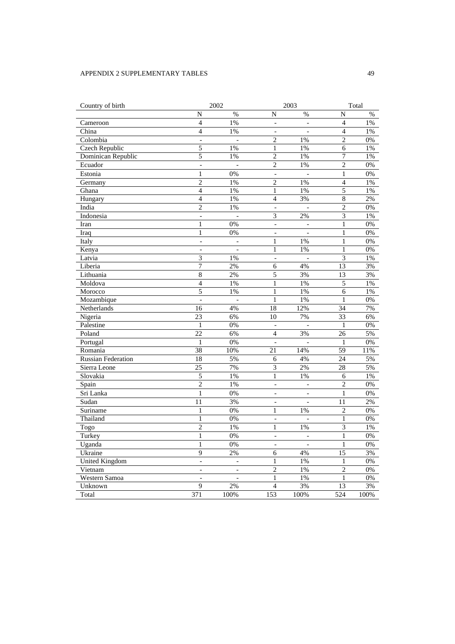### APPENDIX 2 SUPPLEMENTARY TABLES 49

| Country of birth          |                          | 2002                     |                          | 2003                     |                         | Total |
|---------------------------|--------------------------|--------------------------|--------------------------|--------------------------|-------------------------|-------|
|                           | N                        | $\%$                     | N                        | $\%$                     | N                       | $\%$  |
| Cameroon                  | $\overline{4}$           | 1%                       | $\overline{\phantom{a}}$ | $\overline{\phantom{a}}$ | $\overline{4}$          | $1\%$ |
| China                     | $\overline{4}$           | 1%                       | $\qquad \qquad \Box$     | $\overline{\phantom{a}}$ | $\overline{4}$          | 1%    |
| Colombia                  | $\overline{a}$           | $\overline{a}$           | $\overline{2}$           | 1%                       | $\overline{2}$          | 0%    |
| Czech Republic            | 5                        | 1%                       | 1                        | 1%                       | 6                       | 1%    |
| Dominican Republic        | 5                        | 1%                       | $\overline{2}$           | 1%                       | $\overline{7}$          | 1%    |
| Ecuador                   | $\overline{a}$           | $\overline{\phantom{0}}$ | $\overline{2}$           | 1%                       | $\overline{2}$          | 0%    |
| Estonia                   | $\,1\,$                  | 0%                       | $\overline{a}$           | $\overline{a}$           | $\mathbf{1}$            | 0%    |
| Germany                   | $\overline{c}$           | 1%                       | $\overline{2}$           | 1%                       | $\overline{4}$          | 1%    |
| Ghana                     | $\overline{4}$           | 1%                       | 1                        | 1%                       | 5                       | 1%    |
| Hungary                   | $\overline{4}$           | 1%                       | $\overline{4}$           | 3%                       | $\overline{8}$          | 2%    |
| India                     | $\overline{2}$           | 1%                       | $\overline{a}$           | $\overline{a}$           | $\overline{2}$          | 0%    |
| Indonesia                 | $\overline{a}$           |                          | 3                        | 2%                       | $\overline{\mathbf{3}}$ | $1\%$ |
| Iran                      | $\mathbf{1}$             | 0%                       | $\overline{\phantom{m}}$ | $\overline{\phantom{a}}$ | $\,1$                   | 0%    |
| Iraq                      | $\mathbf{1}$             | 0%                       | $\overline{a}$           | $\overline{a}$           | $\,1$                   | 0%    |
| Italy                     | $\overline{\phantom{m}}$ | $\overline{\phantom{0}}$ | $\mathbf{1}$             | 1%                       | $\mathbf{1}$            | 0%    |
| Kenya                     | $\qquad \qquad \Box$     | $\overline{a}$           | 1                        | 1%                       | $\mathbf{1}$            | 0%    |
| Latvia                    | 3                        | 1%                       | $\overline{a}$           | $\overline{a}$           | $\overline{3}$          | $1\%$ |
| Liberia                   | $\overline{7}$           | 2%                       | $\overline{6}$           | 4%                       | 13                      | 3%    |
| Lithuania                 | 8                        | 2%                       | 5                        | 3%                       | 13                      | 3%    |
| Moldova                   | $\overline{4}$           | 1%                       | $\mathbf{1}$             | 1%                       | 5                       | $1\%$ |
| Morocco                   | 5                        | 1%                       | $\mathbf{1}$             | 1%                       | 6                       | $1\%$ |
| Mozambique                | $\overline{\phantom{0}}$ | $\frac{1}{2}$            | $\mathbf{1}$             | 1%                       | $\mathbf{1}$            | 0%    |
| Netherlands               | 16                       | 4%                       | 18                       | 12%                      | 34                      | 7%    |
| Nigeria                   | 23                       | 6%                       | 10                       | 7%                       | $\overline{33}$         | 6%    |
| Palestine                 | $\mathbf{1}$             | 0%                       | $\overline{a}$           | $\overline{a}$           | $\mathbf{1}$            | 0%    |
| Poland                    | 22                       | 6%                       | $\overline{4}$           | 3%                       | 26                      | 5%    |
| Portugal                  | $\mathbf{1}$             | 0%                       | $\overline{a}$           | $\overline{a}$           | $\mathbf{1}$            | 0%    |
| Romania                   | 38                       | 10%                      | 21                       | 14%                      | 59                      | 11%   |
| <b>Russian Federation</b> | 18                       | 5%                       | 6                        | 4%                       | 24                      | 5%    |
| Sierra Leone              | 25                       | 7%                       | 3                        | 2%                       | 28                      | 5%    |
| Slovakia                  | 5                        | 1%                       | $\mathbf{1}$             | 1%                       | 6                       | 1%    |
| Spain                     | $\overline{c}$           | 1%                       | $\qquad \qquad -$        | $\blacksquare$           | $\overline{c}$          | 0%    |
| Sri Lanka                 | $\overline{1}$           | 0%                       | $\overline{a}$           | $\overline{\phantom{a}}$ | $\mathbf{1}$            | 0%    |
| Sudan                     | 11                       | 3%                       | $\overline{a}$           | $\frac{1}{2}$            | 11                      | 2%    |
| Suriname                  | $\mathbf{1}$             | 0%                       | 1                        | 1%                       | $\overline{c}$          | 0%    |
| Thailand                  | $\mathbf{1}$             | 0%                       | $\overline{a}$           | $\overline{a}$           | $\mathbf{1}$            | 0%    |
| Togo                      | $\overline{c}$           | 1%                       | $\mathbf{1}$             | 1%                       | $\overline{\mathbf{3}}$ | 1%    |
| Turkey                    | $\mathbf{1}$             | 0%                       | $\overline{a}$           | $\sim$                   | $\mathbf{1}$            | 0%    |
| Uganda                    | $\mathbf{1}$             | 0%                       | $\overline{a}$           | $\overline{a}$           | $\mathbf{1}$            | 0%    |
| Ukraine                   | 9                        | 2%                       | 6                        | 4%                       | 15                      | 3%    |
| <b>United Kingdom</b>     | $\overline{a}$           | $\overline{a}$           | 1                        | 1%                       | 1                       | 0%    |
| Vietnam                   | $\overline{a}$           | $\overline{a}$           | $\overline{2}$           | 1%                       | $\overline{c}$          | 0%    |
| Western Samoa             |                          |                          | $\mathbf{1}$             | 1%                       | $\mathbf{1}$            | 0%    |
| Unknown                   | 9                        | 2%                       | $\overline{4}$           | 3%                       | $\overline{13}$         | 3%    |
| Total                     | $\overline{371}$         | 100%                     | 153                      | 100%                     | 524                     | 100%  |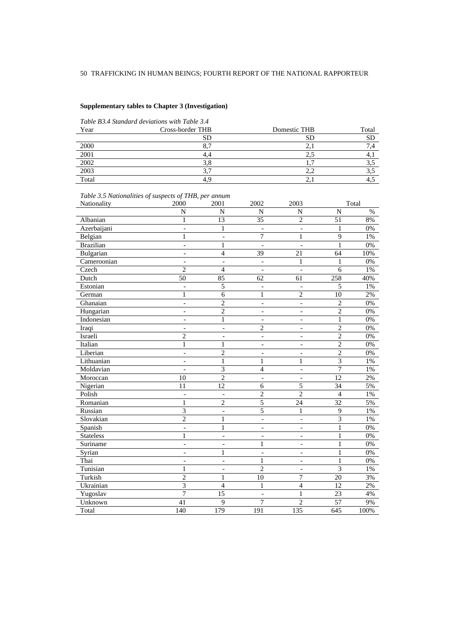# **Supplementary tables to Chapter 3 (Investigation)**

|       | Table B3.4 Standard deviations with Table 3.4 |              |       |
|-------|-----------------------------------------------|--------------|-------|
| Year  | Cross-border THB                              | Domestic THB | Total |
|       | SD                                            | SD           |       |
| 2000  |                                               |              |       |
| 2001  | 4.4                                           |              |       |
| 2002  | 3.8                                           |              |       |
| 2003  |                                               |              |       |
| Total | 4.9                                           | ۷,           |       |

*Table 3.5 Nationalities of suspects of THB, per annum* 

| Nationality      | 2000                         | 2001                         | 2002                     | 2003                     |                 | Total |
|------------------|------------------------------|------------------------------|--------------------------|--------------------------|-----------------|-------|
|                  | N                            | N                            | N                        | N                        | N               | $\%$  |
| Albanian         | $\mathbf{1}$                 | $\overline{13}$              | $\overline{35}$          | $\overline{2}$           | $\overline{51}$ | 8%    |
| Azerbaijani      | $\overline{a}$               | $\mathbf{1}$                 | $\overline{\phantom{a}}$ | $\overline{a}$           | $\mathbf{1}$    | 0%    |
| Belgian          | $\mathbf{1}$                 | $\qquad \qquad -$            | 7                        | $\mathbf{1}$             | $\overline{9}$  | 1%    |
| <b>Brazilian</b> | $\overline{\phantom{0}}$     | $\mathbf{1}$                 | $\overline{a}$           | $\overline{a}$           | 1               | 0%    |
| Bulgarian        | $\overline{\phantom{0}}$     | $\overline{\mathcal{L}}$     | $\overline{39}$          | $\overline{21}$          | 64              | 10%   |
| Cameroonian      | $\overline{a}$               | $\overline{a}$               | $\overline{\phantom{a}}$ | 1                        | 1               | 0%    |
| Czech            | $\overline{2}$               | $\overline{4}$               | $\blacksquare$           | $\overline{a}$           | 6               | 1%    |
| Dutch            | 50                           | 85                           | 62                       | 61                       | 258             | 40%   |
| Estonian         | $\overline{a}$               | 5                            | $\overline{\phantom{a}}$ | $\overline{\phantom{0}}$ | 5               | $1\%$ |
| German           | $\mathbf{1}$                 | 6                            | $\mathbf{1}$             | $\overline{c}$           | 10              | 2%    |
| Ghanaian         | $\blacksquare$               | $\overline{2}$               | $\overline{\phantom{a}}$ | $\overline{a}$           | $\overline{c}$  | 0%    |
| Hungarian        | $\overline{a}$               | $\overline{2}$               | $\overline{\phantom{a}}$ | $\overline{\phantom{0}}$ | $\overline{2}$  | 0%    |
| Indonesian       | $\overline{\phantom{a}}$     | $\mathbf{1}$                 | $\overline{\phantom{a}}$ | $\overline{\phantom{0}}$ | 1               | 0%    |
| Iraqi            | $\qquad \qquad \blacksquare$ | $\overline{\phantom{0}}$     | $\sqrt{2}$               | $\qquad \qquad -$        | $\overline{c}$  | 0%    |
| Israeli          | $\overline{c}$               | $\qquad \qquad -$            | $\overline{\phantom{a}}$ | $\qquad \qquad -$        | $\overline{2}$  | 0%    |
| Italian          | $\mathbf{1}$                 | 1                            | $\overline{\phantom{a}}$ | $\overline{\phantom{0}}$ | $\overline{2}$  | 0%    |
| Liberian         | $\overline{\phantom{a}}$     | $\overline{2}$               | $\overline{\phantom{a}}$ | $\qquad \qquad -$        | $\overline{2}$  | 0%    |
| Lithuanian       | $\qquad \qquad -$            | $\mathbf{1}$                 | 1                        | 1                        | $\overline{3}$  | 1%    |
| Moldavian        | $\qquad \qquad -$            | $\overline{3}$               | $\overline{4}$           | -                        | $\tau$          | 1%    |
| Moroccan         | 10                           | $\overline{2}$               | $\qquad \qquad -$        | $\overline{\phantom{0}}$ | 12              | $2\%$ |
| Nigerian         | 11                           | $\overline{12}$              | 6                        | 5                        | 34              | 5%    |
| Polish           | $\overline{a}$               | $\overline{a}$               | $\overline{2}$           | $\overline{c}$           | $\overline{4}$  | 1%    |
| Romanian         | $\mathbf{1}$                 | $\overline{2}$               | $\overline{5}$           | $\overline{24}$          | $\overline{32}$ | 5%    |
| Russian          | 3                            | $\qquad \qquad -$            | 5                        | $\mathbf{1}$             | 9               | $1\%$ |
| Slovakian        | $\overline{2}$               | $\mathbf{1}$                 | $\overline{\phantom{0}}$ | $\overline{a}$           | $\overline{3}$  | 1%    |
| Spanish          | $\overline{a}$               | $\,1\,$                      | $\overline{a}$           | $\overline{a}$           | 1               | 0%    |
| <b>Stateless</b> | $\mathbf{1}$                 | $\overline{a}$               | $\overline{a}$           | $\overline{a}$           | 1               | 0%    |
| Suriname         | $\overline{a}$               | $\qquad \qquad -$            | $\mathbf{1}$             | $\overline{a}$           | $\mathbf{1}$    | 0%    |
| Syrian           | L,                           | $\,1$                        | $\overline{\phantom{0}}$ | $\overline{a}$           | $\mathbf{1}$    | 0%    |
| Thai             | L,                           | $\qquad \qquad \blacksquare$ | $\mathbf{1}$             | $\overline{a}$           | $\mathbf{1}$    | 0%    |
| Tunisian         | $\mathbf{1}$                 | $\qquad \qquad \blacksquare$ | $\overline{2}$           | $\overline{a}$           | $\overline{3}$  | $1\%$ |
| Turkish          | $\overline{2}$               | $\mathbf{1}$                 | $\overline{10}$          | 7                        | 20              | 3%    |
| Ukrainian        | $\overline{3}$               | $\overline{4}$               | 1                        | $\overline{4}$           | 12              | 2%    |
| Yugoslav         | $\overline{7}$               | $\overline{15}$              | $\qquad \qquad -$        | $\mathbf{1}$             | 23              | 4%    |
| Unknown          | 41                           | 9                            | 7                        | $\overline{2}$           | 57              | 9%    |
| Total            | 140                          | $\overline{179}$             | 191                      | 135                      | 645             | 100%  |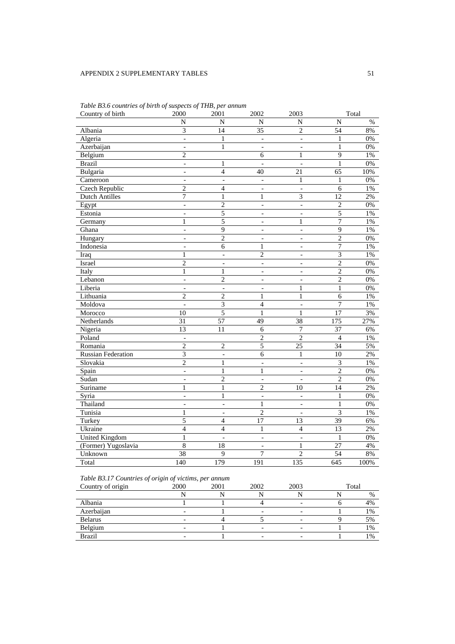| Country of birth          | 2000                     | 2001                     | 2002                     | 2003                     |                | Total |
|---------------------------|--------------------------|--------------------------|--------------------------|--------------------------|----------------|-------|
|                           | N                        | N                        | $\mathbf N$              | N                        | $\overline{N}$ | $\%$  |
| Albania                   | 3                        | 14                       | 35                       | 2                        | 54             | 8%    |
| Algeria                   | $\blacksquare$           | $\mathbf{1}$             | $\overline{a}$           | $\overline{\phantom{a}}$ | 1              | 0%    |
| Azerbaijan                | $\overline{a}$           | $\mathbf{1}$             | $\blacksquare$           | $\blacksquare$           | 1              | 0%    |
| Belgium                   | $\overline{2}$           |                          | 6                        | 1                        | 9              | 1%    |
| <b>Brazil</b>             | $\overline{\phantom{a}}$ | 1                        | $\overline{\phantom{a}}$ | $\blacksquare$           | 1              | $0\%$ |
| Bulgaria                  | $\overline{\phantom{a}}$ | $\overline{4}$           | 40                       | 21                       | 65             | 10%   |
| Cameroon                  |                          | $\overline{a}$           | $\overline{a}$           | $\,1$                    | $\,1$          | 0%    |
| Czech Republic            | $\overline{2}$           | $\overline{4}$           | $\overline{\phantom{a}}$ | $\overline{\phantom{a}}$ | 6              | $1\%$ |
| <b>Dutch Antilles</b>     | $\overline{7}$           | $\,1$                    | $\mathbf{1}$             | $\overline{3}$           | 12             | 2%    |
| Egypt                     | $\overline{\phantom{0}}$ | $\overline{2}$           | $\overline{\phantom{a}}$ | $\overline{\phantom{a}}$ | $\overline{2}$ | $0\%$ |
| Estonia                   | $\overline{a}$           | $\overline{5}$           | $\overline{a}$           | $\qquad \qquad \Box$     | 5              | $1\%$ |
| Germany                   | $\mathbf{1}$             | 5                        | $\overline{\phantom{a}}$ | $\mathbf{1}$             | $\overline{7}$ | $1\%$ |
| Ghana                     | $\overline{a}$           | $\overline{9}$           | $\overline{a}$           | $\overline{\phantom{a}}$ | $\overline{9}$ | $1\%$ |
| Hungary                   | $\overline{a}$           | $\overline{2}$           | $\overline{a}$           | $\overline{a}$           | $\overline{2}$ | $0\%$ |
| Indonesia                 | $\overline{a}$           | $\overline{6}$           | $\mathbf{1}$             | $\overline{\phantom{m}}$ | $\overline{7}$ | 1%    |
| Iraq                      | $\mathbf{1}$             | $\overline{\phantom{a}}$ | $\overline{2}$           | $\overline{\phantom{a}}$ | $\overline{3}$ | 1%    |
| Israel                    | $\overline{2}$           | $\overline{a}$           | $\overline{\phantom{m}}$ | $\blacksquare$           | $\overline{2}$ | $0\%$ |
| Italy                     | $\overline{1}$           | $\mathbf{1}$             | $\overline{\phantom{m}}$ | $\blacksquare$           | $\overline{2}$ | $0\%$ |
| Lebanon                   | $\overline{a}$           | $\overline{c}$           | $\overline{a}$           | $\overline{\phantom{m}}$ | $\overline{2}$ | 0%    |
| Liberia                   | $\overline{\phantom{a}}$ | $\overline{\phantom{a}}$ | $\qquad \qquad \Box$     | $\mathbf{1}$             | $\mathbf{1}$   | $0\%$ |
| Lithuania                 | $\overline{c}$           | $\overline{c}$           | $\mathbf{1}$             | $\mathbf{1}$             | 6              | $1\%$ |
| Moldova                   | $\overline{a}$           | $\overline{3}$           | $\overline{4}$           | $\overline{a}$           | $\overline{7}$ | $1\%$ |
| Morocco                   | 10                       | $\overline{5}$           | $\mathbf{1}$             | $\mathbf{1}$             | 17             | 3%    |
| Netherlands               | 31                       | 57                       | 49                       | 38                       | 175            | 27%   |
| Nigeria                   | 13                       | 11                       | 6                        | 7                        | 37             | 6%    |
| Poland                    | $\overline{a}$           |                          | $\overline{2}$           | $\overline{2}$           | $\overline{4}$ | $1\%$ |
| Romania                   | $\overline{2}$           | $\overline{2}$           | 5                        | 25                       | 34             | 5%    |
| <b>Russian Federation</b> | $\overline{3}$           | $\blacksquare$           | 6                        | 1                        | 10             | 2%    |
| Slovakia                  | $\overline{2}$           | $\mathbf{1}$             | $\frac{1}{2}$            | $\overline{\phantom{a}}$ | $\overline{3}$ | 1%    |
| Spain                     | $\overline{\phantom{a}}$ | $\mathbf{1}$             | 1                        | $\overline{\phantom{a}}$ | $\overline{2}$ | 0%    |
| Sudan                     | $\overline{\phantom{a}}$ | $\overline{2}$           | $\overline{\phantom{a}}$ | $\blacksquare$           | $\overline{2}$ | 0%    |
| Suriname                  | 1                        | 1                        | $\overline{2}$           | 10                       | 14             | 2%    |
| Syria                     | $\overline{\phantom{a}}$ | $\mathbf{1}$             | $\bar{\phantom{a}}$      | $\overline{\phantom{a}}$ | $\mathbf{1}$   | $0\%$ |
| Thailand                  | $\blacksquare$           | $\blacksquare$           | 1                        | $\overline{\phantom{a}}$ | $\mathbf{1}$   | $0\%$ |
| Tunisia                   | $\mathbf{1}$             | $\blacksquare$           | $\overline{2}$           | $\overline{\phantom{a}}$ | $\overline{3}$ | 1%    |
| Turkey                    | 5                        | $\overline{4}$           | 17                       | 13                       | 39             | 6%    |
| Ukraine                   | $\overline{4}$           | $\overline{4}$           | 1                        | $\overline{\mathcal{L}}$ | 13             | 2%    |
| <b>United Kingdom</b>     | $\mathbf{1}$             | $\qquad \qquad -$        | $\blacksquare$           | $\blacksquare$           | $\mathbf{1}$   | 0%    |
| (Former) Yugoslavia       | 8                        | 18                       | $\overline{a}$           | 1                        | 27             | 4%    |
| Unknown                   | 38                       | 9                        | $\boldsymbol{7}$         | 2                        | 54             | 8%    |
| Total                     | 140                      | 179                      | 191                      | 135                      | 645            | 100%  |

*Table B3.6 countries of birth of suspects of THB, per annum* 

*Table B3.17 Countries of origin of victims, per annum* 

| 2000 | 2001 | 2002 | 2003 | Total |    |
|------|------|------|------|-------|----|
|      |      |      |      |       | %  |
|      |      |      |      |       | 4% |
|      |      |      |      |       | 1% |
|      |      |      |      |       | 5% |
|      |      |      | -    |       | 1% |
|      |      |      |      |       | 1% |
|      |      |      |      |       |    |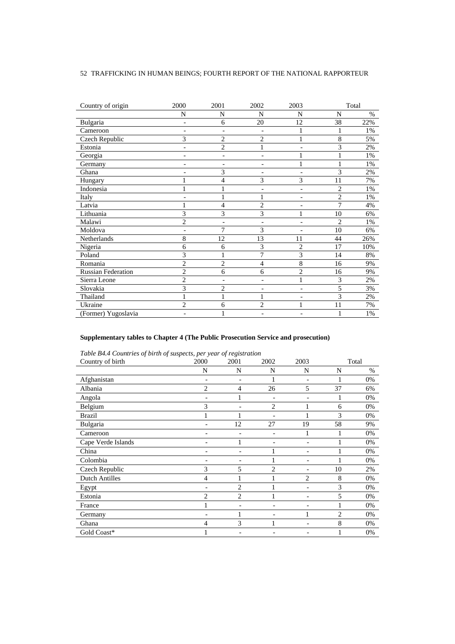# 52 TRAFFICKING IN HUMAN BEINGS; FOURTH REPORT OF THE NATIONAL RAPPORTEUR

| Country of origin         | 2000           | 2001                     | 2002                     | 2003                     |                | Total |
|---------------------------|----------------|--------------------------|--------------------------|--------------------------|----------------|-------|
|                           | N              | N                        | N                        | N                        | N              | $\%$  |
| Bulgaria                  | ۰              | 6                        | 20                       | 12                       | 38             | 22%   |
| Cameroon                  |                |                          |                          |                          |                | 1%    |
| Czech Republic            | 3              | $\overline{2}$           | $\overline{c}$           | 1                        | 8              | 5%    |
| Estonia                   |                | $\overline{2}$           |                          |                          | 3              | 2%    |
| Georgia                   |                | $\overline{\phantom{a}}$ | L,                       |                          |                | 1%    |
| Germany                   |                |                          | $\overline{a}$           |                          |                | 1%    |
| Ghana                     |                | 3                        | $\overline{\phantom{0}}$ | $\overline{\phantom{a}}$ | 3              | 2%    |
| Hungary                   |                | $\overline{4}$           | 3                        | 3                        | 11             | 7%    |
| Indonesia                 |                | 1                        | $\qquad \qquad -$        | $\overline{\phantom{a}}$ | $\overline{2}$ | 1%    |
| Italy                     |                | 1                        |                          | ۰                        | $\overline{2}$ | 1%    |
| Latvia                    |                | 4                        | $\overline{2}$           |                          | 7              | 4%    |
| Lithuania                 | 3              | 3                        | 3                        |                          | 10             | 6%    |
| Malawi                    | $\overline{c}$ |                          |                          |                          | $\overline{c}$ | 1%    |
| Moldova                   |                | $\overline{7}$           | 3                        |                          | 10             | 6%    |
| Netherlands               | 8              | 12                       | 13                       | 11                       | 44             | 26%   |
| Nigeria                   | 6              | 6                        | 3                        | $\overline{c}$           | 17             | 10%   |
| Poland                    | 3              | 1                        | 7                        | 3                        | 14             | 8%    |
| Romania                   | $\overline{c}$ | $\overline{2}$           | 4                        | 8                        | 16             | 9%    |
| <b>Russian Federation</b> | $\overline{2}$ | 6                        | 6                        | $\mathbf{2}$             | 16             | 9%    |
| Sierra Leone              | $\overline{2}$ |                          |                          | $\mathbf{1}$             | 3              | 2%    |
| Slovakia                  | 3              | $\overline{2}$           |                          | ٠                        | 5              | 3%    |
| Thailand                  |                | 1                        |                          | $\overline{\phantom{a}}$ | 3              | 2%    |
| Ukraine                   | $\overline{2}$ | 6                        | $\overline{c}$           |                          | 11             | 7%    |
| (Former) Yugoslavia       |                | 1                        |                          |                          |                | 1%    |

# **Supplementary tables to Chapter 4 (The Public Prosecution Service and prosecution)**

*Table B4.4 Countries of birth of suspects, per year of registration* 

| Country of birth      | 2000           | 2001                         | 2002           | 2003                     | Total          |      |
|-----------------------|----------------|------------------------------|----------------|--------------------------|----------------|------|
|                       | N              | N                            | N              | N                        | N              | $\%$ |
| Afghanistan           |                |                              |                |                          |                | 0%   |
| Albania               | $\overline{2}$ | $\overline{4}$               | 26             | 5                        | 37             | 6%   |
| Angola                |                | 1                            |                | ۰                        |                | 0%   |
| Belgium               | 3              | $\qquad \qquad \blacksquare$ | 2              |                          | 6              | 0%   |
| Brazil                |                |                              | ۰              |                          | 3              | 0%   |
| Bulgaria              | $\overline{a}$ | 12                           | 27             | 19                       | 58             | 9%   |
| Cameroon              |                |                              |                |                          |                | 0%   |
| Cape Verde Islands    |                | 1                            |                |                          |                | 0%   |
| China                 |                |                              |                |                          |                | 0%   |
| Colombia              |                |                              | 1              |                          |                | 0%   |
| Czech Republic        | 3              | 5                            | $\overline{2}$ |                          | 10             | 2%   |
| <b>Dutch Antilles</b> | 4              | 1                            | 1              | $\overline{c}$           | 8              | 0%   |
| Egypt                 | $\overline{a}$ | $\mathbf{2}$                 | 1              | $\overline{\phantom{a}}$ | 3              | 0%   |
| Estonia               | $\overline{2}$ | $\overline{2}$               | 1              | $\overline{\phantom{a}}$ | 5              | 0%   |
| France                |                |                              | ۰              | $\overline{a}$           |                | 0%   |
| Germany               |                | 1                            |                | 1                        | $\overline{2}$ | 0%   |
| Ghana                 | 4              | 3                            | 1              | -                        | 8              | 0%   |
| Gold Coast*           |                |                              |                |                          |                | 0%   |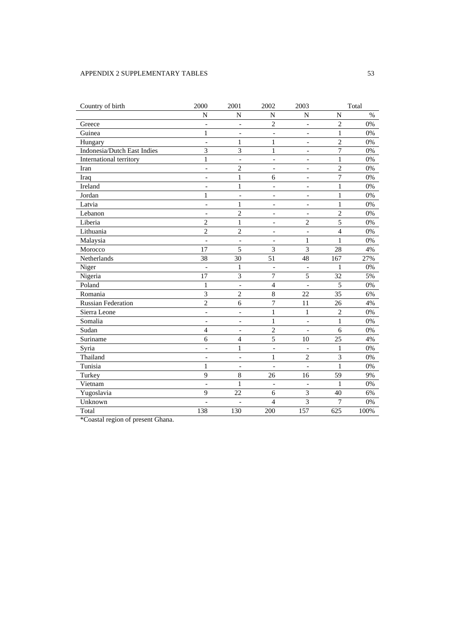# APPENDIX 2 SUPPLEMENTARY TABLES 53

| Country of birth            | 2000                         | 2001           | 2002                         | 2003                     | Total           |      |
|-----------------------------|------------------------------|----------------|------------------------------|--------------------------|-----------------|------|
|                             | N                            | N              | N                            | N                        | N               | $\%$ |
| Greece                      | $\overline{a}$               | $\overline{a}$ | $\overline{c}$               | $\overline{a}$           | $\overline{c}$  | 0%   |
| Guinea                      | $\mathbf{1}$                 | -              | $\qquad \qquad -$            | $\qquad \qquad -$        | 1               | 0%   |
| Hungary                     | $\qquad \qquad -$            | $\mathbf{1}$   | $\mathbf{1}$                 | $\qquad \qquad -$        | $\overline{c}$  | 0%   |
| Indonesia/Dutch East Indies | 3                            | 3              | 1                            | $\overline{\phantom{a}}$ | 7               | 0%   |
| International territory     | $\mathbf{1}$                 | $\overline{a}$ | $\frac{1}{2}$                | $\overline{\phantom{a}}$ | 1               | 0%   |
| Iran                        | $\overline{a}$               | $\overline{c}$ | $\overline{a}$               | $\frac{1}{2}$            | $\overline{c}$  | 0%   |
| Iraq                        | $\overline{\phantom{0}}$     | $\,1$          | 6                            | $\qquad \qquad -$        | 7               | 0%   |
| Ireland                     | $\qquad \qquad \blacksquare$ | $\,1$          | $\overline{\phantom{0}}$     | $\overline{\phantom{a}}$ | 1               | 0%   |
| Jordan                      | 1                            | $\overline{a}$ | $\overline{a}$               | $\overline{a}$           | 1               | 0%   |
| Latvia                      | $\overline{a}$               | $\mathbf{1}$   | $\overline{\phantom{0}}$     | $\overline{\phantom{a}}$ | $\mathbf{1}$    | 0%   |
| Lebanon                     | $\qquad \qquad -$            | $\overline{c}$ | $\qquad \qquad \blacksquare$ | $\qquad \qquad -$        | $\overline{c}$  | 0%   |
| Liberia                     | $\overline{2}$               | $\mathbf{1}$   | $\overline{\phantom{0}}$     | $\overline{2}$           | 5               | 0%   |
| Lithuania                   | $\overline{2}$               | $\overline{c}$ | $\overline{a}$               | $\overline{a}$           | $\overline{4}$  | 0%   |
| Malaysia                    | $\overline{a}$               | $\overline{a}$ | $\qquad \qquad -$            | 1                        | 1               | 0%   |
| Morocco                     | 17                           | 5              | 3                            | $\overline{3}$           | 28              | 4%   |
| Netherlands                 | 38                           | 30             | 51                           | 48                       | 167             | 27%  |
| Niger                       |                              | $\mathbf{1}$   | $\overline{a}$               | $\overline{a}$           | 1               | 0%   |
| Nigeria                     | 17                           | 3              | 7                            | 5                        | 32              | 5%   |
| Poland                      | $\mathbf{1}$                 | $\overline{a}$ | $\overline{4}$               | $\overline{a}$           | 5               | 0%   |
| Romania                     | 3                            | $\overline{c}$ | $\,$ 8 $\,$                  | 22                       | 35              | 6%   |
| <b>Russian Federation</b>   | $\overline{c}$               | $\overline{6}$ | $\overline{7}$               | 11                       | 26              | 4%   |
| Sierra Leone                | $\qquad \qquad -$            | -              | $\,1$                        | $\mathbf{1}$             | $\overline{c}$  | 0%   |
| Somalia                     | $\blacksquare$               | $\overline{a}$ | $\mathbf{1}$                 | $\overline{\phantom{0}}$ | 1               | 0%   |
| Sudan                       | 4                            | $\overline{a}$ | $\overline{c}$               | $\blacksquare$           | 6               | 0%   |
| Suriname                    | 6                            | $\overline{4}$ | $\overline{5}$               | 10                       | $\overline{25}$ | 4%   |
| Syria                       | $\qquad \qquad -$            | $\,1$          | $\qquad \qquad -$            | $\overline{a}$           | $\mathbf{1}$    | 0%   |
| Thailand                    | $\frac{1}{2}$                | $\overline{a}$ | 1                            | $\overline{2}$           | 3               | 0%   |
| Tunisia                     | 1                            | $\overline{a}$ | $\overline{a}$               | $\overline{a}$           | $\mathbf{1}$    | 0%   |
| Turkey                      | 9                            | 8              | 26                           | 16                       | 59              | 9%   |
| Vietnam                     | $\qquad \qquad -$            | $\mathbf{1}$   | $\overline{a}$               | $\overline{\phantom{0}}$ | 1               | 0%   |
| Yugoslavia                  | 9                            | 22             | 6                            | $\overline{3}$           | 40              | 6%   |
| Unknown                     |                              |                | $\overline{4}$               | 3                        | 7               | 0%   |
| Total                       | 138                          | 130            | 200                          | 157                      | 625             | 100% |

\*Coastal region of present Ghana.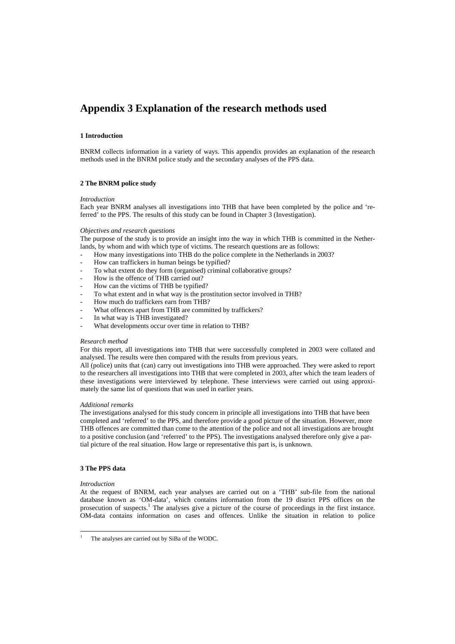# **Appendix 3 Explanation of the research methods used**

#### **1 Introduction**

BNRM collects information in a variety of ways. This appendix provides an explanation of the research methods used in the BNRM police study and the secondary analyses of the PPS data.

#### **2 The BNRM police study**

#### *Introduction*

Each year BNRM analyses all investigations into THB that have been completed by the police and 'referred' to the PPS. The results of this study can be found in Chapter 3 (Investigation).

#### *Objectives and research questions*

The purpose of the study is to provide an insight into the way in which THB is committed in the Netherlands, by whom and with which type of victims. The research questions are as follows:

- How many investigations into THB do the police complete in the Netherlands in 2003?
- How can traffickers in human beings be typified?
- To what extent do they form (organised) criminal collaborative groups?
- How is the offence of THB carried out?
- How can the victims of THB be typified?
- To what extent and in what way is the prostitution sector involved in THB?
- How much do traffickers earn from THB?
- What offences apart from THB are committed by traffickers?
- In what way is THB investigated?
- What developments occur over time in relation to THB?

#### *Research method*

For this report, all investigations into THB that were successfully completed in 2003 were collated and analysed. The results were then compared with the results from previous years.

All (police) units that (can) carry out investigations into THB were approached. They were asked to report to the researchers all investigations into THB that were completed in 2003, after which the team leaders of these investigations were interviewed by telephone. These interviews were carried out using approximately the same list of questions that was used in earlier years.

#### *Additional remarks*

The investigations analysed for this study concern in principle all investigations into THB that have been completed and 'referred' to the PPS, and therefore provide a good picture of the situation. However, more THB offences are committed than come to the attention of the police and not all investigations are brought to a positive conclusion (and 'referred' to the PPS). The investigations analysed therefore only give a partial picture of the real situation. How large or representative this part is, is unknown.

#### **3 The PPS data**

#### *Introduction*

l

At the request of BNRM, each year analyses are carried out on a 'THB' sub-file from the national database known as 'OM-data', which contains information from the 19 district PPS offices on the prosecution of suspects.1 The analyses give a picture of the course of proceedings in the first instance. OM-data contains information on cases and offences. Unlike the situation in relation to police

<sup>1</sup> The analyses are carried out by SiBa of the WODC.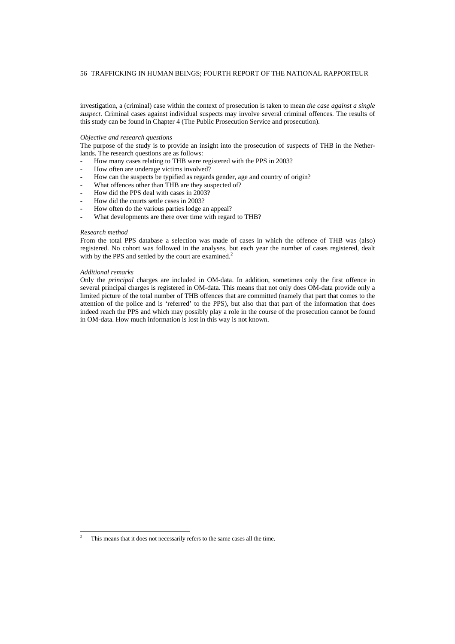investigation, a (criminal) case within the context of prosecution is taken to mean *the case against a single suspect*. Criminal cases against individual suspects may involve several criminal offences. The results of this study can be found in Chapter 4 (The Public Prosecution Service and prosecution).

#### *Objective and research questions*

The purpose of the study is to provide an insight into the prosecution of suspects of THB in the Netherlands. The research questions are as follows:

- How many cases relating to THB were registered with the PPS in 2003?
- How often are underage victims involved?
- How can the suspects be typified as regards gender, age and country of origin?
- What offences other than THB are they suspected of?
- How did the PPS deal with cases in 2003?
- How did the courts settle cases in 2003?
- How often do the various parties lodge an appeal?
- What developments are there over time with regard to THB?

#### *Research method*

From the total PPS database a selection was made of cases in which the offence of THB was (also) registered. No cohort was followed in the analyses, but each year the number of cases registered, dealt with by the PPS and settled by the court are examined.<sup>2</sup>

#### *Additional remarks*

l

Only the *principal* charges are included in OM-data. In addition, sometimes only the first offence in several principal charges is registered in OM-data. This means that not only does OM-data provide only a limited picture of the total number of THB offences that are committed (namely that part that comes to the attention of the police and is 'referred' to the PPS), but also that that part of the information that does indeed reach the PPS and which may possibly play a role in the course of the prosecution cannot be found in OM-data. How much information is lost in this way is not known.

<sup>2</sup> This means that it does not necessarily refers to the same cases all the time.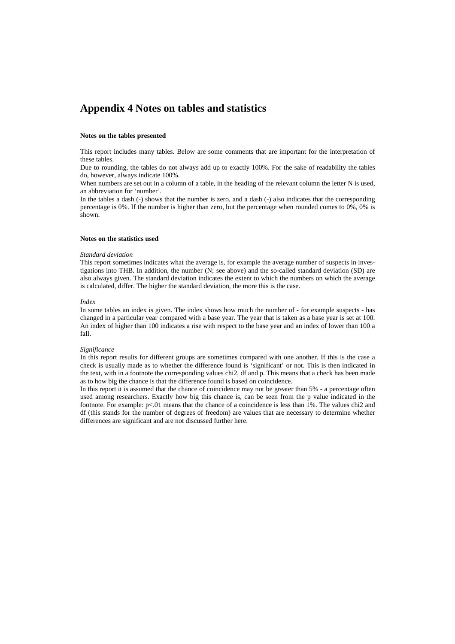# **Appendix 4 Notes on tables and statistics**

#### **Notes on the tables presented**

This report includes many tables. Below are some comments that are important for the interpretation of these tables.

Due to rounding, the tables do not always add up to exactly 100%. For the sake of readability the tables do, however, always indicate 100%.

When numbers are set out in a column of a table, in the heading of the relevant column the letter N is used, an abbreviation for 'number'.

In the tables a dash (-) shows that the number is zero, and a dash (-) also indicates that the corresponding percentage is 0%. If the number is higher than zero, but the percentage when rounded comes to 0%, 0% is shown.

#### **Notes on the statistics used**

#### *Standard deviation*

This report sometimes indicates what the average is, for example the average number of suspects in investigations into THB. In addition, the number (N; see above) and the so-called standard deviation (SD) are also always given. The standard deviation indicates the extent to which the numbers on which the average is calculated, differ. The higher the standard deviation, the more this is the case.

#### *Index*

In some tables an index is given. The index shows how much the number of - for example suspects - has changed in a particular year compared with a base year. The year that is taken as a base year is set at 100. An index of higher than 100 indicates a rise with respect to the base year and an index of lower than 100 a fall.

#### *Significance*

In this report results for different groups are sometimes compared with one another. If this is the case a check is usually made as to whether the difference found is 'significant' or not. This is then indicated in the text, with in a footnote the corresponding values chi2, df and p. This means that a check has been made as to how big the chance is that the difference found is based on coincidence.

In this report it is assumed that the chance of coincidence may not be greater than 5% - a percentage often used among researchers. Exactly how big this chance is, can be seen from the p value indicated in the footnote. For example: p<.01 means that the chance of a coincidence is less than 1%. The values chi2 and df (this stands for the number of degrees of freedom) are values that are necessary to determine whether differences are significant and are not discussed further here.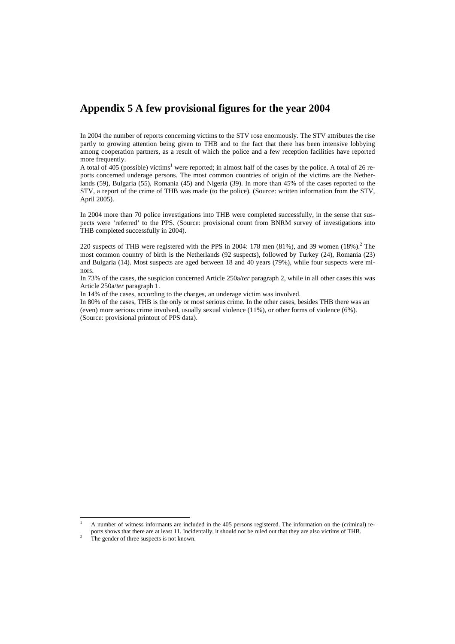# **Appendix 5 A few provisional figures for the year 2004**

In 2004 the number of reports concerning victims to the STV rose enormously. The STV attributes the rise partly to growing attention being given to THB and to the fact that there has been intensive lobbying among cooperation partners, as a result of which the police and a few reception facilities have reported more frequently.

A total of 405 (possible) victims<sup>1</sup> were reported; in almost half of the cases by the police. A total of 26 reports concerned underage persons. The most common countries of origin of the victims are the Netherlands (59), Bulgaria (55), Romania (45) and Nigeria (39). In more than 45% of the cases reported to the STV, a report of the crime of THB was made (to the police). (Source: written information from the STV, April 2005).

In 2004 more than 70 police investigations into THB were completed successfully, in the sense that suspects were 'referred' to the PPS. (Source: provisional count from BNRM survey of investigations into THB completed successfully in 2004).

220 suspects of THB were registered with the PPS in 2004: 178 men  $(81\%)$ , and 39 women  $(18\%)$ .<sup>2</sup> The most common country of birth is the Netherlands (92 suspects), followed by Turkey (24), Romania (23) and Bulgaria (14). Most suspects are aged between 18 and 40 years (79%), while four suspects were minors.

In 73% of the cases, the suspicion concerned Article 250a/*ter* paragraph 2, while in all other cases this was Article 250a/*ter* paragraph 1.

In 14% of the cases, according to the charges, an underage victim was involved.

In 80% of the cases, THB is the only or most serious crime. In the other cases, besides THB there was an (even) more serious crime involved, usually sexual violence (11%), or other forms of violence (6%). (Source: provisional printout of PPS data).

<sup>|&</sup>lt;br>|<br>| A number of witness informants are included in the 405 persons registered. The information on the (criminal) reports shows that there are at least 11. Incidentally, it should not be ruled out that they are also victims of THB.

The gender of three suspects is not known.